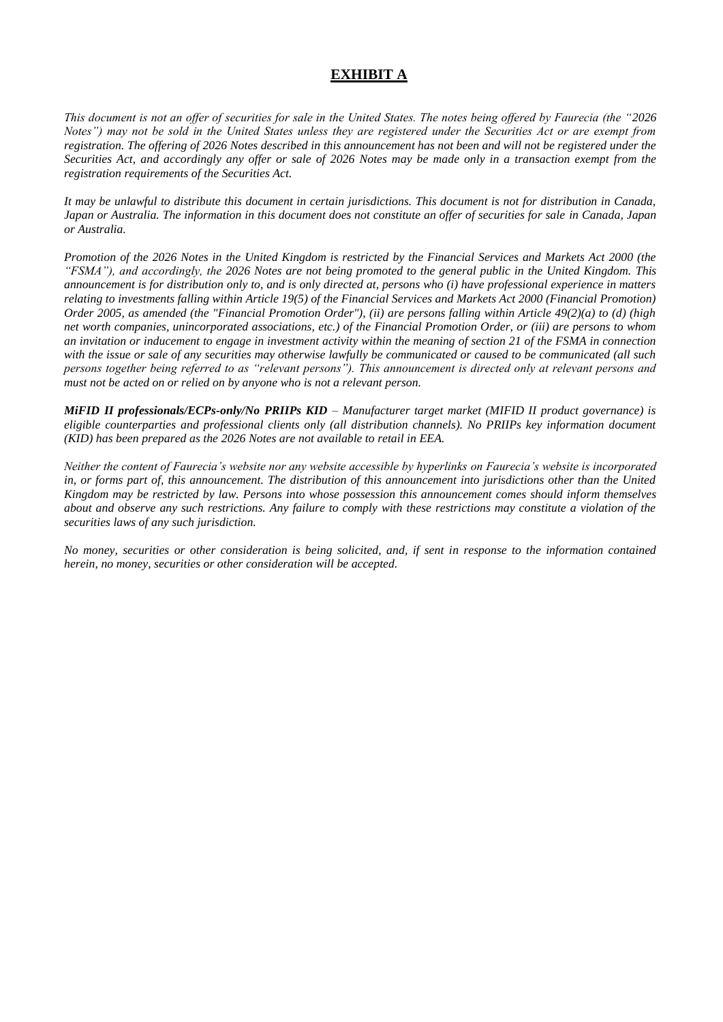# **EXHIBIT A**

*This document is not an offer of securities for sale in the United States. The notes being offered by Faurecia (the "2026 Notes") may not be sold in the United States unless they are registered under the Securities Act or are exempt from registration. The offering of 2026 Notes described in this announcement has not been and will not be registered under the Securities Act, and accordingly any offer or sale of 2026 Notes may be made only in a transaction exempt from the registration requirements of the Securities Act.*

*It may be unlawful to distribute this document in certain jurisdictions. This document is not for distribution in Canada, Japan or Australia. The information in this document does not constitute an offer of securities for sale in Canada, Japan or Australia.*

*Promotion of the 2026 Notes in the United Kingdom is restricted by the Financial Services and Markets Act 2000 (the "FSMA"), and accordingly, the 2026 Notes are not being promoted to the general public in the United Kingdom. This announcement is for distribution only to, and is only directed at, persons who (i) have professional experience in matters relating to investments falling within Article 19(5) of the Financial Services and Markets Act 2000 (Financial Promotion) Order 2005, as amended (the "Financial Promotion Order"), (ii) are persons falling within Article 49(2)(a) to (d) (high net worth companies, unincorporated associations, etc.) of the Financial Promotion Order, or (iii) are persons to whom an invitation or inducement to engage in investment activity within the meaning of section 21 of the FSMA in connection with the issue or sale of any securities may otherwise lawfully be communicated or caused to be communicated (all such persons together being referred to as "relevant persons"). This announcement is directed only at relevant persons and must not be acted on or relied on by anyone who is not a relevant person.*

*MiFID II professionals/ECPs-only/No PRIIPs KID – Manufacturer target market (MIFID II product governance) is eligible counterparties and professional clients only (all distribution channels). No PRIIPs key information document (KID) has been prepared as the 2026 Notes are not available to retail in EEA.*

*Neither the content of Faurecia's website nor any website accessible by hyperlinks on Faurecia's website is incorporated in, or forms part of, this announcement. The distribution of this announcement into jurisdictions other than the United Kingdom may be restricted by law. Persons into whose possession this announcement comes should inform themselves about and observe any such restrictions. Any failure to comply with these restrictions may constitute a violation of the securities laws of any such jurisdiction.*

*No money, securities or other consideration is being solicited, and, if sent in response to the information contained herein, no money, securities or other consideration will be accepted.*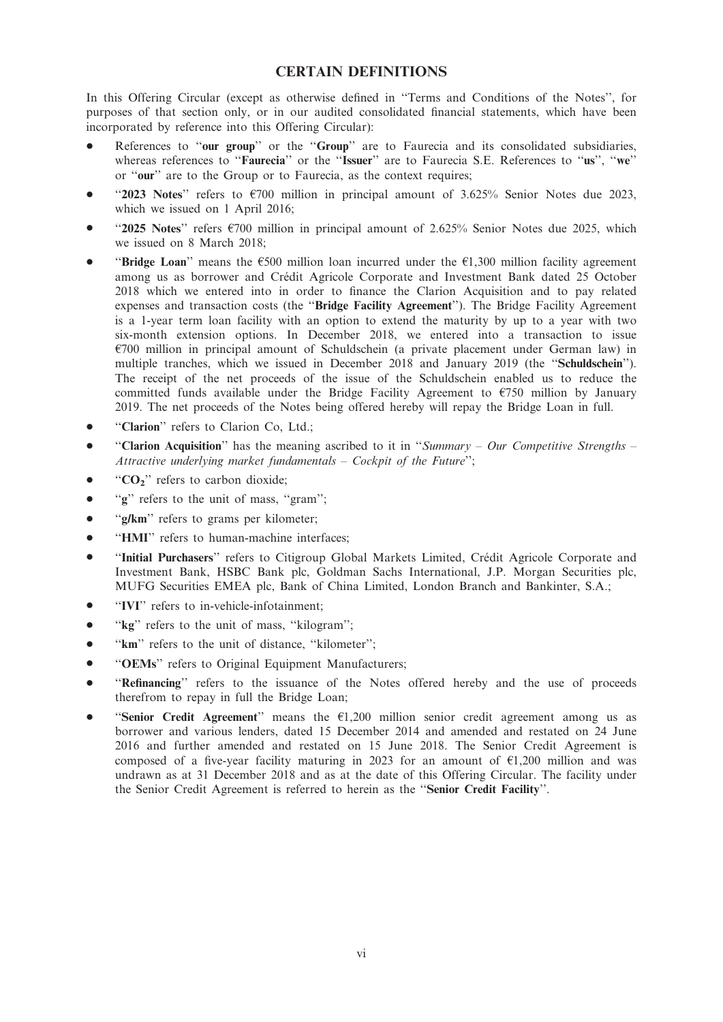# CERTAIN DEFINITIONS

In this Offering Circular (except as otherwise defined in ''Terms and Conditions of the Notes'', for purposes of that section only, or in our audited consolidated financial statements, which have been incorporated by reference into this Offering Circular):

- References to "our group" or the "Group" are to Faurecia and its consolidated subsidiaries, whereas references to "Faurecia" or the "Issuer" are to Faurecia S.E. References to "us", "we" or ''our'' are to the Group or to Faurecia, as the context requires;
- "2023 Notes" refers to  $\epsilon$ 700 million in principal amount of 3.625% Senior Notes due 2023, which we issued on 1 April 2016;
- "2025 Notes" refers  $\epsilon$ 700 million in principal amount of 2.625% Senior Notes due 2025, which we issued on 8 March 2018;
- **"Bridge Loan"** means the  $\epsilon$ 500 million loan incurred under the  $\epsilon$ 1,300 million facility agreement among us as borrower and Crédit Agricole Corporate and Investment Bank dated 25 October 2018 which we entered into in order to finance the Clarion Acquisition and to pay related expenses and transaction costs (the ''Bridge Facility Agreement''). The Bridge Facility Agreement is a 1-year term loan facility with an option to extend the maturity by up to a year with two six-month extension options. In December 2018, we entered into a transaction to issue  $E700$  million in principal amount of Schuldschein (a private placement under German law) in multiple tranches, which we issued in December 2018 and January 2019 (the "Schuldschein"). The receipt of the net proceeds of the issue of the Schuldschein enabled us to reduce the committed funds available under the Bridge Facility Agreement to  $\epsilon$ 750 million by January 2019. The net proceeds of the Notes being offered hereby will repay the Bridge Loan in full.
- "Clarion" refers to Clarion Co, Ltd.:
- "Clarion Acquisition" has the meaning ascribed to it in "Summary Our Competitive Strengths Attractive underlying market fundamentals – Cockpit of the Future'';
- $\bullet$  "CO<sub>2</sub>" refers to carbon dioxide;
- $\bullet$  ''g'' refers to the unit of mass, "gram";
- "g/km" refers to grams per kilometer;
- "HMI" refers to human-machine interfaces;
- "Initial Purchasers" refers to Citigroup Global Markets Limited, Crédit Agricole Corporate and Investment Bank, HSBC Bank plc, Goldman Sachs International, J.P. Morgan Securities plc, MUFG Securities EMEA plc, Bank of China Limited, London Branch and Bankinter, S.A.;
- "IVI" refers to in-vehicle-infotainment:
- $\bullet$  ''kg'' refers to the unit of mass, "kilogram";
- "km" refers to the unit of distance, "kilometer";
- "OEMs" refers to Original Equipment Manufacturers;
- "Refinancing" refers to the issuance of the Notes offered hereby and the use of proceeds therefrom to repay in full the Bridge Loan;
- "Senior Credit Agreement" means the  $E1,200$  million senior credit agreement among us as borrower and various lenders, dated 15 December 2014 and amended and restated on 24 June 2016 and further amended and restated on 15 June 2018. The Senior Credit Agreement is composed of a five-year facility maturing in 2023 for an amount of  $E1,200$  million and was undrawn as at 31 December 2018 and as at the date of this Offering Circular. The facility under the Senior Credit Agreement is referred to herein as the ''Senior Credit Facility''.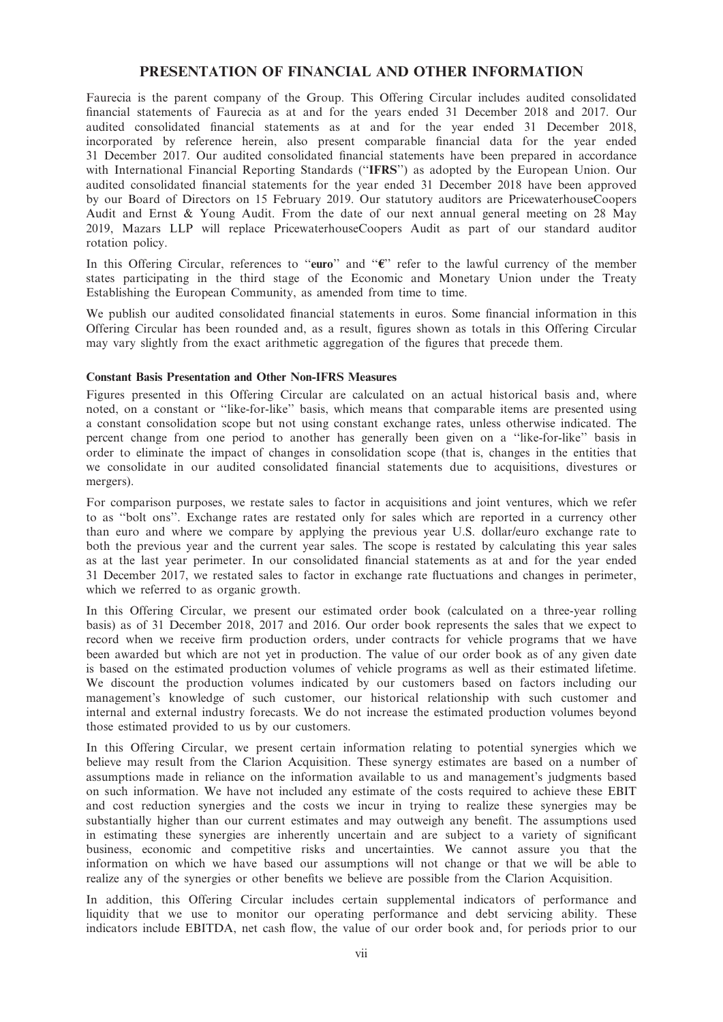## PRESENTATION OF FINANCIAL AND OTHER INFORMATION

Faurecia is the parent company of the Group. This Offering Circular includes audited consolidated financial statements of Faurecia as at and for the years ended 31 December 2018 and 2017. Our audited consolidated financial statements as at and for the year ended 31 December 2018, incorporated by reference herein, also present comparable financial data for the year ended 31 December 2017. Our audited consolidated financial statements have been prepared in accordance with International Financial Reporting Standards (''IFRS'') as adopted by the European Union. Our audited consolidated financial statements for the year ended 31 December 2018 have been approved by our Board of Directors on 15 February 2019. Our statutory auditors are PricewaterhouseCoopers Audit and Ernst & Young Audit. From the date of our next annual general meeting on 28 May 2019, Mazars LLP will replace PricewaterhouseCoopers Audit as part of our standard auditor rotation policy.

In this Offering Circular, references to "euro" and " $\epsilon$ " refer to the lawful currency of the member states participating in the third stage of the Economic and Monetary Union under the Treaty Establishing the European Community, as amended from time to time.

We publish our audited consolidated financial statements in euros. Some financial information in this Offering Circular has been rounded and, as a result, figures shown as totals in this Offering Circular may vary slightly from the exact arithmetic aggregation of the figures that precede them.

### Constant Basis Presentation and Other Non-IFRS Measures

Figures presented in this Offering Circular are calculated on an actual historical basis and, where noted, on a constant or ''like-for-like'' basis, which means that comparable items are presented using a constant consolidation scope but not using constant exchange rates, unless otherwise indicated. The percent change from one period to another has generally been given on a ''like-for-like'' basis in order to eliminate the impact of changes in consolidation scope (that is, changes in the entities that we consolidate in our audited consolidated financial statements due to acquisitions, divestures or mergers).

For comparison purposes, we restate sales to factor in acquisitions and joint ventures, which we refer to as ''bolt ons''. Exchange rates are restated only for sales which are reported in a currency other than euro and where we compare by applying the previous year U.S. dollar/euro exchange rate to both the previous year and the current year sales. The scope is restated by calculating this year sales as at the last year perimeter. In our consolidated financial statements as at and for the year ended 31 December 2017, we restated sales to factor in exchange rate fluctuations and changes in perimeter, which we referred to as organic growth.

In this Offering Circular, we present our estimated order book (calculated on a three-year rolling basis) as of 31 December 2018, 2017 and 2016. Our order book represents the sales that we expect to record when we receive firm production orders, under contracts for vehicle programs that we have been awarded but which are not yet in production. The value of our order book as of any given date is based on the estimated production volumes of vehicle programs as well as their estimated lifetime. We discount the production volumes indicated by our customers based on factors including our management's knowledge of such customer, our historical relationship with such customer and internal and external industry forecasts. We do not increase the estimated production volumes beyond those estimated provided to us by our customers.

In this Offering Circular, we present certain information relating to potential synergies which we believe may result from the Clarion Acquisition. These synergy estimates are based on a number of assumptions made in reliance on the information available to us and management's judgments based on such information. We have not included any estimate of the costs required to achieve these EBIT and cost reduction synergies and the costs we incur in trying to realize these synergies may be substantially higher than our current estimates and may outweigh any benefit. The assumptions used in estimating these synergies are inherently uncertain and are subject to a variety of significant business, economic and competitive risks and uncertainties. We cannot assure you that the information on which we have based our assumptions will not change or that we will be able to realize any of the synergies or other benefits we believe are possible from the Clarion Acquisition.

In addition, this Offering Circular includes certain supplemental indicators of performance and liquidity that we use to monitor our operating performance and debt servicing ability. These indicators include EBITDA, net cash flow, the value of our order book and, for periods prior to our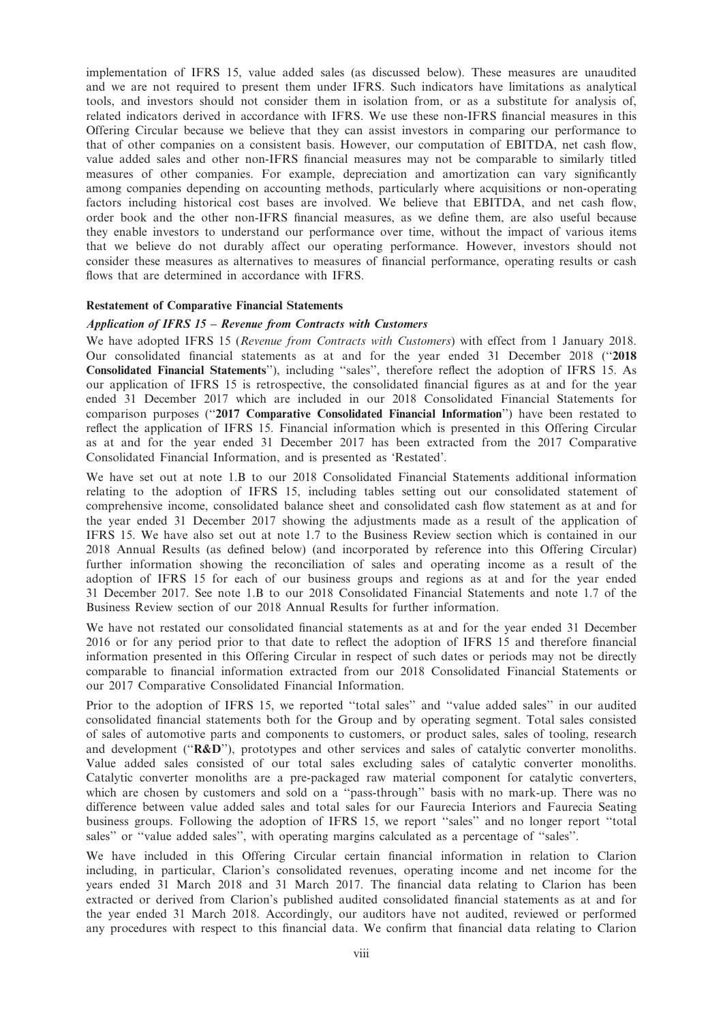implementation of IFRS 15, value added sales (as discussed below). These measures are unaudited and we are not required to present them under IFRS. Such indicators have limitations as analytical tools, and investors should not consider them in isolation from, or as a substitute for analysis of, related indicators derived in accordance with IFRS. We use these non-IFRS financial measures in this Offering Circular because we believe that they can assist investors in comparing our performance to that of other companies on a consistent basis. However, our computation of EBITDA, net cash flow, value added sales and other non-IFRS financial measures may not be comparable to similarly titled measures of other companies. For example, depreciation and amortization can vary significantly among companies depending on accounting methods, particularly where acquisitions or non-operating factors including historical cost bases are involved. We believe that EBITDA, and net cash flow, order book and the other non-IFRS financial measures, as we define them, are also useful because they enable investors to understand our performance over time, without the impact of various items that we believe do not durably affect our operating performance. However, investors should not consider these measures as alternatives to measures of financial performance, operating results or cash flows that are determined in accordance with IFRS.

#### Restatement of Comparative Financial Statements

#### Application of IFRS 15 – Revenue from Contracts with Customers

We have adopted IFRS 15 (Revenue from Contracts with Customers) with effect from 1 January 2018. Our consolidated financial statements as at and for the year ended 31 December 2018 (''2018 Consolidated Financial Statements''), including ''sales'', therefore reflect the adoption of IFRS 15. As our application of IFRS 15 is retrospective, the consolidated financial figures as at and for the year ended 31 December 2017 which are included in our 2018 Consolidated Financial Statements for comparison purposes (''2017 Comparative Consolidated Financial Information'') have been restated to reflect the application of IFRS 15. Financial information which is presented in this Offering Circular as at and for the year ended 31 December 2017 has been extracted from the 2017 Comparative Consolidated Financial Information, and is presented as 'Restated'.

We have set out at note 1.B to our 2018 Consolidated Financial Statements additional information relating to the adoption of IFRS 15, including tables setting out our consolidated statement of comprehensive income, consolidated balance sheet and consolidated cash flow statement as at and for the year ended 31 December 2017 showing the adjustments made as a result of the application of IFRS 15. We have also set out at note 1.7 to the Business Review section which is contained in our 2018 Annual Results (as defined below) (and incorporated by reference into this Offering Circular) further information showing the reconciliation of sales and operating income as a result of the adoption of IFRS 15 for each of our business groups and regions as at and for the year ended 31 December 2017. See note 1.B to our 2018 Consolidated Financial Statements and note 1.7 of the Business Review section of our 2018 Annual Results for further information.

We have not restated our consolidated financial statements as at and for the year ended 31 December 2016 or for any period prior to that date to reflect the adoption of IFRS 15 and therefore financial information presented in this Offering Circular in respect of such dates or periods may not be directly comparable to financial information extracted from our 2018 Consolidated Financial Statements or our 2017 Comparative Consolidated Financial Information.

Prior to the adoption of IFRS 15, we reported ''total sales'' and ''value added sales'' in our audited consolidated financial statements both for the Group and by operating segment. Total sales consisted of sales of automotive parts and components to customers, or product sales, sales of tooling, research and development ("R&D"), prototypes and other services and sales of catalytic converter monoliths. Value added sales consisted of our total sales excluding sales of catalytic converter monoliths. Catalytic converter monoliths are a pre-packaged raw material component for catalytic converters, which are chosen by customers and sold on a "pass-through" basis with no mark-up. There was no difference between value added sales and total sales for our Faurecia Interiors and Faurecia Seating business groups. Following the adoption of IFRS 15, we report ''sales'' and no longer report ''total sales'' or ''value added sales'', with operating margins calculated as a percentage of ''sales''.

We have included in this Offering Circular certain financial information in relation to Clarion including, in particular, Clarion's consolidated revenues, operating income and net income for the years ended 31 March 2018 and 31 March 2017. The financial data relating to Clarion has been extracted or derived from Clarion's published audited consolidated financial statements as at and for the year ended 31 March 2018. Accordingly, our auditors have not audited, reviewed or performed any procedures with respect to this financial data. We confirm that financial data relating to Clarion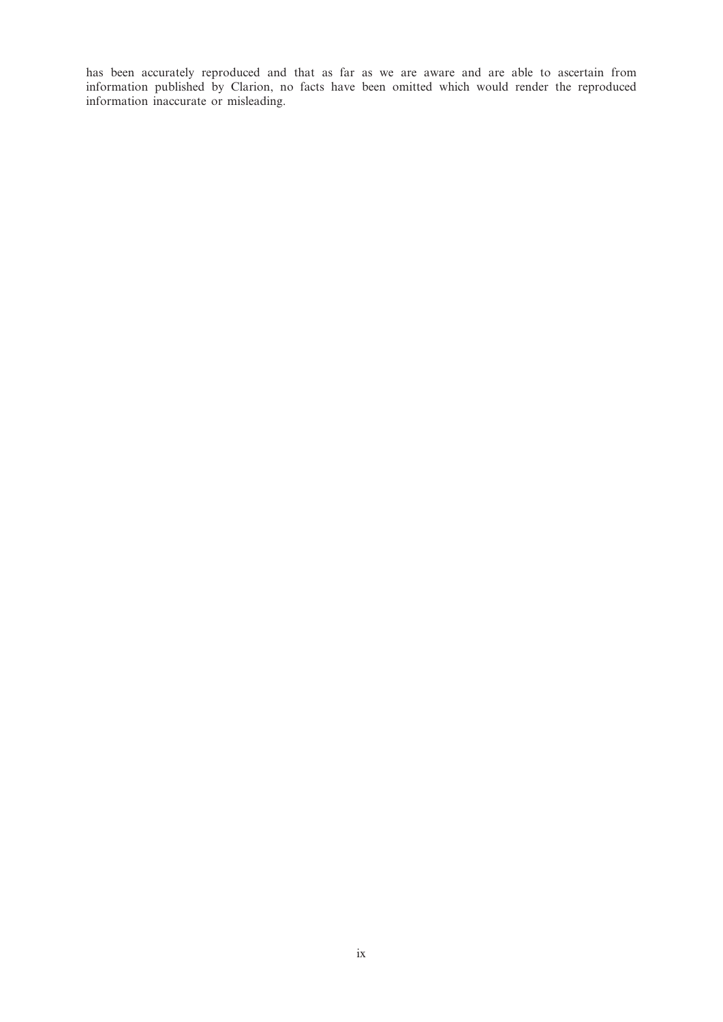has been accurately reproduced and that as far as we are aware and are able to ascertain from information published by Clarion, no facts have been omitted which would render the reproduced information inaccurate or misleading.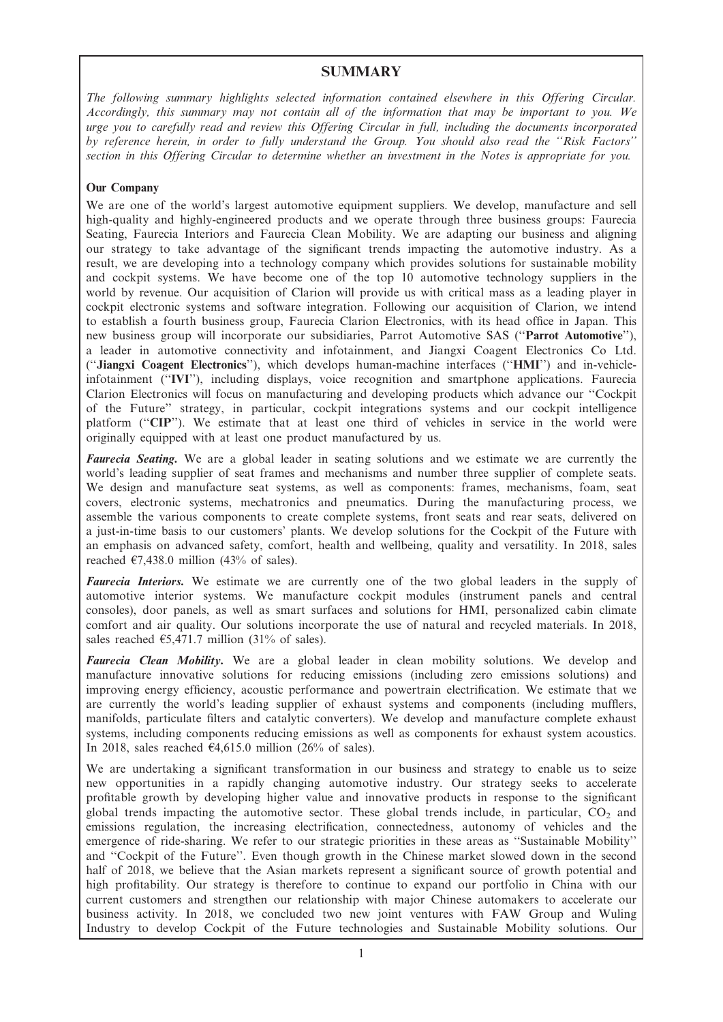## **SUMMARY**

The following summary highlights selected information contained elsewhere in this Offering Circular. Accordingly, this summary may not contain all of the information that may be important to you. We urge you to carefully read and review this Offering Circular in full, including the documents incorporated by reference herein, in order to fully understand the Group. You should also read the ''Risk Factors'' section in this Offering Circular to determine whether an investment in the Notes is appropriate for you.

## Our Company

We are one of the world's largest automotive equipment suppliers. We develop, manufacture and sell high-quality and highly-engineered products and we operate through three business groups: Faurecia Seating, Faurecia Interiors and Faurecia Clean Mobility. We are adapting our business and aligning our strategy to take advantage of the significant trends impacting the automotive industry. As a result, we are developing into a technology company which provides solutions for sustainable mobility and cockpit systems. We have become one of the top 10 automotive technology suppliers in the world by revenue. Our acquisition of Clarion will provide us with critical mass as a leading player in cockpit electronic systems and software integration. Following our acquisition of Clarion, we intend to establish a fourth business group, Faurecia Clarion Electronics, with its head office in Japan. This new business group will incorporate our subsidiaries, Parrot Automotive SAS (''Parrot Automotive''), a leader in automotive connectivity and infotainment, and Jiangxi Coagent Electronics Co Ltd. (''Jiangxi Coagent Electronics''), which develops human-machine interfaces (''HMI'') and in-vehicleinfotainment (''IVI''), including displays, voice recognition and smartphone applications. Faurecia Clarion Electronics will focus on manufacturing and developing products which advance our ''Cockpit of the Future'' strategy, in particular, cockpit integrations systems and our cockpit intelligence platform ("CIP"). We estimate that at least one third of vehicles in service in the world were originally equipped with at least one product manufactured by us.

**Faurecia Seating.** We are a global leader in seating solutions and we estimate we are currently the world's leading supplier of seat frames and mechanisms and number three supplier of complete seats. We design and manufacture seat systems, as well as components: frames, mechanisms, foam, seat covers, electronic systems, mechatronics and pneumatics. During the manufacturing process, we assemble the various components to create complete systems, front seats and rear seats, delivered on a just-in-time basis to our customers' plants. We develop solutions for the Cockpit of the Future with an emphasis on advanced safety, comfort, health and wellbeing, quality and versatility. In 2018, sales reached  $\epsilon$ 7,438.0 million (43% of sales).

Faurecia Interiors. We estimate we are currently one of the two global leaders in the supply of automotive interior systems. We manufacture cockpit modules (instrument panels and central consoles), door panels, as well as smart surfaces and solutions for HMI, personalized cabin climate comfort and air quality. Our solutions incorporate the use of natural and recycled materials. In 2018, sales reached  $\epsilon$ 5,471.7 million (31% of sales).

Faurecia Clean Mobility. We are a global leader in clean mobility solutions. We develop and manufacture innovative solutions for reducing emissions (including zero emissions solutions) and improving energy efficiency, acoustic performance and powertrain electrification. We estimate that we are currently the world's leading supplier of exhaust systems and components (including mufflers, manifolds, particulate filters and catalytic converters). We develop and manufacture complete exhaust systems, including components reducing emissions as well as components for exhaust system acoustics. In 2018, sales reached  $\epsilon$ 4,615.0 million (26% of sales).

We are undertaking a significant transformation in our business and strategy to enable us to seize new opportunities in a rapidly changing automotive industry. Our strategy seeks to accelerate profitable growth by developing higher value and innovative products in response to the significant global trends impacting the automotive sector. These global trends include, in particular,  $CO<sub>2</sub>$  and emissions regulation, the increasing electrification, connectedness, autonomy of vehicles and the emergence of ride-sharing. We refer to our strategic priorities in these areas as ''Sustainable Mobility'' and ''Cockpit of the Future''. Even though growth in the Chinese market slowed down in the second half of 2018, we believe that the Asian markets represent a significant source of growth potential and high profitability. Our strategy is therefore to continue to expand our portfolio in China with our current customers and strengthen our relationship with major Chinese automakers to accelerate our business activity. In 2018, we concluded two new joint ventures with FAW Group and Wuling Industry to develop Cockpit of the Future technologies and Sustainable Mobility solutions. Our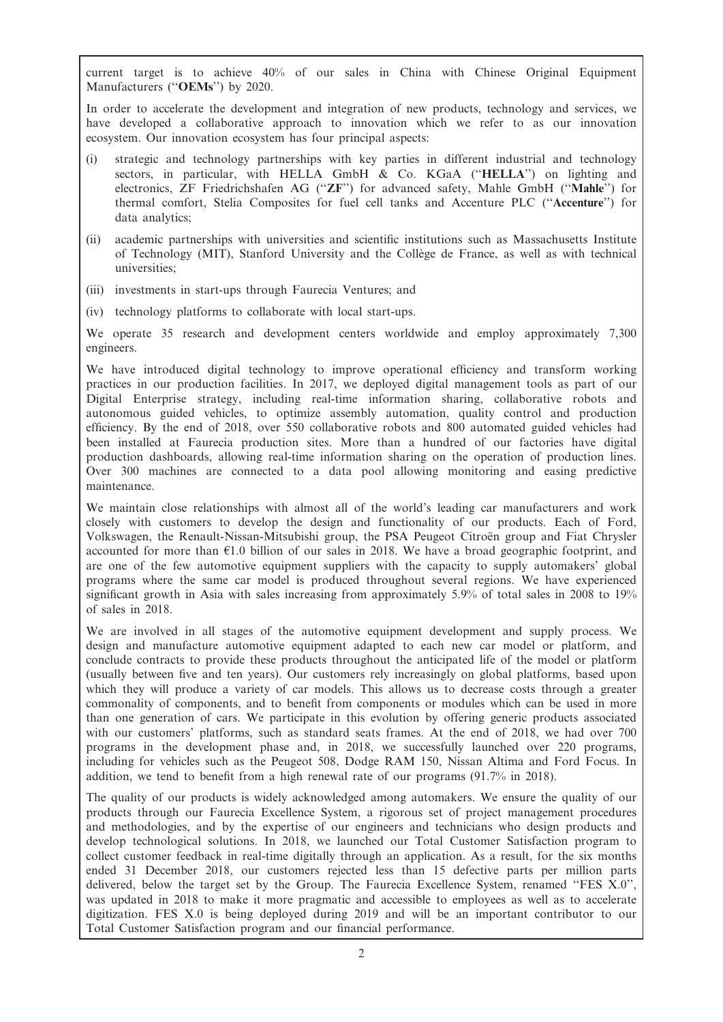current target is to achieve 40% of our sales in China with Chinese Original Equipment Manufacturers ("OEMs") by 2020.

In order to accelerate the development and integration of new products, technology and services, we have developed a collaborative approach to innovation which we refer to as our innovation ecosystem. Our innovation ecosystem has four principal aspects:

- (i) strategic and technology partnerships with key parties in different industrial and technology sectors, in particular, with HELLA GmbH & Co. KGaA ("HELLA") on lighting and electronics, ZF Friedrichshafen AG (''ZF'') for advanced safety, Mahle GmbH (''Mahle'') for thermal comfort, Stelia Composites for fuel cell tanks and Accenture PLC (''Accenture'') for data analytics;
- (ii) academic partnerships with universities and scientific institutions such as Massachusetts Institute of Technology (MIT), Stanford University and the Collège de France, as well as with technical universities;
- (iii) investments in start-ups through Faurecia Ventures; and
- (iv) technology platforms to collaborate with local start-ups.

We operate 35 research and development centers worldwide and employ approximately 7,300 engineers.

We have introduced digital technology to improve operational efficiency and transform working practices in our production facilities. In 2017, we deployed digital management tools as part of our Digital Enterprise strategy, including real-time information sharing, collaborative robots and autonomous guided vehicles, to optimize assembly automation, quality control and production efficiency. By the end of 2018, over 550 collaborative robots and 800 automated guided vehicles had been installed at Faurecia production sites. More than a hundred of our factories have digital production dashboards, allowing real-time information sharing on the operation of production lines. Over 300 machines are connected to a data pool allowing monitoring and easing predictive maintenance.

We maintain close relationships with almost all of the world's leading car manufacturers and work closely with customers to develop the design and functionality of our products. Each of Ford, Volkswagen, the Renault-Nissan-Mitsubishi group, the PSA Peugeot Citroën group and Fiat Chrysler accounted for more than  $E1.0$  billion of our sales in 2018. We have a broad geographic footprint, and are one of the few automotive equipment suppliers with the capacity to supply automakers' global programs where the same car model is produced throughout several regions. We have experienced significant growth in Asia with sales increasing from approximately 5.9% of total sales in 2008 to 19% of sales in 2018.

We are involved in all stages of the automotive equipment development and supply process. We design and manufacture automotive equipment adapted to each new car model or platform, and conclude contracts to provide these products throughout the anticipated life of the model or platform (usually between five and ten years). Our customers rely increasingly on global platforms, based upon which they will produce a variety of car models. This allows us to decrease costs through a greater commonality of components, and to benefit from components or modules which can be used in more than one generation of cars. We participate in this evolution by offering generic products associated with our customers' platforms, such as standard seats frames. At the end of 2018, we had over 700 programs in the development phase and, in 2018, we successfully launched over 220 programs, including for vehicles such as the Peugeot 508, Dodge RAM 150, Nissan Altima and Ford Focus. In addition, we tend to benefit from a high renewal rate of our programs (91.7% in 2018).

The quality of our products is widely acknowledged among automakers. We ensure the quality of our products through our Faurecia Excellence System, a rigorous set of project management procedures and methodologies, and by the expertise of our engineers and technicians who design products and develop technological solutions. In 2018, we launched our Total Customer Satisfaction program to collect customer feedback in real-time digitally through an application. As a result, for the six months ended 31 December 2018, our customers rejected less than 15 defective parts per million parts delivered, below the target set by the Group. The Faurecia Excellence System, renamed ''FES X.0'', was updated in 2018 to make it more pragmatic and accessible to employees as well as to accelerate digitization. FES X.0 is being deployed during 2019 and will be an important contributor to our Total Customer Satisfaction program and our financial performance.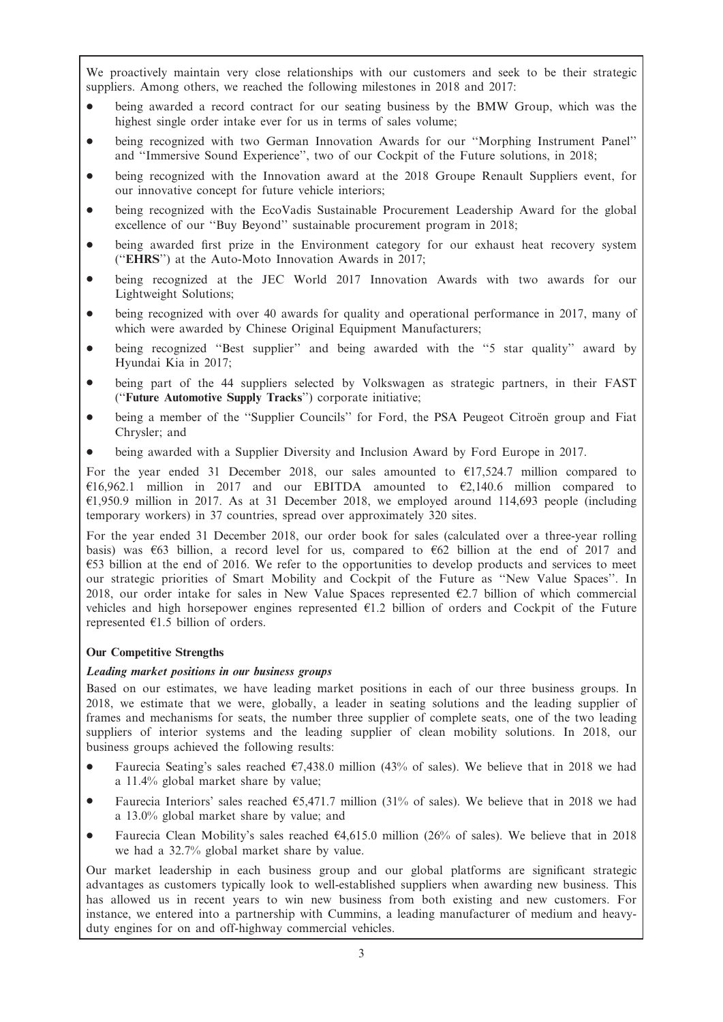We proactively maintain very close relationships with our customers and seek to be their strategic suppliers. Among others, we reached the following milestones in 2018 and 2017:

- being awarded a record contract for our seating business by the BMW Group, which was the highest single order intake ever for us in terms of sales volume;
- \* being recognized with two German Innovation Awards for our ''Morphing Instrument Panel'' and ''Immersive Sound Experience'', two of our Cockpit of the Future solutions, in 2018;
- being recognized with the Innovation award at the 2018 Groupe Renault Suppliers event, for our innovative concept for future vehicle interiors;
- being recognized with the EcoVadis Sustainable Procurement Leadership Award for the global excellence of our ''Buy Beyond'' sustainable procurement program in 2018;
- being awarded first prize in the Environment category for our exhaust heat recovery system (''EHRS'') at the Auto-Moto Innovation Awards in 2017;
- being recognized at the JEC World 2017 Innovation Awards with two awards for our Lightweight Solutions;
- being recognized with over 40 awards for quality and operational performance in 2017, many of which were awarded by Chinese Original Equipment Manufacturers;
- being recognized "Best supplier" and being awarded with the "5 star quality" award by Hyundai Kia in 2017;
- being part of the 44 suppliers selected by Volkswagen as strategic partners, in their FAST (''Future Automotive Supply Tracks'') corporate initiative;
- being a member of the "Supplier Councils" for Ford, the PSA Peugeot Citroën group and Fiat Chrysler; and
- being awarded with a Supplier Diversity and Inclusion Award by Ford Europe in 2017.

For the year ended 31 December 2018, our sales amounted to  $\epsilon$ 17,524.7 million compared to  $616,962.1$  million in 2017 and our EBITDA amounted to  $62,140.6$  million compared to  $\epsilon$ 1,950.9 million in 2017. As at 31 December 2018, we employed around 114,693 people (including temporary workers) in 37 countries, spread over approximately 320 sites.

For the year ended 31 December 2018, our order book for sales (calculated over a three-year rolling basis) was  $63$  billion, a record level for us, compared to  $62$  billion at the end of 2017 and  $\epsilon$ 53 billion at the end of 2016. We refer to the opportunities to develop products and services to meet our strategic priorities of Smart Mobility and Cockpit of the Future as ''New Value Spaces''. In 2018, our order intake for sales in New Value Spaces represented  $\epsilon$ 2.7 billion of which commercial vehicles and high horsepower engines represented  $E1.2$  billion of orders and Cockpit of the Future represented  $E1.5$  billion of orders.

## Our Competitive Strengths

## Leading market positions in our business groups

Based on our estimates, we have leading market positions in each of our three business groups. In 2018, we estimate that we were, globally, a leader in seating solutions and the leading supplier of frames and mechanisms for seats, the number three supplier of complete seats, one of the two leading suppliers of interior systems and the leading supplier of clean mobility solutions. In 2018, our business groups achieved the following results:

- Faurecia Seating's sales reached  $\epsilon$ 7,438.0 million (43% of sales). We believe that in 2018 we had a 11.4% global market share by value;
- Faurecia Interiors' sales reached  $\epsilon$ 5,471.7 million (31% of sales). We believe that in 2018 we had a 13.0% global market share by value; and
- Faurecia Clean Mobility's sales reached  $\epsilon$ 4,615.0 million (26% of sales). We believe that in 2018 we had a 32.7% global market share by value.

Our market leadership in each business group and our global platforms are significant strategic advantages as customers typically look to well-established suppliers when awarding new business. This has allowed us in recent years to win new business from both existing and new customers. For instance, we entered into a partnership with Cummins, a leading manufacturer of medium and heavyduty engines for on and off-highway commercial vehicles.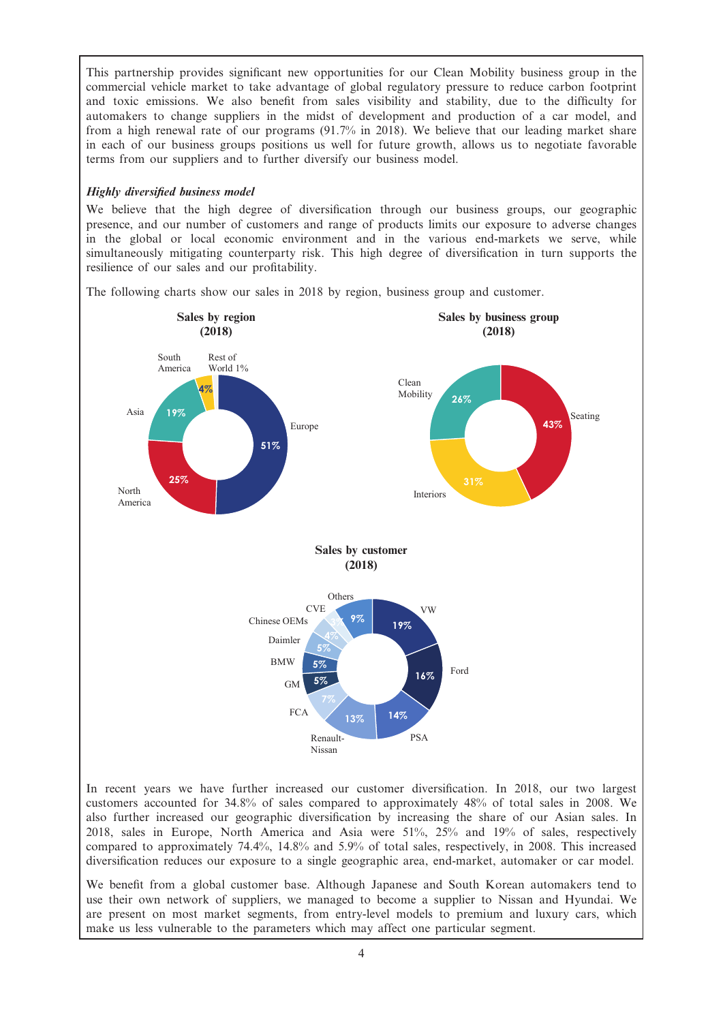This partnership provides significant new opportunities for our Clean Mobility business group in the commercial vehicle market to take advantage of global regulatory pressure to reduce carbon footprint and toxic emissions. We also benefit from sales visibility and stability, due to the difficulty for automakers to change suppliers in the midst of development and production of a car model, and from a high renewal rate of our programs (91.7% in 2018). We believe that our leading market share in each of our business groups positions us well for future growth, allows us to negotiate favorable terms from our suppliers and to further diversify our business model.

## Highly diversified business model

We believe that the high degree of diversification through our business groups, our geographic presence, and our number of customers and range of products limits our exposure to adverse changes in the global or local economic environment and in the various end-markets we serve, while simultaneously mitigating counterparty risk. This high degree of diversification in turn supports the resilience of our sales and our profitability.

The following charts show our sales in 2018 by region, business group and customer.



In recent years we have further increased our customer diversification. In 2018, our two largest customers accounted for 34.8% of sales compared to approximately 48% of total sales in 2008. We also further increased our geographic diversification by increasing the share of our Asian sales. In 2018, sales in Europe, North America and Asia were 51%, 25% and 19% of sales, respectively compared to approximately 74.4%, 14.8% and 5.9% of total sales, respectively, in 2008. This increased diversification reduces our exposure to a single geographic area, end-market, automaker or car model.

We benefit from a global customer base. Although Japanese and South Korean automakers tend to use their own network of suppliers, we managed to become a supplier to Nissan and Hyundai. We are present on most market segments, from entry-level models to premium and luxury cars, which make us less vulnerable to the parameters which may affect one particular segment.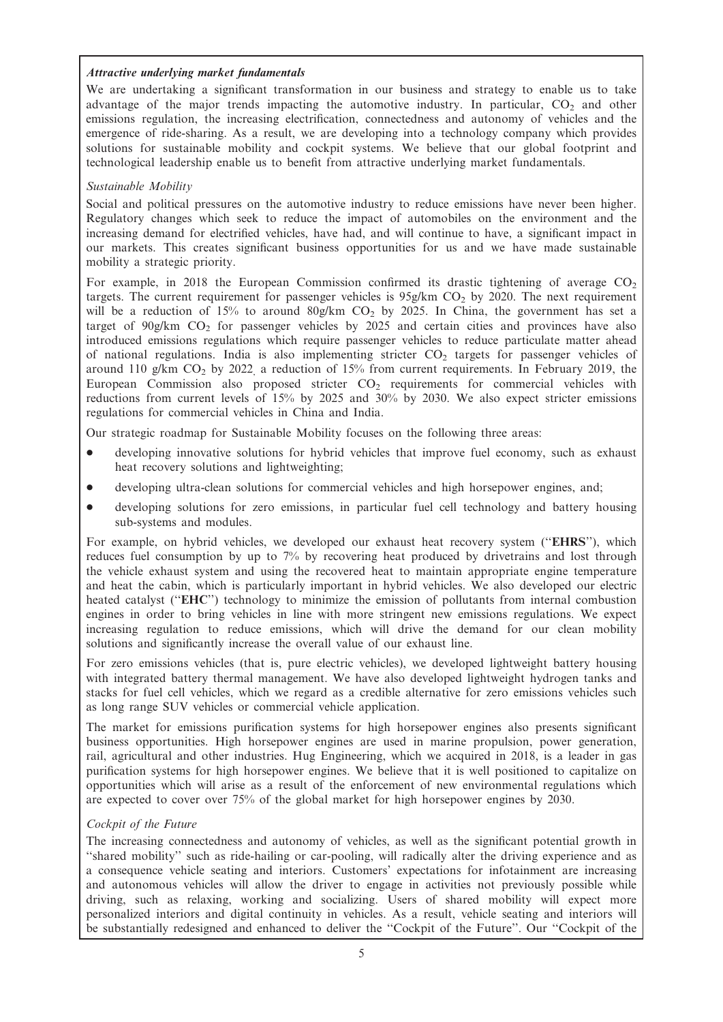## Attractive underlying market fundamentals

We are undertaking a significant transformation in our business and strategy to enable us to take advantage of the major trends impacting the automotive industry. In particular,  $CO<sub>2</sub>$  and other emissions regulation, the increasing electrification, connectedness and autonomy of vehicles and the emergence of ride-sharing. As a result, we are developing into a technology company which provides solutions for sustainable mobility and cockpit systems. We believe that our global footprint and technological leadership enable us to benefit from attractive underlying market fundamentals.

## Sustainable Mobility

Social and political pressures on the automotive industry to reduce emissions have never been higher. Regulatory changes which seek to reduce the impact of automobiles on the environment and the increasing demand for electrified vehicles, have had, and will continue to have, a significant impact in our markets. This creates significant business opportunities for us and we have made sustainable mobility a strategic priority.

For example, in 2018 the European Commission confirmed its drastic tightening of average  $CO<sub>2</sub>$ targets. The current requirement for passenger vehicles is  $95g/km$  CO<sub>2</sub> by 2020. The next requirement will be a reduction of 15% to around 80g/km  $CO<sub>2</sub>$  by 2025. In China, the government has set a target of  $90g/km$  CO<sub>2</sub> for passenger vehicles by  $2025$  and certain cities and provinces have also introduced emissions regulations which require passenger vehicles to reduce particulate matter ahead of national regulations. India is also implementing stricter  $CO<sub>2</sub>$  targets for passenger vehicles of around 110 g/km  $CO<sub>2</sub>$  by 2022, a reduction of 15% from current requirements. In February 2019, the European Commission also proposed stricter  $CO<sub>2</sub>$  requirements for commercial vehicles with reductions from current levels of 15% by 2025 and 30% by 2030. We also expect stricter emissions regulations for commercial vehicles in China and India.

Our strategic roadmap for Sustainable Mobility focuses on the following three areas:

- developing innovative solutions for hybrid vehicles that improve fuel economy, such as exhaust heat recovery solutions and lightweighting;
- developing ultra-clean solutions for commercial vehicles and high horsepower engines, and;
- developing solutions for zero emissions, in particular fuel cell technology and battery housing sub-systems and modules.

For example, on hybrid vehicles, we developed our exhaust heat recovery system ("EHRS"), which reduces fuel consumption by up to 7% by recovering heat produced by drivetrains and lost through the vehicle exhaust system and using the recovered heat to maintain appropriate engine temperature and heat the cabin, which is particularly important in hybrid vehicles. We also developed our electric heated catalyst (''EHC'') technology to minimize the emission of pollutants from internal combustion engines in order to bring vehicles in line with more stringent new emissions regulations. We expect increasing regulation to reduce emissions, which will drive the demand for our clean mobility solutions and significantly increase the overall value of our exhaust line.

For zero emissions vehicles (that is, pure electric vehicles), we developed lightweight battery housing with integrated battery thermal management. We have also developed lightweight hydrogen tanks and stacks for fuel cell vehicles, which we regard as a credible alternative for zero emissions vehicles such as long range SUV vehicles or commercial vehicle application.

The market for emissions purification systems for high horsepower engines also presents significant business opportunities. High horsepower engines are used in marine propulsion, power generation, rail, agricultural and other industries. Hug Engineering, which we acquired in 2018, is a leader in gas purification systems for high horsepower engines. We believe that it is well positioned to capitalize on opportunities which will arise as a result of the enforcement of new environmental regulations which are expected to cover over 75% of the global market for high horsepower engines by 2030.

## Cockpit of the Future

The increasing connectedness and autonomy of vehicles, as well as the significant potential growth in ''shared mobility'' such as ride-hailing or car-pooling, will radically alter the driving experience and as a consequence vehicle seating and interiors. Customers' expectations for infotainment are increasing and autonomous vehicles will allow the driver to engage in activities not previously possible while driving, such as relaxing, working and socializing. Users of shared mobility will expect more personalized interiors and digital continuity in vehicles. As a result, vehicle seating and interiors will be substantially redesigned and enhanced to deliver the "Cockpit of the Future". Our "Cockpit of the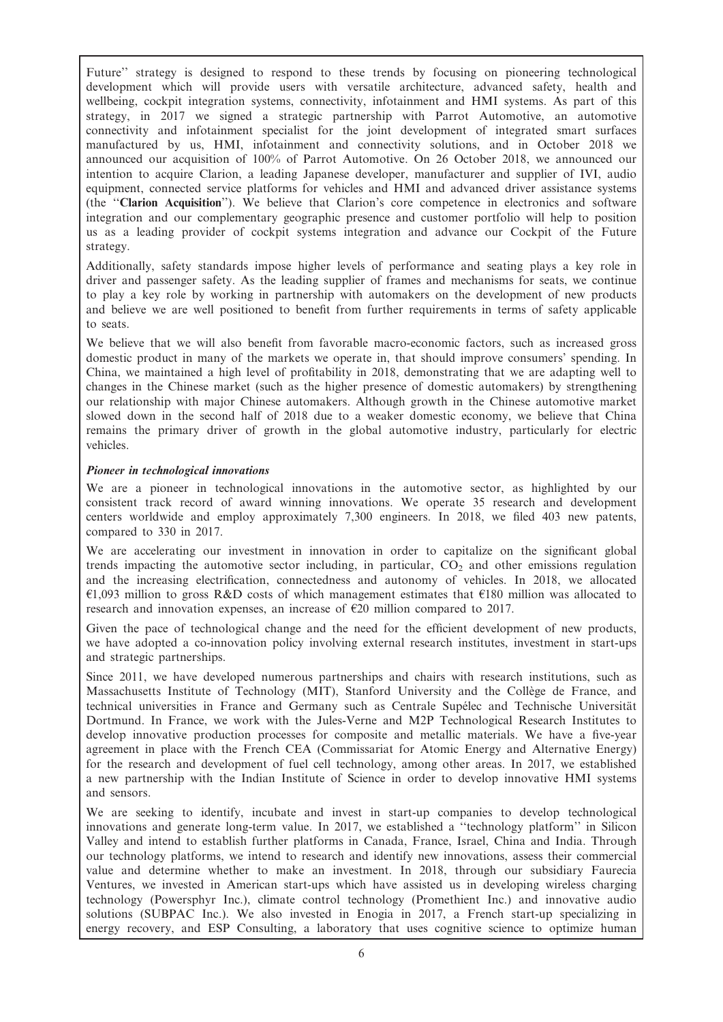Future'' strategy is designed to respond to these trends by focusing on pioneering technological development which will provide users with versatile architecture, advanced safety, health and wellbeing, cockpit integration systems, connectivity, infotainment and HMI systems. As part of this strategy, in 2017 we signed a strategic partnership with Parrot Automotive, an automotive connectivity and infotainment specialist for the joint development of integrated smart surfaces manufactured by us, HMI, infotainment and connectivity solutions, and in October 2018 we announced our acquisition of 100% of Parrot Automotive. On 26 October 2018, we announced our intention to acquire Clarion, a leading Japanese developer, manufacturer and supplier of IVI, audio equipment, connected service platforms for vehicles and HMI and advanced driver assistance systems (the ''Clarion Acquisition''). We believe that Clarion's core competence in electronics and software integration and our complementary geographic presence and customer portfolio will help to position us as a leading provider of cockpit systems integration and advance our Cockpit of the Future strategy.

Additionally, safety standards impose higher levels of performance and seating plays a key role in driver and passenger safety. As the leading supplier of frames and mechanisms for seats, we continue to play a key role by working in partnership with automakers on the development of new products and believe we are well positioned to benefit from further requirements in terms of safety applicable to seats.

We believe that we will also benefit from favorable macro-economic factors, such as increased gross domestic product in many of the markets we operate in, that should improve consumers' spending. In China, we maintained a high level of profitability in 2018, demonstrating that we are adapting well to changes in the Chinese market (such as the higher presence of domestic automakers) by strengthening our relationship with major Chinese automakers. Although growth in the Chinese automotive market slowed down in the second half of 2018 due to a weaker domestic economy, we believe that China remains the primary driver of growth in the global automotive industry, particularly for electric vehicles.

## Pioneer in technological innovations

We are a pioneer in technological innovations in the automotive sector, as highlighted by our consistent track record of award winning innovations. We operate 35 research and development centers worldwide and employ approximately 7,300 engineers. In 2018, we filed 403 new patents, compared to 330 in 2017.

We are accelerating our investment in innovation in order to capitalize on the significant global trends impacting the automotive sector including, in particular,  $CO<sub>2</sub>$  and other emissions regulation and the increasing electrification, connectedness and autonomy of vehicles. In 2018, we allocated  $\epsilon$ 1,093 million to gross R&D costs of which management estimates that  $\epsilon$ 180 million was allocated to research and innovation expenses, an increase of  $\epsilon$ 20 million compared to 2017.

Given the pace of technological change and the need for the efficient development of new products, we have adopted a co-innovation policy involving external research institutes, investment in start-ups and strategic partnerships.

Since 2011, we have developed numerous partnerships and chairs with research institutions, such as Massachusetts Institute of Technology (MIT), Stanford University and the Collège de France, and technical universities in France and Germany such as Centrale Supélec and Technische Universität Dortmund. In France, we work with the Jules-Verne and M2P Technological Research Institutes to develop innovative production processes for composite and metallic materials. We have a five-year agreement in place with the French CEA (Commissariat for Atomic Energy and Alternative Energy) for the research and development of fuel cell technology, among other areas. In 2017, we established a new partnership with the Indian Institute of Science in order to develop innovative HMI systems and sensors.

We are seeking to identify, incubate and invest in start-up companies to develop technological innovations and generate long-term value. In 2017, we established a ''technology platform'' in Silicon Valley and intend to establish further platforms in Canada, France, Israel, China and India. Through our technology platforms, we intend to research and identify new innovations, assess their commercial value and determine whether to make an investment. In 2018, through our subsidiary Faurecia Ventures, we invested in American start-ups which have assisted us in developing wireless charging technology (Powersphyr Inc.), climate control technology (Promethient Inc.) and innovative audio solutions (SUBPAC Inc.). We also invested in Enogia in 2017, a French start-up specializing in energy recovery, and ESP Consulting, a laboratory that uses cognitive science to optimize human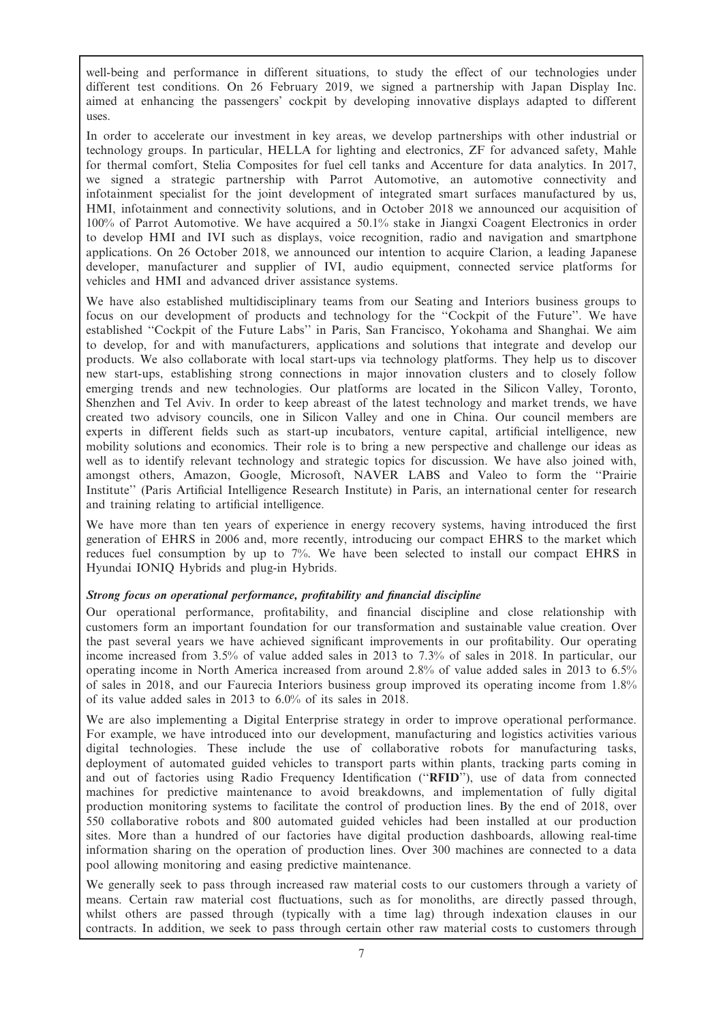well-being and performance in different situations, to study the effect of our technologies under different test conditions. On 26 February 2019, we signed a partnership with Japan Display Inc. aimed at enhancing the passengers' cockpit by developing innovative displays adapted to different uses.

In order to accelerate our investment in key areas, we develop partnerships with other industrial or technology groups. In particular, HELLA for lighting and electronics, ZF for advanced safety, Mahle for thermal comfort, Stelia Composites for fuel cell tanks and Accenture for data analytics. In 2017, we signed a strategic partnership with Parrot Automotive, an automotive connectivity and infotainment specialist for the joint development of integrated smart surfaces manufactured by us, HMI, infotainment and connectivity solutions, and in October 2018 we announced our acquisition of 100% of Parrot Automotive. We have acquired a 50.1% stake in Jiangxi Coagent Electronics in order to develop HMI and IVI such as displays, voice recognition, radio and navigation and smartphone applications. On 26 October 2018, we announced our intention to acquire Clarion, a leading Japanese developer, manufacturer and supplier of IVI, audio equipment, connected service platforms for vehicles and HMI and advanced driver assistance systems.

We have also established multidisciplinary teams from our Seating and Interiors business groups to focus on our development of products and technology for the ''Cockpit of the Future''. We have established ''Cockpit of the Future Labs'' in Paris, San Francisco, Yokohama and Shanghai. We aim to develop, for and with manufacturers, applications and solutions that integrate and develop our products. We also collaborate with local start-ups via technology platforms. They help us to discover new start-ups, establishing strong connections in major innovation clusters and to closely follow emerging trends and new technologies. Our platforms are located in the Silicon Valley, Toronto, Shenzhen and Tel Aviv. In order to keep abreast of the latest technology and market trends, we have created two advisory councils, one in Silicon Valley and one in China. Our council members are experts in different fields such as start-up incubators, venture capital, artificial intelligence, new mobility solutions and economics. Their role is to bring a new perspective and challenge our ideas as well as to identify relevant technology and strategic topics for discussion. We have also joined with, amongst others, Amazon, Google, Microsoft, NAVER LABS and Valeo to form the ''Prairie Institute'' (Paris Artificial Intelligence Research Institute) in Paris, an international center for research and training relating to artificial intelligence.

We have more than ten years of experience in energy recovery systems, having introduced the first generation of EHRS in 2006 and, more recently, introducing our compact EHRS to the market which reduces fuel consumption by up to 7%. We have been selected to install our compact EHRS in Hyundai IONIQ Hybrids and plug-in Hybrids.

## Strong focus on operational performance, profitability and financial discipline

Our operational performance, profitability, and financial discipline and close relationship with customers form an important foundation for our transformation and sustainable value creation. Over the past several years we have achieved significant improvements in our profitability. Our operating income increased from 3.5% of value added sales in 2013 to 7.3% of sales in 2018. In particular, our operating income in North America increased from around 2.8% of value added sales in 2013 to 6.5% of sales in 2018, and our Faurecia Interiors business group improved its operating income from 1.8% of its value added sales in 2013 to 6.0% of its sales in 2018.

We are also implementing a Digital Enterprise strategy in order to improve operational performance. For example, we have introduced into our development, manufacturing and logistics activities various digital technologies. These include the use of collaborative robots for manufacturing tasks, deployment of automated guided vehicles to transport parts within plants, tracking parts coming in and out of factories using Radio Frequency Identification (''RFID''), use of data from connected machines for predictive maintenance to avoid breakdowns, and implementation of fully digital production monitoring systems to facilitate the control of production lines. By the end of 2018, over 550 collaborative robots and 800 automated guided vehicles had been installed at our production sites. More than a hundred of our factories have digital production dashboards, allowing real-time information sharing on the operation of production lines. Over 300 machines are connected to a data pool allowing monitoring and easing predictive maintenance.

We generally seek to pass through increased raw material costs to our customers through a variety of means. Certain raw material cost fluctuations, such as for monoliths, are directly passed through, whilst others are passed through (typically with a time lag) through indexation clauses in our contracts. In addition, we seek to pass through certain other raw material costs to customers through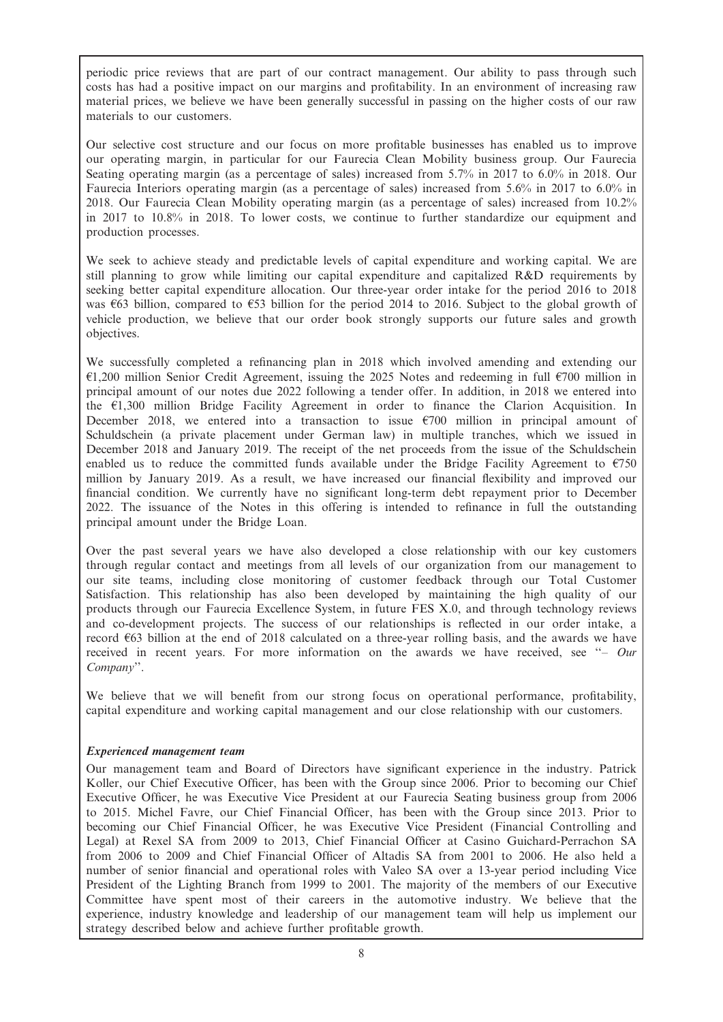periodic price reviews that are part of our contract management. Our ability to pass through such costs has had a positive impact on our margins and profitability. In an environment of increasing raw material prices, we believe we have been generally successful in passing on the higher costs of our raw materials to our customers.

Our selective cost structure and our focus on more profitable businesses has enabled us to improve our operating margin, in particular for our Faurecia Clean Mobility business group. Our Faurecia Seating operating margin (as a percentage of sales) increased from 5.7% in 2017 to 6.0% in 2018. Our Faurecia Interiors operating margin (as a percentage of sales) increased from 5.6% in 2017 to 6.0% in 2018. Our Faurecia Clean Mobility operating margin (as a percentage of sales) increased from 10.2% in 2017 to 10.8% in 2018. To lower costs, we continue to further standardize our equipment and production processes.

We seek to achieve steady and predictable levels of capital expenditure and working capital. We are still planning to grow while limiting our capital expenditure and capitalized R&D requirements by seeking better capital expenditure allocation. Our three-year order intake for the period 2016 to 2018 was  $663$  billion, compared to  $653$  billion for the period 2014 to 2016. Subject to the global growth of vehicle production, we believe that our order book strongly supports our future sales and growth objectives.

We successfully completed a refinancing plan in 2018 which involved amending and extending our  $\epsilon$ 1,200 million Senior Credit Agreement, issuing the 2025 Notes and redeeming in full  $\epsilon$ 700 million in principal amount of our notes due 2022 following a tender offer. In addition, in 2018 we entered into the  $\epsilon$ 1,300 million Bridge Facility Agreement in order to finance the Clarion Acquisition. In December 2018, we entered into a transaction to issue  $\epsilon$ 700 million in principal amount of Schuldschein (a private placement under German law) in multiple tranches, which we issued in December 2018 and January 2019. The receipt of the net proceeds from the issue of the Schuldschein enabled us to reduce the committed funds available under the Bridge Facility Agreement to  $\epsilon$ 750 million by January 2019. As a result, we have increased our financial flexibility and improved our financial condition. We currently have no significant long-term debt repayment prior to December 2022. The issuance of the Notes in this offering is intended to refinance in full the outstanding principal amount under the Bridge Loan.

Over the past several years we have also developed a close relationship with our key customers through regular contact and meetings from all levels of our organization from our management to our site teams, including close monitoring of customer feedback through our Total Customer Satisfaction. This relationship has also been developed by maintaining the high quality of our products through our Faurecia Excellence System, in future FES X.0, and through technology reviews and co-development projects. The success of our relationships is reflected in our order intake, a record  $663$  billion at the end of 2018 calculated on a three-year rolling basis, and the awards we have received in recent years. For more information on the awards we have received, see "- Our Company''.

We believe that we will benefit from our strong focus on operational performance, profitability, capital expenditure and working capital management and our close relationship with our customers.

## Experienced management team

Our management team and Board of Directors have significant experience in the industry. Patrick Koller, our Chief Executive Officer, has been with the Group since 2006. Prior to becoming our Chief Executive Officer, he was Executive Vice President at our Faurecia Seating business group from 2006 to 2015. Michel Favre, our Chief Financial Officer, has been with the Group since 2013. Prior to becoming our Chief Financial Officer, he was Executive Vice President (Financial Controlling and Legal) at Rexel SA from 2009 to 2013, Chief Financial Officer at Casino Guichard-Perrachon SA from 2006 to 2009 and Chief Financial Officer of Altadis SA from 2001 to 2006. He also held a number of senior financial and operational roles with Valeo SA over a 13-year period including Vice President of the Lighting Branch from 1999 to 2001. The majority of the members of our Executive Committee have spent most of their careers in the automotive industry. We believe that the experience, industry knowledge and leadership of our management team will help us implement our strategy described below and achieve further profitable growth.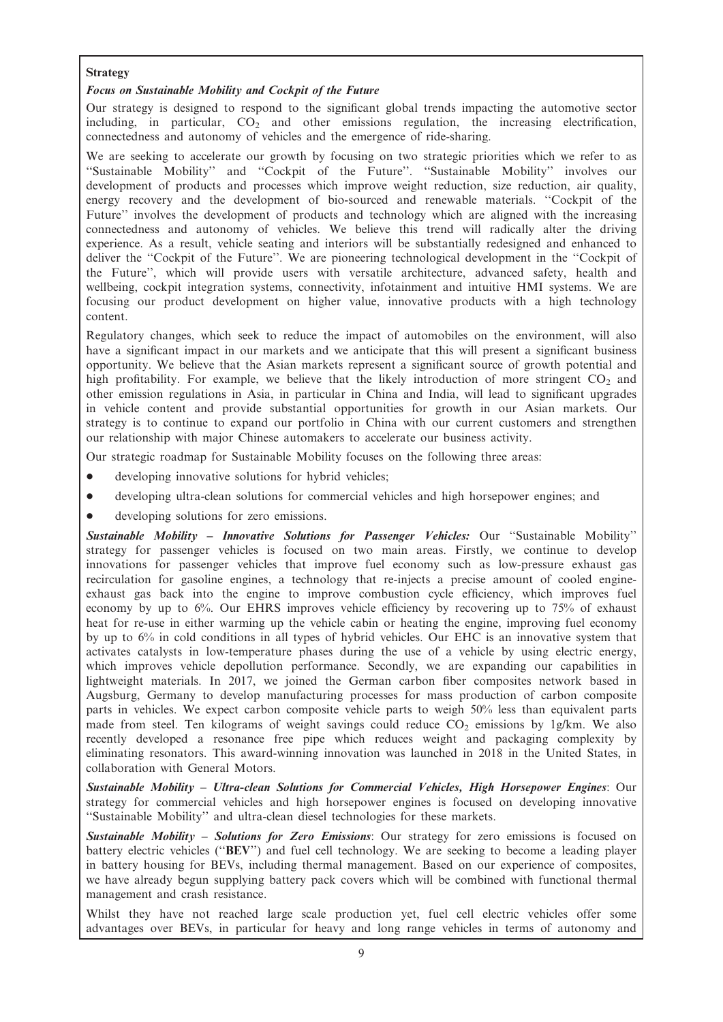## Strategy

## Focus on Sustainable Mobility and Cockpit of the Future

Our strategy is designed to respond to the significant global trends impacting the automotive sector including, in particular,  $CO<sub>2</sub>$  and other emissions regulation, the increasing electrification, connectedness and autonomy of vehicles and the emergence of ride-sharing.

We are seeking to accelerate our growth by focusing on two strategic priorities which we refer to as ''Sustainable Mobility'' and ''Cockpit of the Future''. ''Sustainable Mobility'' involves our development of products and processes which improve weight reduction, size reduction, air quality, energy recovery and the development of bio-sourced and renewable materials. ''Cockpit of the Future'' involves the development of products and technology which are aligned with the increasing connectedness and autonomy of vehicles. We believe this trend will radically alter the driving experience. As a result, vehicle seating and interiors will be substantially redesigned and enhanced to deliver the ''Cockpit of the Future''. We are pioneering technological development in the ''Cockpit of the Future'', which will provide users with versatile architecture, advanced safety, health and wellbeing, cockpit integration systems, connectivity, infotainment and intuitive HMI systems. We are focusing our product development on higher value, innovative products with a high technology content.

Regulatory changes, which seek to reduce the impact of automobiles on the environment, will also have a significant impact in our markets and we anticipate that this will present a significant business opportunity. We believe that the Asian markets represent a significant source of growth potential and high profitability. For example, we believe that the likely introduction of more stringent  $CO<sub>2</sub>$  and other emission regulations in Asia, in particular in China and India, will lead to significant upgrades in vehicle content and provide substantial opportunities for growth in our Asian markets. Our strategy is to continue to expand our portfolio in China with our current customers and strengthen our relationship with major Chinese automakers to accelerate our business activity.

Our strategic roadmap for Sustainable Mobility focuses on the following three areas:

- developing innovative solutions for hybrid vehicles;
- developing ultra-clean solutions for commercial vehicles and high horsepower engines; and
- developing solutions for zero emissions.

Sustainable Mobility - Innovative Solutions for Passenger Vehicles: Our "Sustainable Mobility" strategy for passenger vehicles is focused on two main areas. Firstly, we continue to develop innovations for passenger vehicles that improve fuel economy such as low-pressure exhaust gas recirculation for gasoline engines, a technology that re-injects a precise amount of cooled engineexhaust gas back into the engine to improve combustion cycle efficiency, which improves fuel economy by up to 6%. Our EHRS improves vehicle efficiency by recovering up to 75% of exhaust heat for re-use in either warming up the vehicle cabin or heating the engine, improving fuel economy by up to 6% in cold conditions in all types of hybrid vehicles. Our EHC is an innovative system that activates catalysts in low-temperature phases during the use of a vehicle by using electric energy, which improves vehicle depollution performance. Secondly, we are expanding our capabilities in lightweight materials. In 2017, we joined the German carbon fiber composites network based in Augsburg, Germany to develop manufacturing processes for mass production of carbon composite parts in vehicles. We expect carbon composite vehicle parts to weigh 50% less than equivalent parts made from steel. Ten kilograms of weight savings could reduce  $CO<sub>2</sub>$  emissions by 1g/km. We also recently developed a resonance free pipe which reduces weight and packaging complexity by eliminating resonators. This award-winning innovation was launched in 2018 in the United States, in collaboration with General Motors.

Sustainable Mobility – Ultra-clean Solutions for Commercial Vehicles, High Horsepower Engines: Our strategy for commercial vehicles and high horsepower engines is focused on developing innovative ''Sustainable Mobility'' and ultra-clean diesel technologies for these markets.

Sustainable Mobility – Solutions for Zero Emissions: Our strategy for zero emissions is focused on battery electric vehicles (''BEV'') and fuel cell technology. We are seeking to become a leading player in battery housing for BEVs, including thermal management. Based on our experience of composites, we have already begun supplying battery pack covers which will be combined with functional thermal management and crash resistance.

Whilst they have not reached large scale production yet, fuel cell electric vehicles offer some advantages over BEVs, in particular for heavy and long range vehicles in terms of autonomy and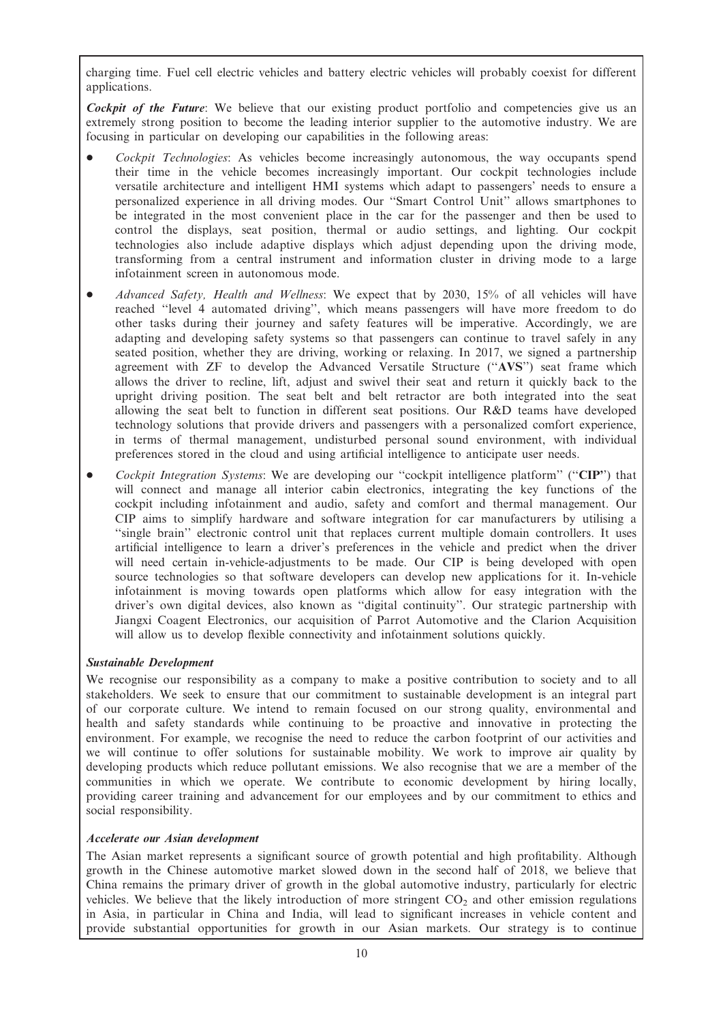charging time. Fuel cell electric vehicles and battery electric vehicles will probably coexist for different applications.

Cockpit of the Future: We believe that our existing product portfolio and competencies give us an extremely strong position to become the leading interior supplier to the automotive industry. We are focusing in particular on developing our capabilities in the following areas:

- Cockpit Technologies: As vehicles become increasingly autonomous, the way occupants spend their time in the vehicle becomes increasingly important. Our cockpit technologies include versatile architecture and intelligent HMI systems which adapt to passengers' needs to ensure a personalized experience in all driving modes. Our ''Smart Control Unit'' allows smartphones to be integrated in the most convenient place in the car for the passenger and then be used to control the displays, seat position, thermal or audio settings, and lighting. Our cockpit technologies also include adaptive displays which adjust depending upon the driving mode, transforming from a central instrument and information cluster in driving mode to a large infotainment screen in autonomous mode.
- Advanced Safety, Health and Wellness: We expect that by 2030, 15% of all vehicles will have reached ''level 4 automated driving'', which means passengers will have more freedom to do other tasks during their journey and safety features will be imperative. Accordingly, we are adapting and developing safety systems so that passengers can continue to travel safely in any seated position, whether they are driving, working or relaxing. In 2017, we signed a partnership agreement with ZF to develop the Advanced Versatile Structure (''AVS'') seat frame which allows the driver to recline, lift, adjust and swivel their seat and return it quickly back to the upright driving position. The seat belt and belt retractor are both integrated into the seat allowing the seat belt to function in different seat positions. Our R&D teams have developed technology solutions that provide drivers and passengers with a personalized comfort experience, in terms of thermal management, undisturbed personal sound environment, with individual preferences stored in the cloud and using artificial intelligence to anticipate user needs.
- Cockpit Integration Systems: We are developing our "cockpit intelligence platform" ("CIP") that will connect and manage all interior cabin electronics, integrating the key functions of the cockpit including infotainment and audio, safety and comfort and thermal management. Our CIP aims to simplify hardware and software integration for car manufacturers by utilising a ''single brain'' electronic control unit that replaces current multiple domain controllers. It uses artificial intelligence to learn a driver's preferences in the vehicle and predict when the driver will need certain in-vehicle-adjustments to be made. Our CIP is being developed with open source technologies so that software developers can develop new applications for it. In-vehicle infotainment is moving towards open platforms which allow for easy integration with the driver's own digital devices, also known as ''digital continuity''. Our strategic partnership with Jiangxi Coagent Electronics, our acquisition of Parrot Automotive and the Clarion Acquisition will allow us to develop flexible connectivity and infotainment solutions quickly.

## Sustainable Development

We recognise our responsibility as a company to make a positive contribution to society and to all stakeholders. We seek to ensure that our commitment to sustainable development is an integral part of our corporate culture. We intend to remain focused on our strong quality, environmental and health and safety standards while continuing to be proactive and innovative in protecting the environment. For example, we recognise the need to reduce the carbon footprint of our activities and we will continue to offer solutions for sustainable mobility. We work to improve air quality by developing products which reduce pollutant emissions. We also recognise that we are a member of the communities in which we operate. We contribute to economic development by hiring locally, providing career training and advancement for our employees and by our commitment to ethics and social responsibility.

## Accelerate our Asian development

The Asian market represents a significant source of growth potential and high profitability. Although growth in the Chinese automotive market slowed down in the second half of 2018, we believe that China remains the primary driver of growth in the global automotive industry, particularly for electric vehicles. We believe that the likely introduction of more stringent  $CO<sub>2</sub>$  and other emission regulations in Asia, in particular in China and India, will lead to significant increases in vehicle content and provide substantial opportunities for growth in our Asian markets. Our strategy is to continue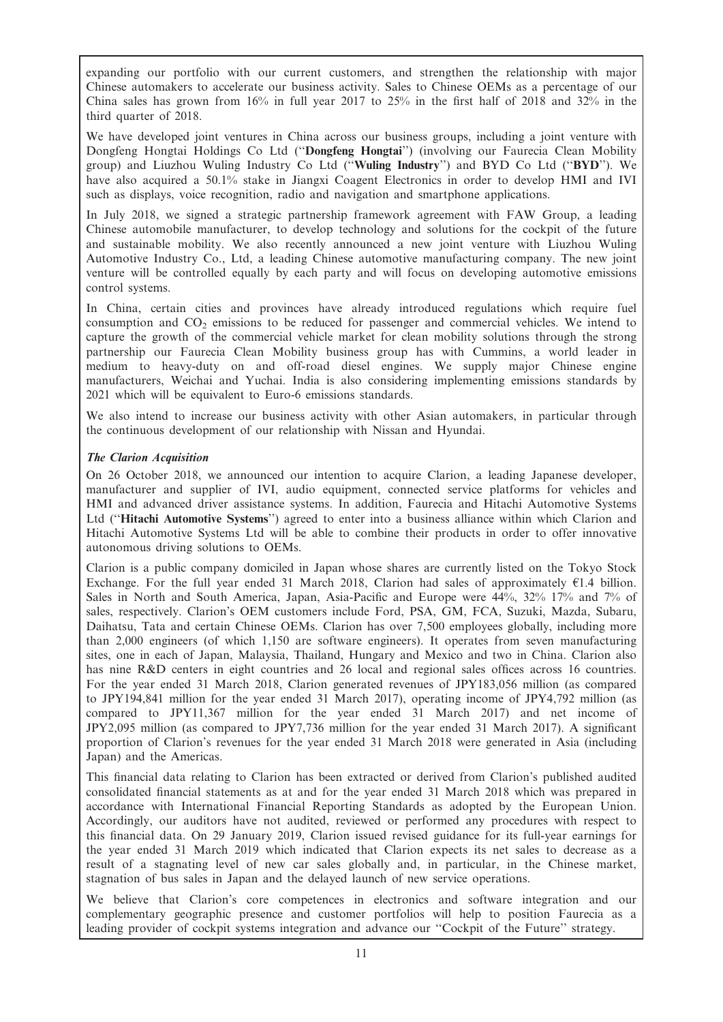expanding our portfolio with our current customers, and strengthen the relationship with major Chinese automakers to accelerate our business activity. Sales to Chinese OEMs as a percentage of our China sales has grown from  $16\%$  in full year 2017 to 25% in the first half of 2018 and 32% in the third quarter of 2018.

We have developed joint ventures in China across our business groups, including a joint venture with Dongfeng Hongtai Holdings Co Ltd (''Dongfeng Hongtai'') (involving our Faurecia Clean Mobility group) and Liuzhou Wuling Industry Co Ltd (''Wuling Industry'') and BYD Co Ltd (''BYD''). We have also acquired a 50.1% stake in Jiangxi Coagent Electronics in order to develop HMI and IVI such as displays, voice recognition, radio and navigation and smartphone applications.

In July 2018, we signed a strategic partnership framework agreement with FAW Group, a leading Chinese automobile manufacturer, to develop technology and solutions for the cockpit of the future and sustainable mobility. We also recently announced a new joint venture with Liuzhou Wuling Automotive Industry Co., Ltd, a leading Chinese automotive manufacturing company. The new joint venture will be controlled equally by each party and will focus on developing automotive emissions control systems.

In China, certain cities and provinces have already introduced regulations which require fuel consumption and  $CO<sub>2</sub>$  emissions to be reduced for passenger and commercial vehicles. We intend to capture the growth of the commercial vehicle market for clean mobility solutions through the strong partnership our Faurecia Clean Mobility business group has with Cummins, a world leader in medium to heavy-duty on and off-road diesel engines. We supply major Chinese engine manufacturers, Weichai and Yuchai. India is also considering implementing emissions standards by 2021 which will be equivalent to Euro-6 emissions standards.

We also intend to increase our business activity with other Asian automakers, in particular through the continuous development of our relationship with Nissan and Hyundai.

## The Clarion Acquisition

On 26 October 2018, we announced our intention to acquire Clarion, a leading Japanese developer, manufacturer and supplier of IVI, audio equipment, connected service platforms for vehicles and HMI and advanced driver assistance systems. In addition, Faurecia and Hitachi Automotive Systems Ltd (''Hitachi Automotive Systems'') agreed to enter into a business alliance within which Clarion and Hitachi Automotive Systems Ltd will be able to combine their products in order to offer innovative autonomous driving solutions to OEMs.

Clarion is a public company domiciled in Japan whose shares are currently listed on the Tokyo Stock Exchange. For the full year ended 31 March 2018, Clarion had sales of approximately  $\epsilon$ 1.4 billion. Sales in North and South America, Japan, Asia-Pacific and Europe were 44%, 32% 17% and 7% of sales, respectively. Clarion's OEM customers include Ford, PSA, GM, FCA, Suzuki, Mazda, Subaru, Daihatsu, Tata and certain Chinese OEMs. Clarion has over 7,500 employees globally, including more than 2,000 engineers (of which 1,150 are software engineers). It operates from seven manufacturing sites, one in each of Japan, Malaysia, Thailand, Hungary and Mexico and two in China. Clarion also has nine R&D centers in eight countries and 26 local and regional sales offices across 16 countries. For the year ended 31 March 2018, Clarion generated revenues of JPY183,056 million (as compared to JPY194,841 million for the year ended 31 March 2017), operating income of JPY4,792 million (as compared to JPY11,367 million for the year ended 31 March 2017) and net income of JPY2,095 million (as compared to JPY7,736 million for the year ended 31 March 2017). A significant proportion of Clarion's revenues for the year ended 31 March 2018 were generated in Asia (including Japan) and the Americas.

This financial data relating to Clarion has been extracted or derived from Clarion's published audited consolidated financial statements as at and for the year ended 31 March 2018 which was prepared in accordance with International Financial Reporting Standards as adopted by the European Union. Accordingly, our auditors have not audited, reviewed or performed any procedures with respect to this financial data. On 29 January 2019, Clarion issued revised guidance for its full-year earnings for the year ended 31 March 2019 which indicated that Clarion expects its net sales to decrease as a result of a stagnating level of new car sales globally and, in particular, in the Chinese market, stagnation of bus sales in Japan and the delayed launch of new service operations.

We believe that Clarion's core competences in electronics and software integration and our complementary geographic presence and customer portfolios will help to position Faurecia as a leading provider of cockpit systems integration and advance our ''Cockpit of the Future'' strategy.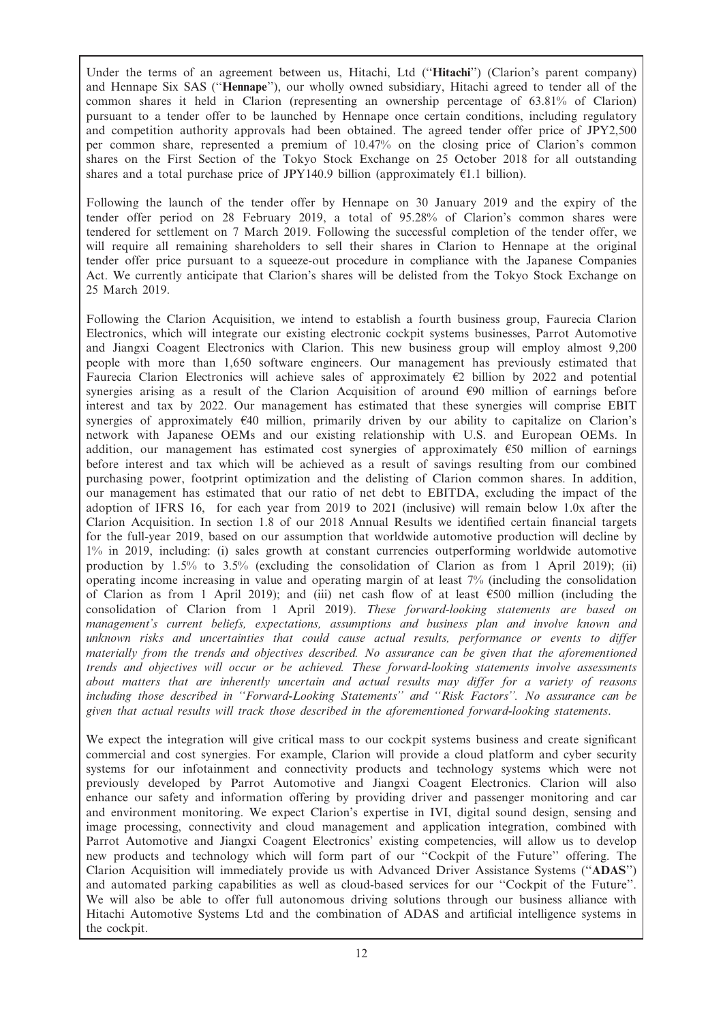Under the terms of an agreement between us, Hitachi, Ltd (''Hitachi'') (Clarion's parent company) and Hennape Six SAS (''Hennape''), our wholly owned subsidiary, Hitachi agreed to tender all of the common shares it held in Clarion (representing an ownership percentage of 63.81% of Clarion) pursuant to a tender offer to be launched by Hennape once certain conditions, including regulatory and competition authority approvals had been obtained. The agreed tender offer price of JPY2,500 per common share, represented a premium of 10.47% on the closing price of Clarion's common shares on the First Section of the Tokyo Stock Exchange on 25 October 2018 for all outstanding shares and a total purchase price of JPY140.9 billion (approximately  $E1.1$  billion).

Following the launch of the tender offer by Hennape on 30 January 2019 and the expiry of the tender offer period on 28 February 2019, a total of 95.28% of Clarion's common shares were tendered for settlement on 7 March 2019. Following the successful completion of the tender offer, we will require all remaining shareholders to sell their shares in Clarion to Hennape at the original tender offer price pursuant to a squeeze-out procedure in compliance with the Japanese Companies Act. We currently anticipate that Clarion's shares will be delisted from the Tokyo Stock Exchange on 25 March 2019.

Following the Clarion Acquisition, we intend to establish a fourth business group, Faurecia Clarion Electronics, which will integrate our existing electronic cockpit systems businesses, Parrot Automotive and Jiangxi Coagent Electronics with Clarion. This new business group will employ almost 9,200 people with more than 1,650 software engineers. Our management has previously estimated that Faurecia Clarion Electronics will achieve sales of approximately  $E2$  billion by 2022 and potential synergies arising as a result of the Clarion Acquisition of around  $\epsilon$ 90 million of earnings before interest and tax by 2022. Our management has estimated that these synergies will comprise EBIT synergies of approximately  $\epsilon$ 40 million, primarily driven by our ability to capitalize on Clarion's network with Japanese OEMs and our existing relationship with U.S. and European OEMs. In addition, our management has estimated cost synergies of approximately  $\epsilon$ 50 million of earnings before interest and tax which will be achieved as a result of savings resulting from our combined purchasing power, footprint optimization and the delisting of Clarion common shares. In addition, our management has estimated that our ratio of net debt to EBITDA, excluding the impact of the adoption of IFRS 16, for each year from 2019 to 2021 (inclusive) will remain below 1.0x after the Clarion Acquisition. In section 1.8 of our 2018 Annual Results we identified certain financial targets for the full-year 2019, based on our assumption that worldwide automotive production will decline by 1% in 2019, including: (i) sales growth at constant currencies outperforming worldwide automotive production by 1.5% to 3.5% (excluding the consolidation of Clarion as from 1 April 2019); (ii) operating income increasing in value and operating margin of at least 7% (including the consolidation of Clarion as from 1 April 2019); and (iii) net cash flow of at least  $\epsilon$ 500 million (including the consolidation of Clarion from 1 April 2019). These forward-looking statements are based on management's current beliefs, expectations, assumptions and business plan and involve known and unknown risks and uncertainties that could cause actual results, performance or events to differ materially from the trends and objectives described. No assurance can be given that the aforementioned trends and objectives will occur or be achieved. These forward-looking statements involve assessments about matters that are inherently uncertain and actual results may differ for a variety of reasons including those described in ''Forward-Looking Statements'' and ''Risk Factors''. No assurance can be given that actual results will track those described in the aforementioned forward-looking statements.

We expect the integration will give critical mass to our cockpit systems business and create significant commercial and cost synergies. For example, Clarion will provide a cloud platform and cyber security systems for our infotainment and connectivity products and technology systems which were not previously developed by Parrot Automotive and Jiangxi Coagent Electronics. Clarion will also enhance our safety and information offering by providing driver and passenger monitoring and car and environment monitoring. We expect Clarion's expertise in IVI, digital sound design, sensing and image processing, connectivity and cloud management and application integration, combined with Parrot Automotive and Jiangxi Coagent Electronics' existing competencies, will allow us to develop new products and technology which will form part of our ''Cockpit of the Future'' offering. The Clarion Acquisition will immediately provide us with Advanced Driver Assistance Systems (''ADAS'') and automated parking capabilities as well as cloud-based services for our ''Cockpit of the Future''. We will also be able to offer full autonomous driving solutions through our business alliance with Hitachi Automotive Systems Ltd and the combination of ADAS and artificial intelligence systems in the cockpit.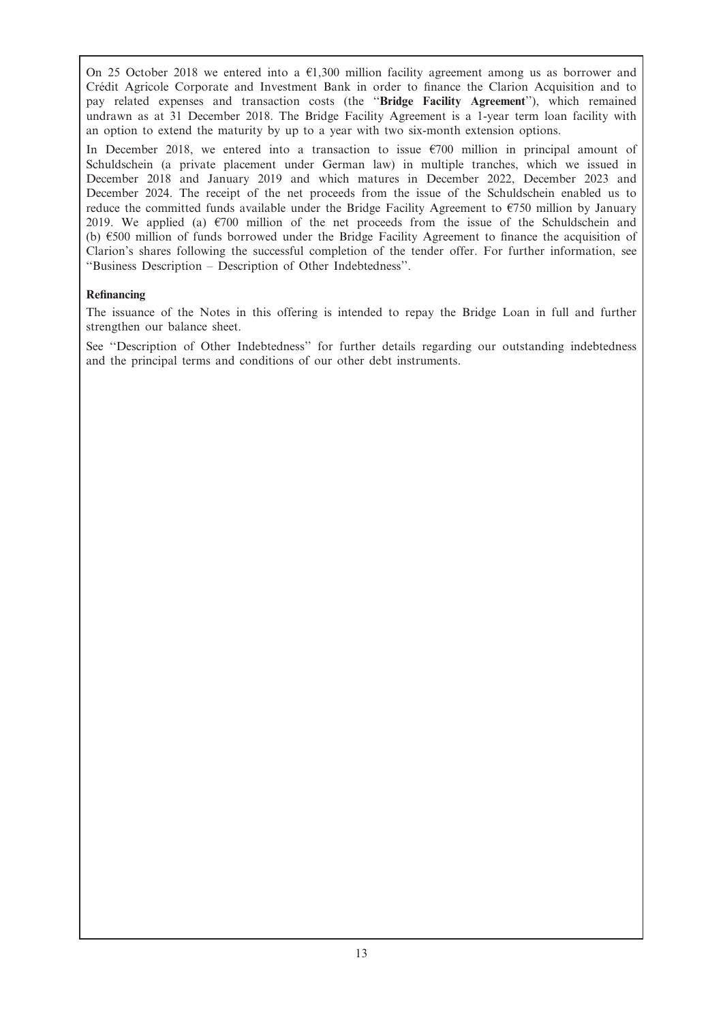On 25 October 2018 we entered into a  $\epsilon$ 1,300 million facility agreement among us as borrower and Crédit Agricole Corporate and Investment Bank in order to finance the Clarion Acquisition and to pay related expenses and transaction costs (the ''Bridge Facility Agreement''), which remained undrawn as at 31 December 2018. The Bridge Facility Agreement is a 1-year term loan facility with an option to extend the maturity by up to a year with two six-month extension options.

In December 2018, we entered into a transaction to issue  $\epsilon$ 700 million in principal amount of Schuldschein (a private placement under German law) in multiple tranches, which we issued in December 2018 and January 2019 and which matures in December 2022, December 2023 and December 2024. The receipt of the net proceeds from the issue of the Schuldschein enabled us to reduce the committed funds available under the Bridge Facility Agreement to  $\epsilon$ 750 million by January 2019. We applied (a)  $\epsilon$ 700 million of the net proceeds from the issue of the Schuldschein and (b)  $\epsilon$ 500 million of funds borrowed under the Bridge Facility Agreement to finance the acquisition of Clarion's shares following the successful completion of the tender offer. For further information, see ''Business Description – Description of Other Indebtedness''.

## Refinancing

The issuance of the Notes in this offering is intended to repay the Bridge Loan in full and further strengthen our balance sheet.

See ''Description of Other Indebtedness'' for further details regarding our outstanding indebtedness and the principal terms and conditions of our other debt instruments.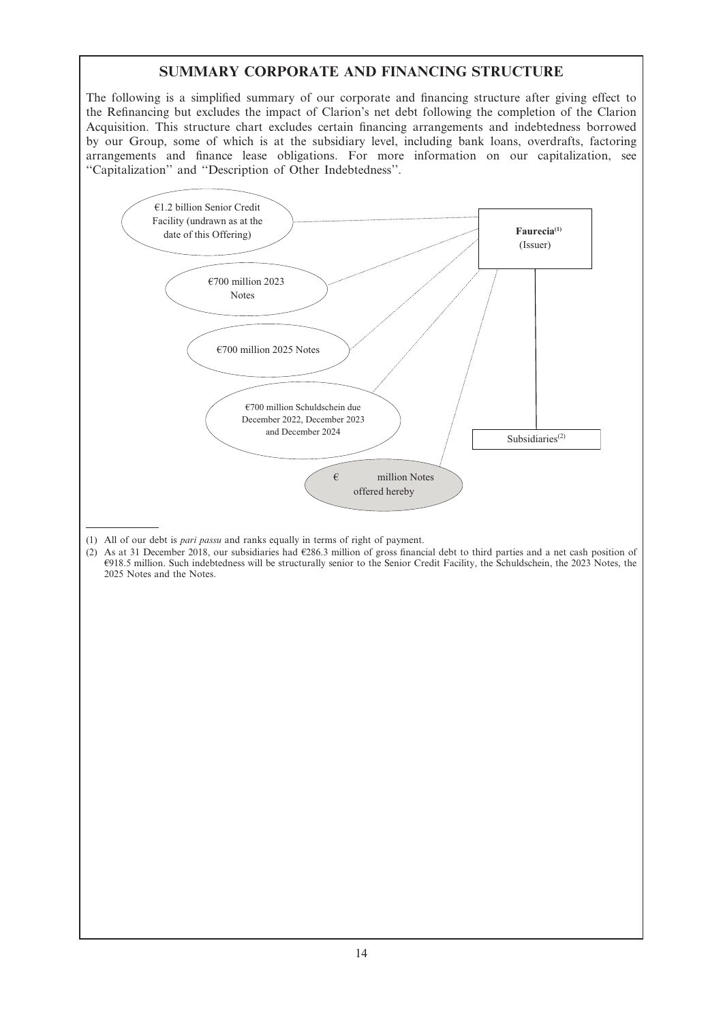# SUMMARY CORPORATE AND FINANCING STRUCTURE

The following is a simplified summary of our corporate and financing structure after giving effect to the Refinancing but excludes the impact of Clarion's net debt following the completion of the Clarion Acquisition. This structure chart excludes certain financing arrangements and indebtedness borrowed by our Group, some of which is at the subsidiary level, including bank loans, overdrafts, factoring arrangements and finance lease obligations. For more information on our capitalization, see ''Capitalization'' and ''Description of Other Indebtedness''.



- (1) All of our debt is pari passu and ranks equally in terms of right of payment.
- (2) As at 31 December 2018, our subsidiaries had  $\epsilon$ 286.3 million of gross financial debt to third parties and a net cash position of A918.5 million. Such indebtedness will be structurally senior to the Senior Credit Facility, the Schuldschein, the 2023 Notes, the 2025 Notes and the Notes.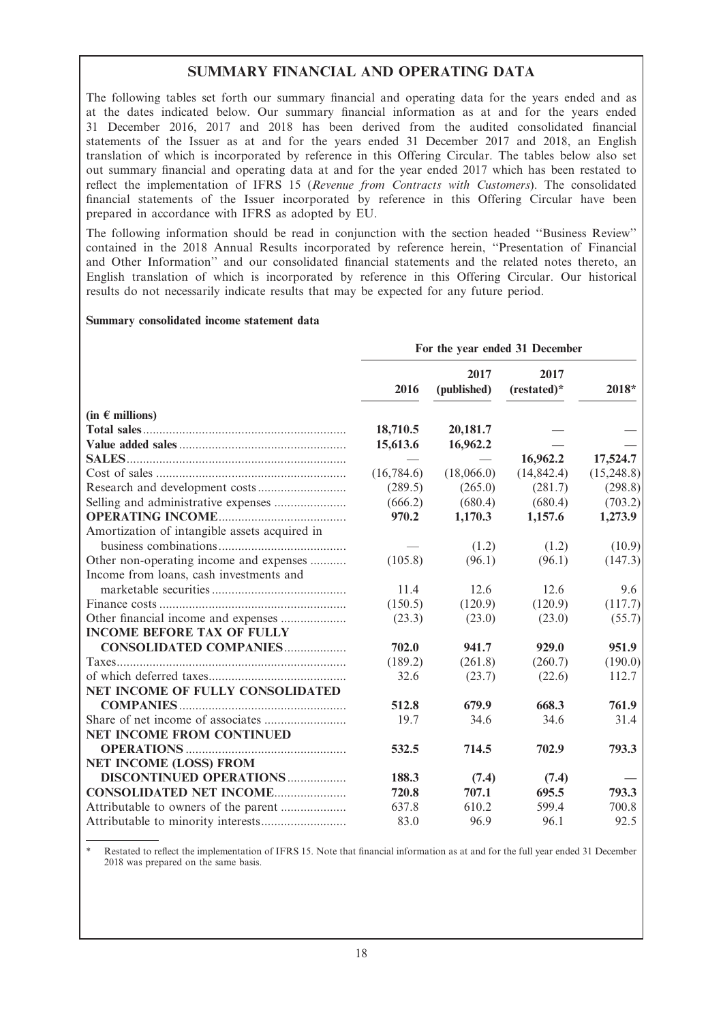# SUMMARY FINANCIAL AND OPERATING DATA

The following tables set forth our summary financial and operating data for the years ended and as at the dates indicated below. Our summary financial information as at and for the years ended 31 December 2016, 2017 and 2018 has been derived from the audited consolidated financial statements of the Issuer as at and for the years ended 31 December 2017 and 2018, an English translation of which is incorporated by reference in this Offering Circular. The tables below also set out summary financial and operating data at and for the year ended 2017 which has been restated to reflect the implementation of IFRS 15 (Revenue from Contracts with Customers). The consolidated financial statements of the Issuer incorporated by reference in this Offering Circular have been prepared in accordance with IFRS as adopted by EU.

The following information should be read in conjunction with the section headed ''Business Review'' contained in the 2018 Annual Results incorporated by reference herein, ''Presentation of Financial and Other Information'' and our consolidated financial statements and the related notes thereto, an English translation of which is incorporated by reference in this Offering Circular. Our historical results do not necessarily indicate results that may be expected for any future period.

## Summary consolidated income statement data

|                                               | For the year ended 31 December |                     |                     |            |  |  |
|-----------------------------------------------|--------------------------------|---------------------|---------------------|------------|--|--|
|                                               | 2016                           | 2017<br>(published) | 2017<br>(restated)* | 2018*      |  |  |
| $(in \in$ millions)                           |                                |                     |                     |            |  |  |
|                                               | 18,710.5                       | 20,181.7            |                     |            |  |  |
|                                               | 15,613.6                       | 16,962.2            |                     |            |  |  |
|                                               |                                |                     | 16,962.2            | 17,524.7   |  |  |
|                                               | (16,784.6)                     | (18,066.0)          | (14, 842.4)         | (15,248.8) |  |  |
|                                               | (289.5)                        | (265.0)             | (281.7)             | (298.8)    |  |  |
| Selling and administrative expenses           | (666.2)                        | (680.4)             | (680.4)             | (703.2)    |  |  |
|                                               | 970.2                          | 1,170.3             | 1,157.6             | 1,273.9    |  |  |
| Amortization of intangible assets acquired in |                                |                     |                     |            |  |  |
|                                               |                                | (1.2)               | (1.2)               | (10.9)     |  |  |
| Other non-operating income and expenses       | (105.8)                        | (96.1)              | (96.1)              | (147.3)    |  |  |
| Income from loans, cash investments and       |                                |                     |                     |            |  |  |
|                                               | 11.4                           | 12.6                | 12.6                | 9.6        |  |  |
|                                               | (150.5)                        | (120.9)             | (120.9)             | (117.7)    |  |  |
| Other financial income and expenses           | (23.3)                         | (23.0)              | (23.0)              | (55.7)     |  |  |
| <b>INCOME BEFORE TAX OF FULLY</b>             |                                |                     |                     |            |  |  |
| <b>CONSOLIDATED COMPANIES</b>                 | 702.0                          | 941.7               | 929.0               | 951.9      |  |  |
|                                               | (189.2)                        | (261.8)             | (260.7)             | (190.0)    |  |  |
|                                               | 32.6                           | (23.7)              | (22.6)              | 112.7      |  |  |
| NET INCOME OF FULLY CONSOLIDATED              |                                |                     |                     |            |  |  |
|                                               | 512.8                          | 679.9               | 668.3               | 761.9      |  |  |
|                                               | 19.7                           | 34.6                | 34.6                | 31.4       |  |  |
| <b>NET INCOME FROM CONTINUED</b>              |                                |                     |                     |            |  |  |
|                                               | 532.5                          | 714.5               | 702.9               | 793.3      |  |  |
| <b>NET INCOME (LOSS) FROM</b>                 |                                |                     |                     |            |  |  |
| <b>DISCONTINUED OPERATIONS </b>               | 188.3                          | (7.4)               | (7.4)               |            |  |  |
| <b>CONSOLIDATED NET INCOME</b>                | 720.8                          | 707.1               | 695.5               | 793.3      |  |  |
| Attributable to owners of the parent          | 637.8                          | 610.2               | 599.4               | 700.8      |  |  |
|                                               | 83.0                           | 96.9                | 96.1                | 92.5       |  |  |

Restated to reflect the implementation of IFRS 15. Note that financial information as at and for the full year ended 31 December 2018 was prepared on the same basis.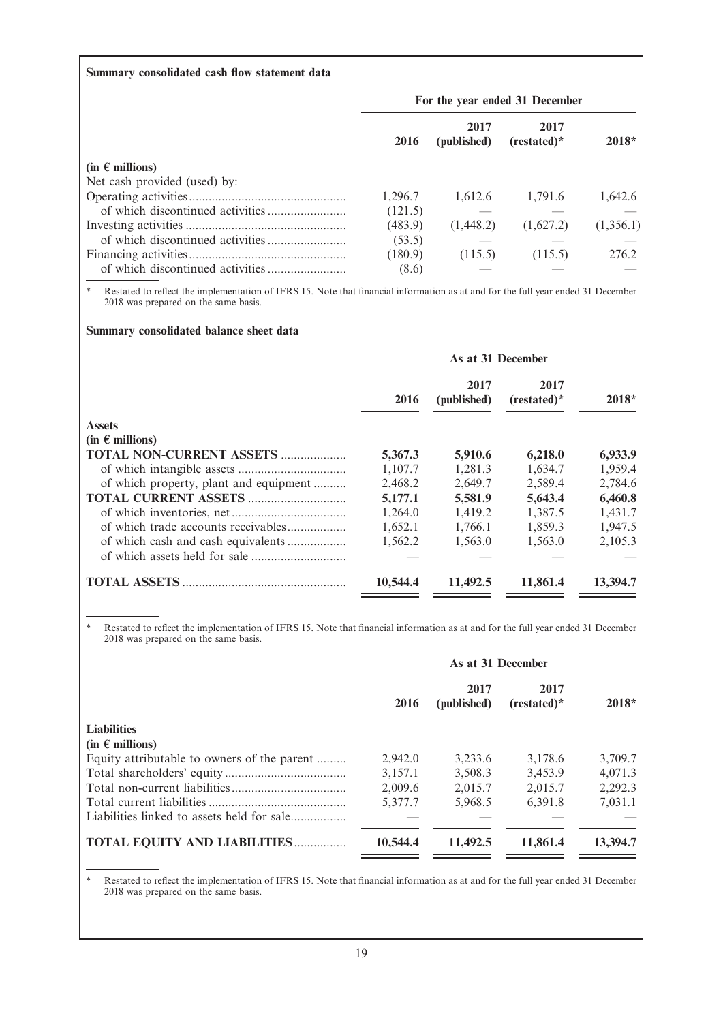## Summary consolidated cash flow statement data

|                              | For the year ended 31 December |                     |                       |           |  |
|------------------------------|--------------------------------|---------------------|-----------------------|-----------|--|
|                              | 2016                           | 2017<br>(published) | 2017<br>$(restated)*$ | $2018*$   |  |
| $(in \in millions)$          |                                |                     |                       |           |  |
| Net cash provided (used) by: |                                |                     |                       |           |  |
|                              | 1,296.7                        | 1.612.6             | 1.791.6               | 1,642.6   |  |
|                              | (121.5)                        |                     |                       |           |  |
|                              | (483.9)                        | (1,448.2)           | (1,627.2)             | (1,356.1) |  |
|                              | (53.5)                         |                     |                       |           |  |
|                              | (180.9)                        | (115.5)             | (115.5)               | 276.2     |  |
|                              | (8.6)                          |                     |                       |           |  |

\* Restated to reflect the implementation of IFRS 15. Note that financial information as at and for the full year ended 31 December 2018 was prepared on the same basis.

## Summary consolidated balance sheet data

| $2018*$  |
|----------|
|          |
|          |
| 6,933.9  |
| 1,959.4  |
| 2,784.6  |
| 6,460.8  |
| 1,431.7  |
| 1,947.5  |
| 2,105.3  |
|          |
| 13,394.7 |
|          |

\* Restated to reflect the implementation of IFRS 15. Note that financial information as at and for the full year ended 31 December 2018 was prepared on the same basis.

|                                             | As at 31 December |                     |                       |          |  |
|---------------------------------------------|-------------------|---------------------|-----------------------|----------|--|
|                                             | 2016              | 2017<br>(published) | 2017<br>$(restated)*$ | $2018*$  |  |
| <b>Liabilities</b>                          |                   |                     |                       |          |  |
| $(in \in millions)$                         |                   |                     |                       |          |  |
| Equity attributable to owners of the parent | 2.942.0           | 3.233.6             | 3.178.6               | 3.709.7  |  |
|                                             | 3.157.1           | 3,508.3             | 3.453.9               | 4.071.3  |  |
|                                             | 2.009.6           | 2.015.7             | 2.015.7               | 2,292.3  |  |
|                                             | 5,377.7           | 5,968.5             | 6.391.8               | 7,031.1  |  |
| Liabilities linked to assets held for sale  |                   |                     |                       |          |  |
| <b>TOTAL EQUITY AND LIABILITIES</b>         | 10,544.4          | 11,492.5            | 11,861.4              | 13,394.7 |  |

\* Restated to reflect the implementation of IFRS 15. Note that financial information as at and for the full year ended 31 December 2018 was prepared on the same basis.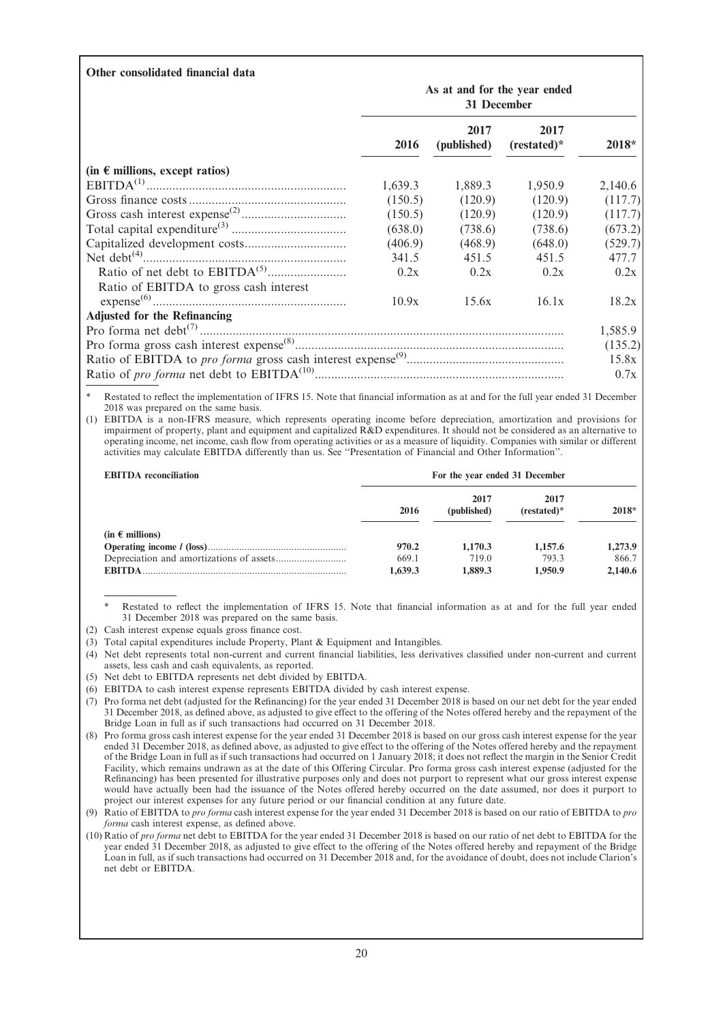| Other consolidated financial data       |                                             |                     |                       |         |
|-----------------------------------------|---------------------------------------------|---------------------|-----------------------|---------|
|                                         | As at and for the year ended<br>31 December |                     |                       |         |
|                                         | 2016                                        | 2017<br>(published) | 2017<br>$(restated)*$ | 2018*   |
| (in $\epsilon$ millions, except ratios) |                                             |                     |                       |         |
|                                         | 1,639.3                                     | 1,889.3             | 1,950.9               | 2,140.6 |
|                                         | (150.5)                                     | (120.9)             | (120.9)               | (117.7) |
|                                         | (150.5)                                     | (120.9)             | (120.9)               | (117.7) |
|                                         | (638.0)                                     | (738.6)             | (738.6)               | (673.2) |
|                                         | (406.9)                                     | (468.9)             | (648.0)               | (529.7) |
|                                         | 341.5                                       | 451.5               | 451.5                 | 477.7   |
|                                         | 0.2x                                        | 0.2x                | 0.2x                  | 0.2x    |
| Ratio of EBITDA to gross cash interest  |                                             |                     |                       |         |
|                                         | 10.9x                                       | 15.6x               | 16.1x                 | 18.2x   |
| <b>Adjusted for the Refinancing</b>     |                                             |                     |                       |         |
|                                         |                                             |                     |                       | 1,585.9 |
|                                         |                                             |                     |                       | (135.2) |
|                                         |                                             |                     |                       | 15.8x   |
|                                         |                                             |                     |                       | 0.7x    |
|                                         |                                             |                     |                       |         |

Restated to reflect the implementation of IFRS 15. Note that financial information as at and for the full year ended 31 December 2018 was prepared on the same basis.

(1) EBITDA is a non-IFRS measure, which represents operating income before depreciation, amortization and provisions for impairment of property, plant and equipment and capitalized R&D expenditures. It should not be considered as an alternative to operating income, net income, cash flow from operating activities or as a measure of liquidity. Companies with similar or different activities may calculate EBITDA differently than us. See ''Presentation of Financial and Other Information''.

| <b>EBITDA</b> reconciliation |         | For the year ended 31 December |                     |         |
|------------------------------|---------|--------------------------------|---------------------|---------|
|                              | 2016    | 2017<br>(published)            | 2017<br>$(rested)*$ | $2018*$ |
| $(in \in millions)$          |         |                                |                     |         |
|                              | 970.2   | 1.170.3                        | 1.157.6             | 1,273.9 |
|                              | 669.1   | 719.0                          | 793.3               | 866.7   |
| <b>EBITDA</b>                | 1,639.3 | 1,889.3                        | 1.950.9             | 2,140.6 |

Restated to reflect the implementation of IFRS 15. Note that financial information as at and for the full year ended 31 December 2018 was prepared on the same basis.

- (2) Cash interest expense equals gross finance cost.
- (3) Total capital expenditures include Property, Plant & Equipment and Intangibles.
- (4) Net debt represents total non-current and current financial liabilities, less derivatives classified under non-current and current assets, less cash and cash equivalents, as reported.
- (5) Net debt to EBITDA represents net debt divided by EBITDA.
- (6) EBITDA to cash interest expense represents EBITDA divided by cash interest expense.
- (7) Pro forma net debt (adjusted for the Refinancing) for the year ended 31 December 2018 is based on our net debt for the year ended 31 December 2018, as defined above, as adjusted to give effect to the offering of the Notes offered hereby and the repayment of the Bridge Loan in full as if such transactions had occurred on 31 December 2018.
- (8) Pro forma gross cash interest expense for the year ended 31 December 2018 is based on our gross cash interest expense for the year ended 31 December 2018, as defined above, as adjusted to give effect to the offering of the Notes offered hereby and the repayment of the Bridge Loan in full as if such transactions had occurred on 1 January 2018; it does not reflect the margin in the Senior Credit Facility, which remains undrawn as at the date of this Offering Circular. Pro forma gross cash interest expense (adjusted for the Refinancing) has been presented for illustrative purposes only and does not purport to represent what our gross interest expense would have actually been had the issuance of the Notes offered hereby occurred on the date assumed, nor does it purport to project our interest expenses for any future period or our financial condition at any future date.

(9) Ratio of EBITDA to pro forma cash interest expense for the year ended 31 December 2018 is based on our ratio of EBITDA to pro forma cash interest expense, as defined above.

(10) Ratio of pro forma net debt to EBITDA for the year ended 31 December 2018 is based on our ratio of net debt to EBITDA for the year ended 31 December 2018, as adjusted to give effect to the offering of the Notes offered hereby and repayment of the Bridge Loan in full, as if such transactions had occurred on 31 December 2018 and, for the avoidance of doubt, does not include Clarion's net debt or EBITDA.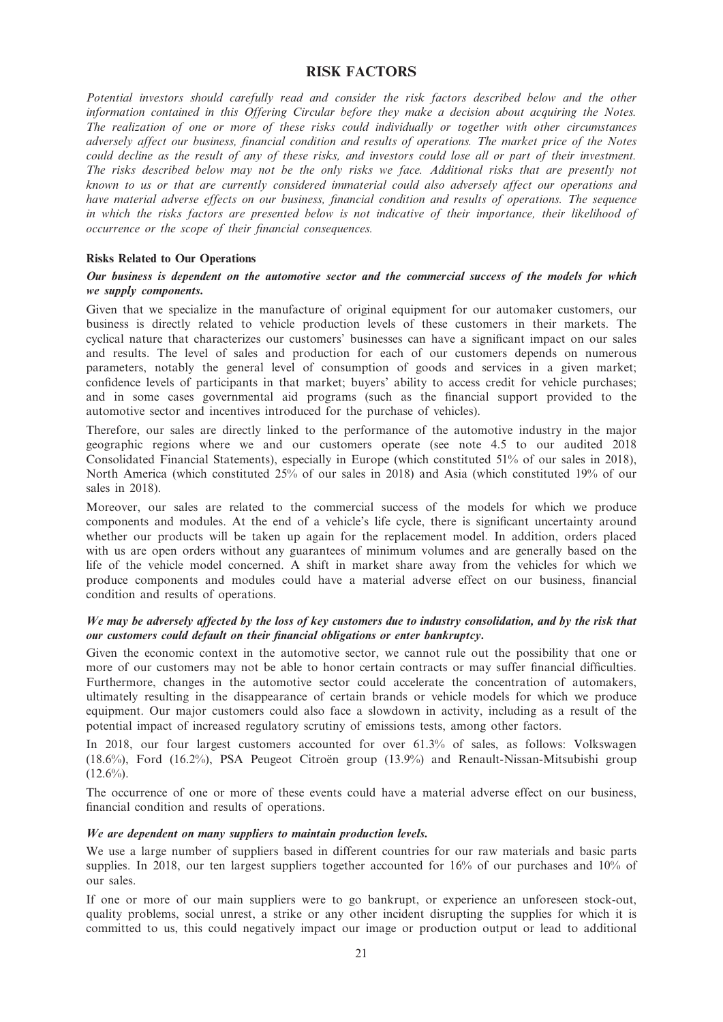## RISK FACTORS

Potential investors should carefully read and consider the risk factors described below and the other information contained in this Offering Circular before they make a decision about acquiring the Notes. The realization of one or more of these risks could individually or together with other circumstances adversely affect our business, financial condition and results of operations. The market price of the Notes could decline as the result of any of these risks, and investors could lose all or part of their investment. The risks described below may not be the only risks we face. Additional risks that are presently not known to us or that are currently considered immaterial could also adversely affect our operations and have material adverse effects on our business, financial condition and results of operations. The sequence in which the risks factors are presented below is not indicative of their importance, their likelihood of occurrence or the scope of their financial consequences.

## Risks Related to Our Operations

### Our business is dependent on the automotive sector and the commercial success of the models for which we supply components.

Given that we specialize in the manufacture of original equipment for our automaker customers, our business is directly related to vehicle production levels of these customers in their markets. The cyclical nature that characterizes our customers' businesses can have a significant impact on our sales and results. The level of sales and production for each of our customers depends on numerous parameters, notably the general level of consumption of goods and services in a given market; confidence levels of participants in that market; buyers' ability to access credit for vehicle purchases; and in some cases governmental aid programs (such as the financial support provided to the automotive sector and incentives introduced for the purchase of vehicles).

Therefore, our sales are directly linked to the performance of the automotive industry in the major geographic regions where we and our customers operate (see note 4.5 to our audited 2018 Consolidated Financial Statements), especially in Europe (which constituted 51% of our sales in 2018), North America (which constituted 25% of our sales in 2018) and Asia (which constituted 19% of our sales in 2018).

Moreover, our sales are related to the commercial success of the models for which we produce components and modules. At the end of a vehicle's life cycle, there is significant uncertainty around whether our products will be taken up again for the replacement model. In addition, orders placed with us are open orders without any guarantees of minimum volumes and are generally based on the life of the vehicle model concerned. A shift in market share away from the vehicles for which we produce components and modules could have a material adverse effect on our business, financial condition and results of operations.

## We may be adversely affected by the loss of key customers due to industry consolidation, and by the risk that our customers could default on their financial obligations or enter bankruptcy.

Given the economic context in the automotive sector, we cannot rule out the possibility that one or more of our customers may not be able to honor certain contracts or may suffer financial difficulties. Furthermore, changes in the automotive sector could accelerate the concentration of automakers, ultimately resulting in the disappearance of certain brands or vehicle models for which we produce equipment. Our major customers could also face a slowdown in activity, including as a result of the potential impact of increased regulatory scrutiny of emissions tests, among other factors.

In 2018, our four largest customers accounted for over 61.3% of sales, as follows: Volkswagen  $(18.6\%)$ , Ford  $(16.2\%)$ , PSA Peugeot Citroën group  $(13.9\%)$  and Renault-Nissan-Mitsubishi group  $(12.6\%)$ .

The occurrence of one or more of these events could have a material adverse effect on our business, financial condition and results of operations.

#### We are dependent on many suppliers to maintain production levels.

We use a large number of suppliers based in different countries for our raw materials and basic parts supplies. In 2018, our ten largest suppliers together accounted for 16% of our purchases and 10% of our sales.

If one or more of our main suppliers were to go bankrupt, or experience an unforeseen stock-out, quality problems, social unrest, a strike or any other incident disrupting the supplies for which it is committed to us, this could negatively impact our image or production output or lead to additional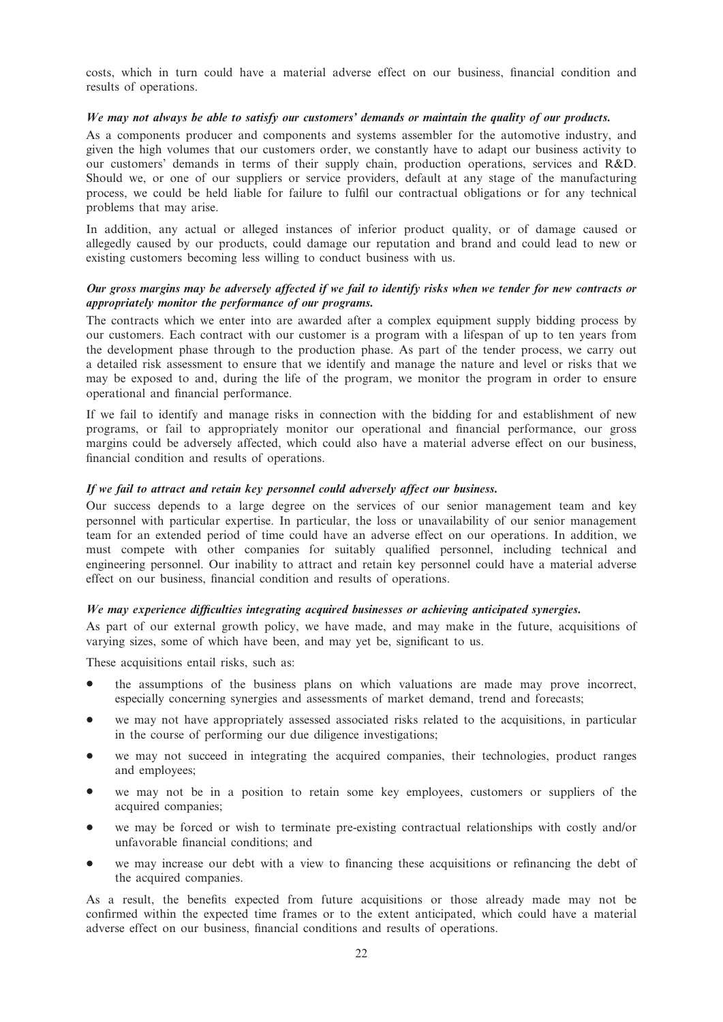costs, which in turn could have a material adverse effect on our business, financial condition and results of operations.

## We may not always be able to satisfy our customers' demands or maintain the quality of our products.

As a components producer and components and systems assembler for the automotive industry, and given the high volumes that our customers order, we constantly have to adapt our business activity to our customers' demands in terms of their supply chain, production operations, services and R&D. Should we, or one of our suppliers or service providers, default at any stage of the manufacturing process, we could be held liable for failure to fulfil our contractual obligations or for any technical problems that may arise.

In addition, any actual or alleged instances of inferior product quality, or of damage caused or allegedly caused by our products, could damage our reputation and brand and could lead to new or existing customers becoming less willing to conduct business with us.

## Our gross margins may be adversely affected if we fail to identify risks when we tender for new contracts or appropriately monitor the performance of our programs.

The contracts which we enter into are awarded after a complex equipment supply bidding process by our customers. Each contract with our customer is a program with a lifespan of up to ten years from the development phase through to the production phase. As part of the tender process, we carry out a detailed risk assessment to ensure that we identify and manage the nature and level or risks that we may be exposed to and, during the life of the program, we monitor the program in order to ensure operational and financial performance.

If we fail to identify and manage risks in connection with the bidding for and establishment of new programs, or fail to appropriately monitor our operational and financial performance, our gross margins could be adversely affected, which could also have a material adverse effect on our business, financial condition and results of operations.

### If we fail to attract and retain key personnel could adversely affect our business.

Our success depends to a large degree on the services of our senior management team and key personnel with particular expertise. In particular, the loss or unavailability of our senior management team for an extended period of time could have an adverse effect on our operations. In addition, we must compete with other companies for suitably qualified personnel, including technical and engineering personnel. Our inability to attract and retain key personnel could have a material adverse effect on our business, financial condition and results of operations.

#### We may experience difficulties integrating acquired businesses or achieving anticipated synergies.

As part of our external growth policy, we have made, and may make in the future, acquisitions of varying sizes, some of which have been, and may yet be, significant to us.

These acquisitions entail risks, such as:

- the assumptions of the business plans on which valuations are made may prove incorrect, especially concerning synergies and assessments of market demand, trend and forecasts;
- we may not have appropriately assessed associated risks related to the acquisitions, in particular in the course of performing our due diligence investigations;
- we may not succeed in integrating the acquired companies, their technologies, product ranges and employees;
- we may not be in a position to retain some key employees, customers or suppliers of the acquired companies;
- we may be forced or wish to terminate pre-existing contractual relationships with costly and/or unfavorable financial conditions; and
- we may increase our debt with a view to financing these acquisitions or refinancing the debt of the acquired companies.

As a result, the benefits expected from future acquisitions or those already made may not be confirmed within the expected time frames or to the extent anticipated, which could have a material adverse effect on our business, financial conditions and results of operations.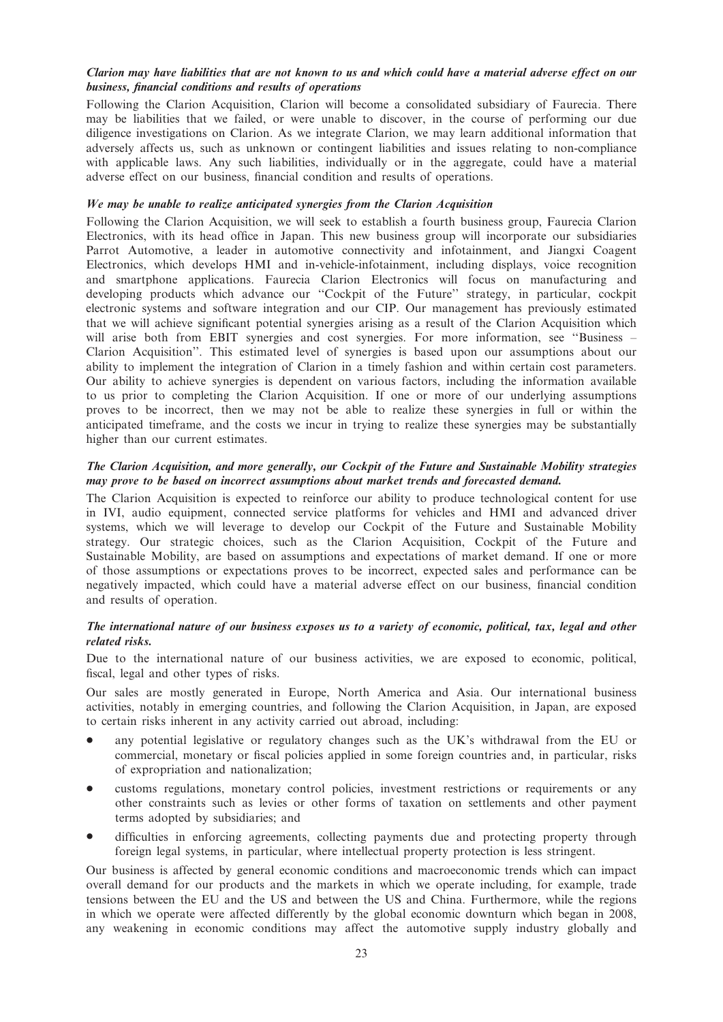## Clarion may have liabilities that are not known to us and which could have a material adverse effect on our business, financial conditions and results of operations

Following the Clarion Acquisition, Clarion will become a consolidated subsidiary of Faurecia. There may be liabilities that we failed, or were unable to discover, in the course of performing our due diligence investigations on Clarion. As we integrate Clarion, we may learn additional information that adversely affects us, such as unknown or contingent liabilities and issues relating to non-compliance with applicable laws. Any such liabilities, individually or in the aggregate, could have a material adverse effect on our business, financial condition and results of operations.

### We may be unable to realize anticipated synergies from the Clarion Acquisition

Following the Clarion Acquisition, we will seek to establish a fourth business group, Faurecia Clarion Electronics, with its head office in Japan. This new business group will incorporate our subsidiaries Parrot Automotive, a leader in automotive connectivity and infotainment, and Jiangxi Coagent Electronics, which develops HMI and in-vehicle-infotainment, including displays, voice recognition and smartphone applications. Faurecia Clarion Electronics will focus on manufacturing and developing products which advance our ''Cockpit of the Future'' strategy, in particular, cockpit electronic systems and software integration and our CIP. Our management has previously estimated that we will achieve significant potential synergies arising as a result of the Clarion Acquisition which will arise both from EBIT synergies and cost synergies. For more information, see "Business – Clarion Acquisition''. This estimated level of synergies is based upon our assumptions about our ability to implement the integration of Clarion in a timely fashion and within certain cost parameters. Our ability to achieve synergies is dependent on various factors, including the information available to us prior to completing the Clarion Acquisition. If one or more of our underlying assumptions proves to be incorrect, then we may not be able to realize these synergies in full or within the anticipated timeframe, and the costs we incur in trying to realize these synergies may be substantially higher than our current estimates.

## The Clarion Acquisition, and more generally, our Cockpit of the Future and Sustainable Mobility strategies may prove to be based on incorrect assumptions about market trends and forecasted demand.

The Clarion Acquisition is expected to reinforce our ability to produce technological content for use in IVI, audio equipment, connected service platforms for vehicles and HMI and advanced driver systems, which we will leverage to develop our Cockpit of the Future and Sustainable Mobility strategy. Our strategic choices, such as the Clarion Acquisition, Cockpit of the Future and Sustainable Mobility, are based on assumptions and expectations of market demand. If one or more of those assumptions or expectations proves to be incorrect, expected sales and performance can be negatively impacted, which could have a material adverse effect on our business, financial condition and results of operation.

## The international nature of our business exposes us to a variety of economic, political, tax, legal and other related risks.

Due to the international nature of our business activities, we are exposed to economic, political, fiscal, legal and other types of risks.

Our sales are mostly generated in Europe, North America and Asia. Our international business activities, notably in emerging countries, and following the Clarion Acquisition, in Japan, are exposed to certain risks inherent in any activity carried out abroad, including:

- any potential legislative or regulatory changes such as the UK's withdrawal from the EU or commercial, monetary or fiscal policies applied in some foreign countries and, in particular, risks of expropriation and nationalization;
- customs regulations, monetary control policies, investment restrictions or requirements or any other constraints such as levies or other forms of taxation on settlements and other payment terms adopted by subsidiaries; and
- difficulties in enforcing agreements, collecting payments due and protecting property through foreign legal systems, in particular, where intellectual property protection is less stringent.

Our business is affected by general economic conditions and macroeconomic trends which can impact overall demand for our products and the markets in which we operate including, for example, trade tensions between the EU and the US and between the US and China. Furthermore, while the regions in which we operate were affected differently by the global economic downturn which began in 2008, any weakening in economic conditions may affect the automotive supply industry globally and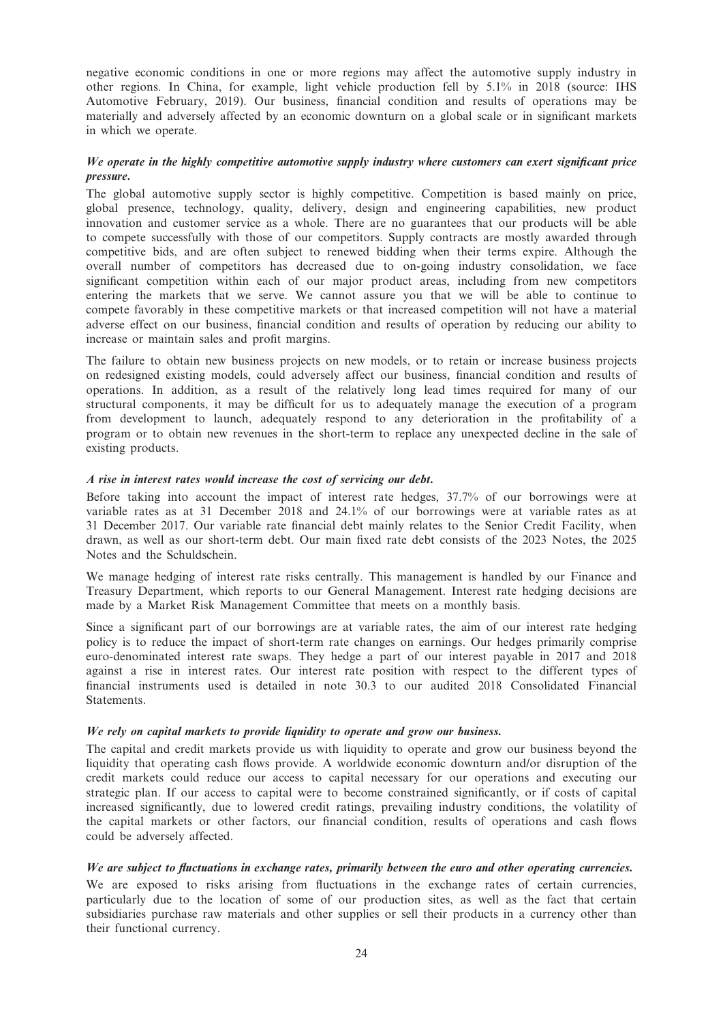negative economic conditions in one or more regions may affect the automotive supply industry in other regions. In China, for example, light vehicle production fell by 5.1% in 2018 (source: IHS Automotive February, 2019). Our business, financial condition and results of operations may be materially and adversely affected by an economic downturn on a global scale or in significant markets in which we operate.

## We operate in the highly competitive automotive supply industry where customers can exert significant price pressure.

The global automotive supply sector is highly competitive. Competition is based mainly on price, global presence, technology, quality, delivery, design and engineering capabilities, new product innovation and customer service as a whole. There are no guarantees that our products will be able to compete successfully with those of our competitors. Supply contracts are mostly awarded through competitive bids, and are often subject to renewed bidding when their terms expire. Although the overall number of competitors has decreased due to on-going industry consolidation, we face significant competition within each of our major product areas, including from new competitors entering the markets that we serve. We cannot assure you that we will be able to continue to compete favorably in these competitive markets or that increased competition will not have a material adverse effect on our business, financial condition and results of operation by reducing our ability to increase or maintain sales and profit margins.

The failure to obtain new business projects on new models, or to retain or increase business projects on redesigned existing models, could adversely affect our business, financial condition and results of operations. In addition, as a result of the relatively long lead times required for many of our structural components, it may be difficult for us to adequately manage the execution of a program from development to launch, adequately respond to any deterioration in the profitability of a program or to obtain new revenues in the short-term to replace any unexpected decline in the sale of existing products.

## A rise in interest rates would increase the cost of servicing our debt.

Before taking into account the impact of interest rate hedges, 37.7% of our borrowings were at variable rates as at 31 December 2018 and 24.1% of our borrowings were at variable rates as at 31 December 2017. Our variable rate financial debt mainly relates to the Senior Credit Facility, when drawn, as well as our short-term debt. Our main fixed rate debt consists of the 2023 Notes, the 2025 Notes and the Schuldschein.

We manage hedging of interest rate risks centrally. This management is handled by our Finance and Treasury Department, which reports to our General Management. Interest rate hedging decisions are made by a Market Risk Management Committee that meets on a monthly basis.

Since a significant part of our borrowings are at variable rates, the aim of our interest rate hedging policy is to reduce the impact of short-term rate changes on earnings. Our hedges primarily comprise euro-denominated interest rate swaps. They hedge a part of our interest payable in 2017 and 2018 against a rise in interest rates. Our interest rate position with respect to the different types of financial instruments used is detailed in note 30.3 to our audited 2018 Consolidated Financial **Statements** 

## We rely on capital markets to provide liquidity to operate and grow our business.

The capital and credit markets provide us with liquidity to operate and grow our business beyond the liquidity that operating cash flows provide. A worldwide economic downturn and/or disruption of the credit markets could reduce our access to capital necessary for our operations and executing our strategic plan. If our access to capital were to become constrained significantly, or if costs of capital increased significantly, due to lowered credit ratings, prevailing industry conditions, the volatility of the capital markets or other factors, our financial condition, results of operations and cash flows could be adversely affected.

## We are subject to fluctuations in exchange rates, primarily between the euro and other operating currencies.

We are exposed to risks arising from fluctuations in the exchange rates of certain currencies, particularly due to the location of some of our production sites, as well as the fact that certain subsidiaries purchase raw materials and other supplies or sell their products in a currency other than their functional currency.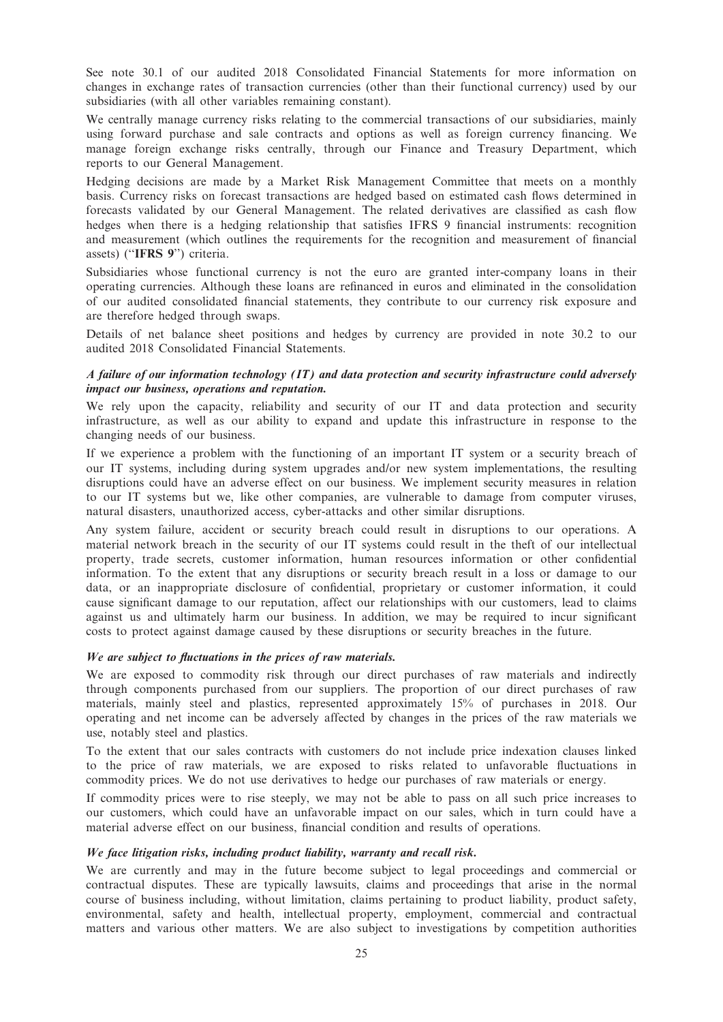See note 30.1 of our audited 2018 Consolidated Financial Statements for more information on changes in exchange rates of transaction currencies (other than their functional currency) used by our subsidiaries (with all other variables remaining constant).

We centrally manage currency risks relating to the commercial transactions of our subsidiaries, mainly using forward purchase and sale contracts and options as well as foreign currency financing. We manage foreign exchange risks centrally, through our Finance and Treasury Department, which reports to our General Management.

Hedging decisions are made by a Market Risk Management Committee that meets on a monthly basis. Currency risks on forecast transactions are hedged based on estimated cash flows determined in forecasts validated by our General Management. The related derivatives are classified as cash flow hedges when there is a hedging relationship that satisfies IFRS 9 financial instruments: recognition and measurement (which outlines the requirements for the recognition and measurement of financial assets) (''IFRS 9'') criteria.

Subsidiaries whose functional currency is not the euro are granted inter-company loans in their operating currencies. Although these loans are refinanced in euros and eliminated in the consolidation of our audited consolidated financial statements, they contribute to our currency risk exposure and are therefore hedged through swaps.

Details of net balance sheet positions and hedges by currency are provided in note 30.2 to our audited 2018 Consolidated Financial Statements.

## A failure of our information technology (IT) and data protection and security infrastructure could adversely impact our business, operations and reputation.

We rely upon the capacity, reliability and security of our IT and data protection and security infrastructure, as well as our ability to expand and update this infrastructure in response to the changing needs of our business.

If we experience a problem with the functioning of an important IT system or a security breach of our IT systems, including during system upgrades and/or new system implementations, the resulting disruptions could have an adverse effect on our business. We implement security measures in relation to our IT systems but we, like other companies, are vulnerable to damage from computer viruses, natural disasters, unauthorized access, cyber-attacks and other similar disruptions.

Any system failure, accident or security breach could result in disruptions to our operations. A material network breach in the security of our IT systems could result in the theft of our intellectual property, trade secrets, customer information, human resources information or other confidential information. To the extent that any disruptions or security breach result in a loss or damage to our data, or an inappropriate disclosure of confidential, proprietary or customer information, it could cause significant damage to our reputation, affect our relationships with our customers, lead to claims against us and ultimately harm our business. In addition, we may be required to incur significant costs to protect against damage caused by these disruptions or security breaches in the future.

## We are subject to fluctuations in the prices of raw materials.

We are exposed to commodity risk through our direct purchases of raw materials and indirectly through components purchased from our suppliers. The proportion of our direct purchases of raw materials, mainly steel and plastics, represented approximately 15% of purchases in 2018. Our operating and net income can be adversely affected by changes in the prices of the raw materials we use, notably steel and plastics.

To the extent that our sales contracts with customers do not include price indexation clauses linked to the price of raw materials, we are exposed to risks related to unfavorable fluctuations in commodity prices. We do not use derivatives to hedge our purchases of raw materials or energy.

If commodity prices were to rise steeply, we may not be able to pass on all such price increases to our customers, which could have an unfavorable impact on our sales, which in turn could have a material adverse effect on our business, financial condition and results of operations.

## We face litigation risks, including product liability, warranty and recall risk.

We are currently and may in the future become subject to legal proceedings and commercial or contractual disputes. These are typically lawsuits, claims and proceedings that arise in the normal course of business including, without limitation, claims pertaining to product liability, product safety, environmental, safety and health, intellectual property, employment, commercial and contractual matters and various other matters. We are also subject to investigations by competition authorities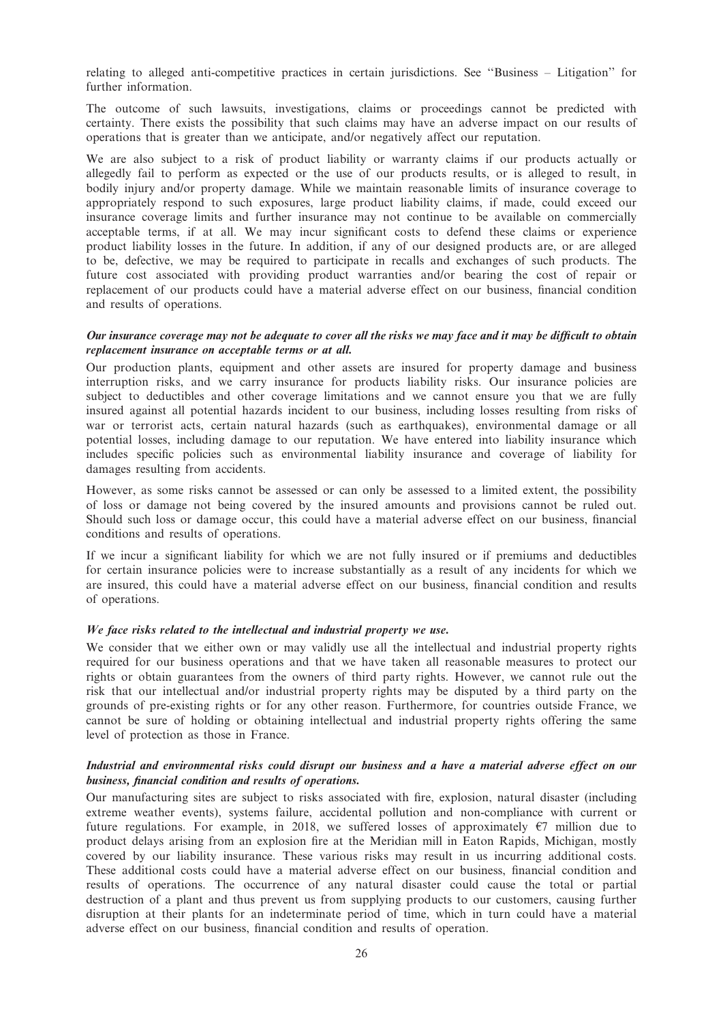relating to alleged anti-competitive practices in certain jurisdictions. See ''Business – Litigation'' for further information.

The outcome of such lawsuits, investigations, claims or proceedings cannot be predicted with certainty. There exists the possibility that such claims may have an adverse impact on our results of operations that is greater than we anticipate, and/or negatively affect our reputation.

We are also subject to a risk of product liability or warranty claims if our products actually or allegedly fail to perform as expected or the use of our products results, or is alleged to result, in bodily injury and/or property damage. While we maintain reasonable limits of insurance coverage to appropriately respond to such exposures, large product liability claims, if made, could exceed our insurance coverage limits and further insurance may not continue to be available on commercially acceptable terms, if at all. We may incur significant costs to defend these claims or experience product liability losses in the future. In addition, if any of our designed products are, or are alleged to be, defective, we may be required to participate in recalls and exchanges of such products. The future cost associated with providing product warranties and/or bearing the cost of repair or replacement of our products could have a material adverse effect on our business, financial condition and results of operations.

### Our insurance coverage may not be adequate to cover all the risks we may face and it may be difficult to obtain replacement insurance on acceptable terms or at all.

Our production plants, equipment and other assets are insured for property damage and business interruption risks, and we carry insurance for products liability risks. Our insurance policies are subject to deductibles and other coverage limitations and we cannot ensure you that we are fully insured against all potential hazards incident to our business, including losses resulting from risks of war or terrorist acts, certain natural hazards (such as earthquakes), environmental damage or all potential losses, including damage to our reputation. We have entered into liability insurance which includes specific policies such as environmental liability insurance and coverage of liability for damages resulting from accidents.

However, as some risks cannot be assessed or can only be assessed to a limited extent, the possibility of loss or damage not being covered by the insured amounts and provisions cannot be ruled out. Should such loss or damage occur, this could have a material adverse effect on our business, financial conditions and results of operations.

If we incur a significant liability for which we are not fully insured or if premiums and deductibles for certain insurance policies were to increase substantially as a result of any incidents for which we are insured, this could have a material adverse effect on our business, financial condition and results of operations.

## We face risks related to the intellectual and industrial property we use.

We consider that we either own or may validly use all the intellectual and industrial property rights required for our business operations and that we have taken all reasonable measures to protect our rights or obtain guarantees from the owners of third party rights. However, we cannot rule out the risk that our intellectual and/or industrial property rights may be disputed by a third party on the grounds of pre-existing rights or for any other reason. Furthermore, for countries outside France, we cannot be sure of holding or obtaining intellectual and industrial property rights offering the same level of protection as those in France.

## Industrial and environmental risks could disrupt our business and a have a material adverse effect on our business, financial condition and results of operations.

Our manufacturing sites are subject to risks associated with fire, explosion, natural disaster (including extreme weather events), systems failure, accidental pollution and non-compliance with current or future regulations. For example, in 2018, we suffered losses of approximately  $\epsilon$ 7 million due to product delays arising from an explosion fire at the Meridian mill in Eaton Rapids, Michigan, mostly covered by our liability insurance. These various risks may result in us incurring additional costs. These additional costs could have a material adverse effect on our business, financial condition and results of operations. The occurrence of any natural disaster could cause the total or partial destruction of a plant and thus prevent us from supplying products to our customers, causing further disruption at their plants for an indeterminate period of time, which in turn could have a material adverse effect on our business, financial condition and results of operation.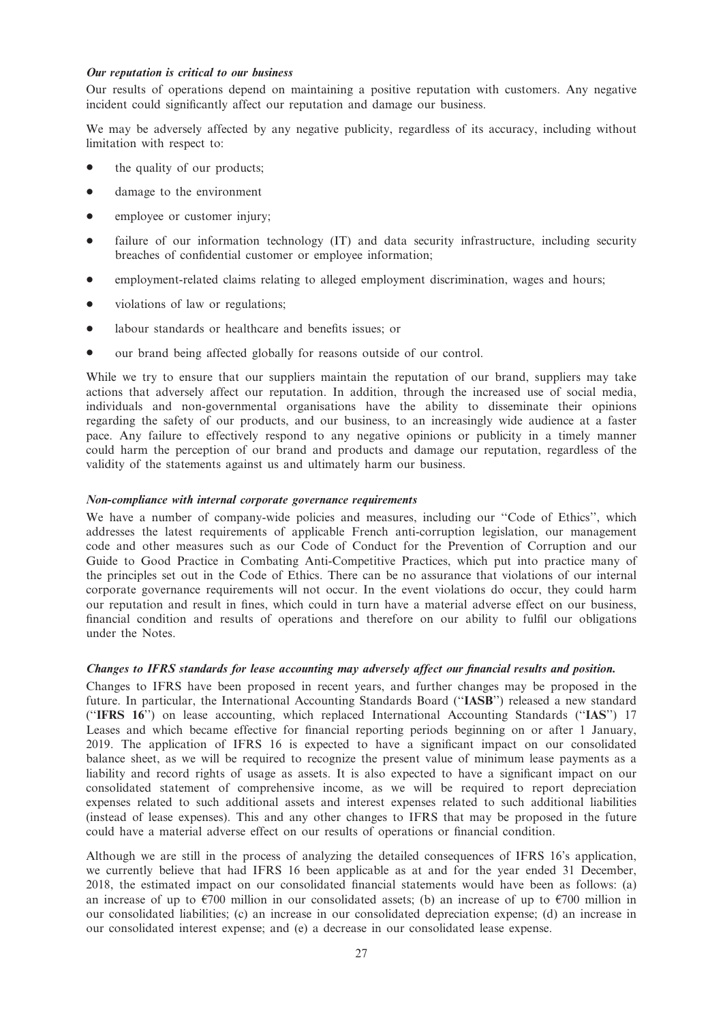### Our reputation is critical to our business

Our results of operations depend on maintaining a positive reputation with customers. Any negative incident could significantly affect our reputation and damage our business.

We may be adversely affected by any negative publicity, regardless of its accuracy, including without limitation with respect to:

- the quality of our products;
- $\bullet$  damage to the environment
- employee or customer injury;
- failure of our information technology (IT) and data security infrastructure, including security breaches of confidential customer or employee information;
- employment-related claims relating to alleged employment discrimination, wages and hours;
- violations of law or regulations;
- labour standards or healthcare and benefits issues; or
- our brand being affected globally for reasons outside of our control.

While we try to ensure that our suppliers maintain the reputation of our brand, suppliers may take actions that adversely affect our reputation. In addition, through the increased use of social media, individuals and non-governmental organisations have the ability to disseminate their opinions regarding the safety of our products, and our business, to an increasingly wide audience at a faster pace. Any failure to effectively respond to any negative opinions or publicity in a timely manner could harm the perception of our brand and products and damage our reputation, regardless of the validity of the statements against us and ultimately harm our business.

### Non-compliance with internal corporate governance requirements

We have a number of company-wide policies and measures, including our "Code of Ethics", which addresses the latest requirements of applicable French anti-corruption legislation, our management code and other measures such as our Code of Conduct for the Prevention of Corruption and our Guide to Good Practice in Combating Anti-Competitive Practices, which put into practice many of the principles set out in the Code of Ethics. There can be no assurance that violations of our internal corporate governance requirements will not occur. In the event violations do occur, they could harm our reputation and result in fines, which could in turn have a material adverse effect on our business, financial condition and results of operations and therefore on our ability to fulfil our obligations under the Notes.

## Changes to IFRS standards for lease accounting may adversely affect our financial results and position.

Changes to IFRS have been proposed in recent years, and further changes may be proposed in the future. In particular, the International Accounting Standards Board (''IASB'') released a new standard (''IFRS 16'') on lease accounting, which replaced International Accounting Standards (''IAS'') 17 Leases and which became effective for financial reporting periods beginning on or after 1 January, 2019. The application of IFRS 16 is expected to have a significant impact on our consolidated balance sheet, as we will be required to recognize the present value of minimum lease payments as a liability and record rights of usage as assets. It is also expected to have a significant impact on our consolidated statement of comprehensive income, as we will be required to report depreciation expenses related to such additional assets and interest expenses related to such additional liabilities (instead of lease expenses). This and any other changes to IFRS that may be proposed in the future could have a material adverse effect on our results of operations or financial condition.

Although we are still in the process of analyzing the detailed consequences of IFRS 16's application, we currently believe that had IFRS 16 been applicable as at and for the year ended 31 December, 2018, the estimated impact on our consolidated financial statements would have been as follows: (a) an increase of up to  $\epsilon$ 700 million in our consolidated assets; (b) an increase of up to  $\epsilon$ 700 million in our consolidated liabilities; (c) an increase in our consolidated depreciation expense; (d) an increase in our consolidated interest expense; and (e) a decrease in our consolidated lease expense.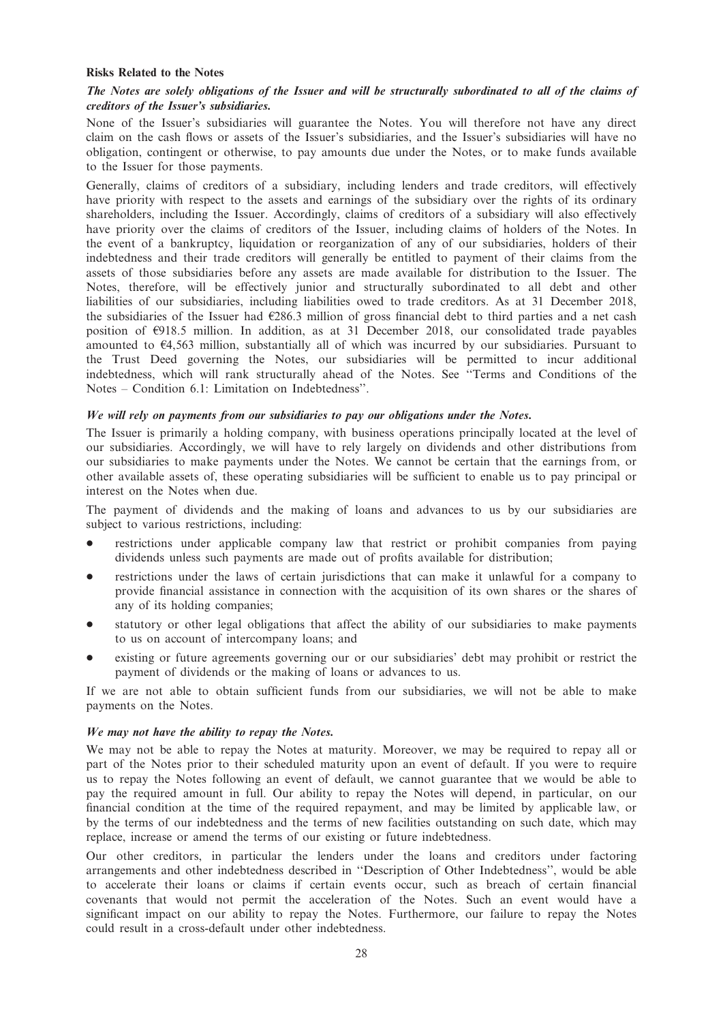### Risks Related to the Notes

## The Notes are solely obligations of the Issuer and will be structurally subordinated to all of the claims of creditors of the Issuer's subsidiaries.

None of the Issuer's subsidiaries will guarantee the Notes. You will therefore not have any direct claim on the cash flows or assets of the Issuer's subsidiaries, and the Issuer's subsidiaries will have no obligation, contingent or otherwise, to pay amounts due under the Notes, or to make funds available to the Issuer for those payments.

Generally, claims of creditors of a subsidiary, including lenders and trade creditors, will effectively have priority with respect to the assets and earnings of the subsidiary over the rights of its ordinary shareholders, including the Issuer. Accordingly, claims of creditors of a subsidiary will also effectively have priority over the claims of creditors of the Issuer, including claims of holders of the Notes. In the event of a bankruptcy, liquidation or reorganization of any of our subsidiaries, holders of their indebtedness and their trade creditors will generally be entitled to payment of their claims from the assets of those subsidiaries before any assets are made available for distribution to the Issuer. The Notes, therefore, will be effectively junior and structurally subordinated to all debt and other liabilities of our subsidiaries, including liabilities owed to trade creditors. As at 31 December 2018, the subsidiaries of the Issuer had  $\epsilon$ 286.3 million of gross financial debt to third parties and a net cash position of  $\epsilon$ 918.5 million. In addition, as at 31 December 2018, our consolidated trade payables amounted to  $64,563$  million, substantially all of which was incurred by our subsidiaries. Pursuant to the Trust Deed governing the Notes, our subsidiaries will be permitted to incur additional indebtedness, which will rank structurally ahead of the Notes. See ''Terms and Conditions of the Notes – Condition 6.1: Limitation on Indebtedness''.

### We will rely on payments from our subsidiaries to pay our obligations under the Notes.

The Issuer is primarily a holding company, with business operations principally located at the level of our subsidiaries. Accordingly, we will have to rely largely on dividends and other distributions from our subsidiaries to make payments under the Notes. We cannot be certain that the earnings from, or other available assets of, these operating subsidiaries will be sufficient to enable us to pay principal or interest on the Notes when due.

The payment of dividends and the making of loans and advances to us by our subsidiaries are subject to various restrictions, including:

- restrictions under applicable company law that restrict or prohibit companies from paying dividends unless such payments are made out of profits available for distribution;
- restrictions under the laws of certain jurisdictions that can make it unlawful for a company to provide financial assistance in connection with the acquisition of its own shares or the shares of any of its holding companies;
- statutory or other legal obligations that affect the ability of our subsidiaries to make payments to us on account of intercompany loans; and
- existing or future agreements governing our or our subsidiaries' debt may prohibit or restrict the payment of dividends or the making of loans or advances to us.

If we are not able to obtain sufficient funds from our subsidiaries, we will not be able to make payments on the Notes.

#### We may not have the ability to repay the Notes.

We may not be able to repay the Notes at maturity. Moreover, we may be required to repay all or part of the Notes prior to their scheduled maturity upon an event of default. If you were to require us to repay the Notes following an event of default, we cannot guarantee that we would be able to pay the required amount in full. Our ability to repay the Notes will depend, in particular, on our financial condition at the time of the required repayment, and may be limited by applicable law, or by the terms of our indebtedness and the terms of new facilities outstanding on such date, which may replace, increase or amend the terms of our existing or future indebtedness.

Our other creditors, in particular the lenders under the loans and creditors under factoring arrangements and other indebtedness described in ''Description of Other Indebtedness'', would be able to accelerate their loans or claims if certain events occur, such as breach of certain financial covenants that would not permit the acceleration of the Notes. Such an event would have a significant impact on our ability to repay the Notes. Furthermore, our failure to repay the Notes could result in a cross-default under other indebtedness.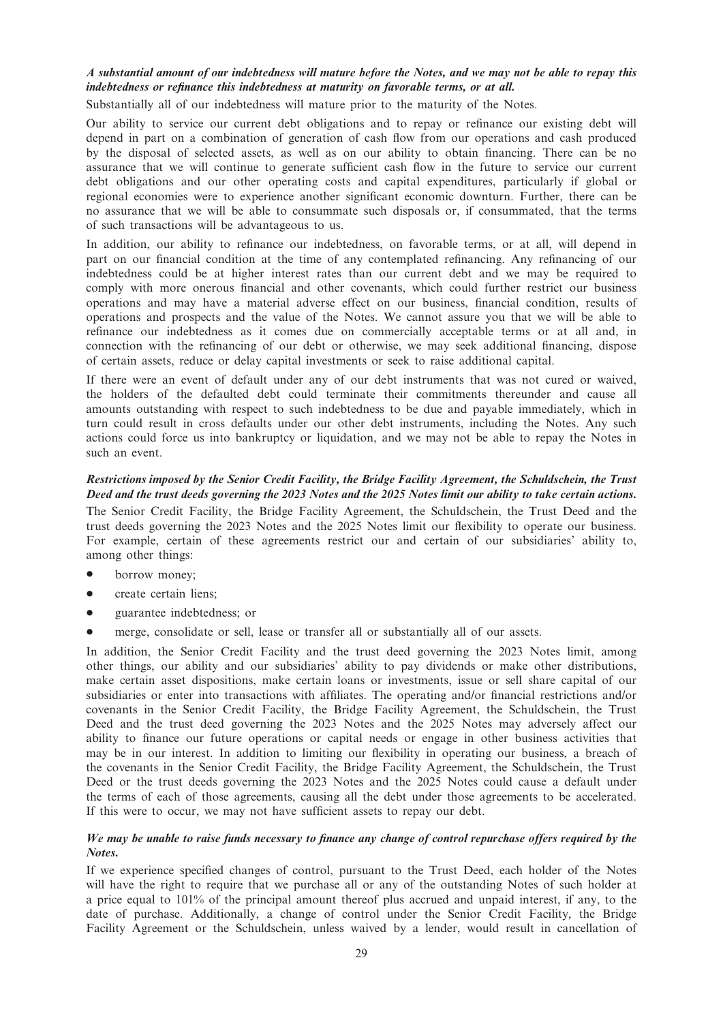## A substantial amount of our indebtedness will mature before the Notes, and we may not be able to repay this indebtedness or refinance this indebtedness at maturity on favorable terms, or at all.

Substantially all of our indebtedness will mature prior to the maturity of the Notes.

Our ability to service our current debt obligations and to repay or refinance our existing debt will depend in part on a combination of generation of cash flow from our operations and cash produced by the disposal of selected assets, as well as on our ability to obtain financing. There can be no assurance that we will continue to generate sufficient cash flow in the future to service our current debt obligations and our other operating costs and capital expenditures, particularly if global or regional economies were to experience another significant economic downturn. Further, there can be no assurance that we will be able to consummate such disposals or, if consummated, that the terms of such transactions will be advantageous to us.

In addition, our ability to refinance our indebtedness, on favorable terms, or at all, will depend in part on our financial condition at the time of any contemplated refinancing. Any refinancing of our indebtedness could be at higher interest rates than our current debt and we may be required to comply with more onerous financial and other covenants, which could further restrict our business operations and may have a material adverse effect on our business, financial condition, results of operations and prospects and the value of the Notes. We cannot assure you that we will be able to refinance our indebtedness as it comes due on commercially acceptable terms or at all and, in connection with the refinancing of our debt or otherwise, we may seek additional financing, dispose of certain assets, reduce or delay capital investments or seek to raise additional capital.

If there were an event of default under any of our debt instruments that was not cured or waived, the holders of the defaulted debt could terminate their commitments thereunder and cause all amounts outstanding with respect to such indebtedness to be due and payable immediately, which in turn could result in cross defaults under our other debt instruments, including the Notes. Any such actions could force us into bankruptcy or liquidation, and we may not be able to repay the Notes in such an event.

## Restrictions imposed by the Senior Credit Facility, the Bridge Facility Agreement, the Schuldschein, the Trust Deed and the trust deeds governing the 2023 Notes and the 2025 Notes limit our ability to take certain actions.

The Senior Credit Facility, the Bridge Facility Agreement, the Schuldschein, the Trust Deed and the trust deeds governing the 2023 Notes and the 2025 Notes limit our flexibility to operate our business. For example, certain of these agreements restrict our and certain of our subsidiaries' ability to, among other things:

- borrow money;
- create certain liens:
- guarantee indebtedness; or
- merge, consolidate or sell, lease or transfer all or substantially all of our assets.

In addition, the Senior Credit Facility and the trust deed governing the 2023 Notes limit, among other things, our ability and our subsidiaries' ability to pay dividends or make other distributions, make certain asset dispositions, make certain loans or investments, issue or sell share capital of our subsidiaries or enter into transactions with affiliates. The operating and/or financial restrictions and/or covenants in the Senior Credit Facility, the Bridge Facility Agreement, the Schuldschein, the Trust Deed and the trust deed governing the 2023 Notes and the 2025 Notes may adversely affect our ability to finance our future operations or capital needs or engage in other business activities that may be in our interest. In addition to limiting our flexibility in operating our business, a breach of the covenants in the Senior Credit Facility, the Bridge Facility Agreement, the Schuldschein, the Trust Deed or the trust deeds governing the 2023 Notes and the 2025 Notes could cause a default under the terms of each of those agreements, causing all the debt under those agreements to be accelerated. If this were to occur, we may not have sufficient assets to repay our debt.

## We may be unable to raise funds necessary to finance any change of control repurchase offers required by the Notes.

If we experience specified changes of control, pursuant to the Trust Deed, each holder of the Notes will have the right to require that we purchase all or any of the outstanding Notes of such holder at a price equal to 101% of the principal amount thereof plus accrued and unpaid interest, if any, to the date of purchase. Additionally, a change of control under the Senior Credit Facility, the Bridge Facility Agreement or the Schuldschein, unless waived by a lender, would result in cancellation of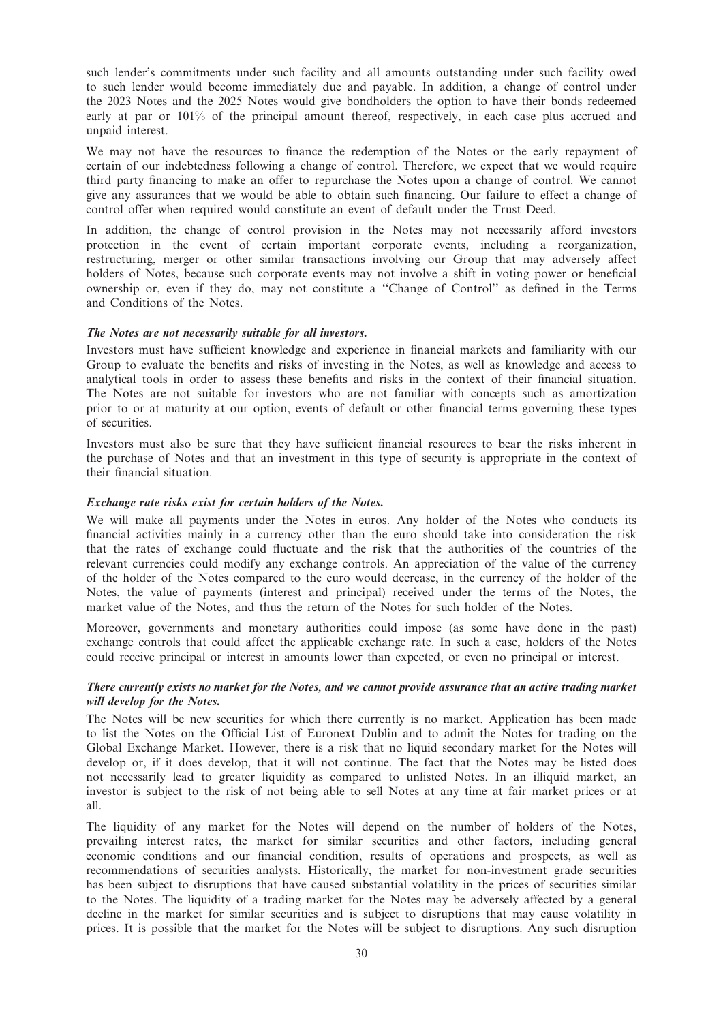such lender's commitments under such facility and all amounts outstanding under such facility owed to such lender would become immediately due and payable. In addition, a change of control under the 2023 Notes and the 2025 Notes would give bondholders the option to have their bonds redeemed early at par or 101% of the principal amount thereof, respectively, in each case plus accrued and unpaid interest.

We may not have the resources to finance the redemption of the Notes or the early repayment of certain of our indebtedness following a change of control. Therefore, we expect that we would require third party financing to make an offer to repurchase the Notes upon a change of control. We cannot give any assurances that we would be able to obtain such financing. Our failure to effect a change of control offer when required would constitute an event of default under the Trust Deed.

In addition, the change of control provision in the Notes may not necessarily afford investors protection in the event of certain important corporate events, including a reorganization, restructuring, merger or other similar transactions involving our Group that may adversely affect holders of Notes, because such corporate events may not involve a shift in voting power or beneficial ownership or, even if they do, may not constitute a ''Change of Control'' as defined in the Terms and Conditions of the Notes.

#### The Notes are not necessarily suitable for all investors.

Investors must have sufficient knowledge and experience in financial markets and familiarity with our Group to evaluate the benefits and risks of investing in the Notes, as well as knowledge and access to analytical tools in order to assess these benefits and risks in the context of their financial situation. The Notes are not suitable for investors who are not familiar with concepts such as amortization prior to or at maturity at our option, events of default or other financial terms governing these types of securities.

Investors must also be sure that they have sufficient financial resources to bear the risks inherent in the purchase of Notes and that an investment in this type of security is appropriate in the context of their financial situation.

### Exchange rate risks exist for certain holders of the Notes.

We will make all payments under the Notes in euros. Any holder of the Notes who conducts its financial activities mainly in a currency other than the euro should take into consideration the risk that the rates of exchange could fluctuate and the risk that the authorities of the countries of the relevant currencies could modify any exchange controls. An appreciation of the value of the currency of the holder of the Notes compared to the euro would decrease, in the currency of the holder of the Notes, the value of payments (interest and principal) received under the terms of the Notes, the market value of the Notes, and thus the return of the Notes for such holder of the Notes.

Moreover, governments and monetary authorities could impose (as some have done in the past) exchange controls that could affect the applicable exchange rate. In such a case, holders of the Notes could receive principal or interest in amounts lower than expected, or even no principal or interest.

## There currently exists no market for the Notes, and we cannot provide assurance that an active trading market will develop for the Notes.

The Notes will be new securities for which there currently is no market. Application has been made to list the Notes on the Official List of Euronext Dublin and to admit the Notes for trading on the Global Exchange Market. However, there is a risk that no liquid secondary market for the Notes will develop or, if it does develop, that it will not continue. The fact that the Notes may be listed does not necessarily lead to greater liquidity as compared to unlisted Notes. In an illiquid market, an investor is subject to the risk of not being able to sell Notes at any time at fair market prices or at all.

The liquidity of any market for the Notes will depend on the number of holders of the Notes, prevailing interest rates, the market for similar securities and other factors, including general economic conditions and our financial condition, results of operations and prospects, as well as recommendations of securities analysts. Historically, the market for non-investment grade securities has been subject to disruptions that have caused substantial volatility in the prices of securities similar to the Notes. The liquidity of a trading market for the Notes may be adversely affected by a general decline in the market for similar securities and is subject to disruptions that may cause volatility in prices. It is possible that the market for the Notes will be subject to disruptions. Any such disruption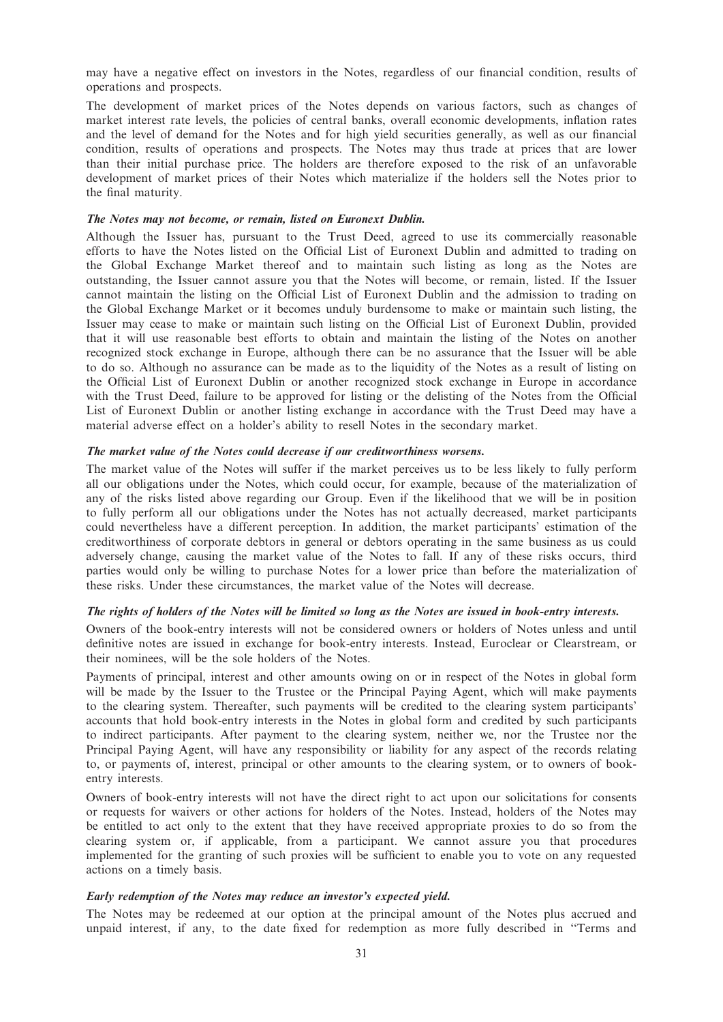may have a negative effect on investors in the Notes, regardless of our financial condition, results of operations and prospects.

The development of market prices of the Notes depends on various factors, such as changes of market interest rate levels, the policies of central banks, overall economic developments, inflation rates and the level of demand for the Notes and for high yield securities generally, as well as our financial condition, results of operations and prospects. The Notes may thus trade at prices that are lower than their initial purchase price. The holders are therefore exposed to the risk of an unfavorable development of market prices of their Notes which materialize if the holders sell the Notes prior to the final maturity.

## The Notes may not become, or remain, listed on Euronext Dublin.

Although the Issuer has, pursuant to the Trust Deed, agreed to use its commercially reasonable efforts to have the Notes listed on the Official List of Euronext Dublin and admitted to trading on the Global Exchange Market thereof and to maintain such listing as long as the Notes are outstanding, the Issuer cannot assure you that the Notes will become, or remain, listed. If the Issuer cannot maintain the listing on the Official List of Euronext Dublin and the admission to trading on the Global Exchange Market or it becomes unduly burdensome to make or maintain such listing, the Issuer may cease to make or maintain such listing on the Official List of Euronext Dublin, provided that it will use reasonable best efforts to obtain and maintain the listing of the Notes on another recognized stock exchange in Europe, although there can be no assurance that the Issuer will be able to do so. Although no assurance can be made as to the liquidity of the Notes as a result of listing on the Official List of Euronext Dublin or another recognized stock exchange in Europe in accordance with the Trust Deed, failure to be approved for listing or the delisting of the Notes from the Official List of Euronext Dublin or another listing exchange in accordance with the Trust Deed may have a material adverse effect on a holder's ability to resell Notes in the secondary market.

### The market value of the Notes could decrease if our creditworthiness worsens.

The market value of the Notes will suffer if the market perceives us to be less likely to fully perform all our obligations under the Notes, which could occur, for example, because of the materialization of any of the risks listed above regarding our Group. Even if the likelihood that we will be in position to fully perform all our obligations under the Notes has not actually decreased, market participants could nevertheless have a different perception. In addition, the market participants' estimation of the creditworthiness of corporate debtors in general or debtors operating in the same business as us could adversely change, causing the market value of the Notes to fall. If any of these risks occurs, third parties would only be willing to purchase Notes for a lower price than before the materialization of these risks. Under these circumstances, the market value of the Notes will decrease.

## The rights of holders of the Notes will be limited so long as the Notes are issued in book-entry interests.

Owners of the book-entry interests will not be considered owners or holders of Notes unless and until definitive notes are issued in exchange for book-entry interests. Instead, Euroclear or Clearstream, or their nominees, will be the sole holders of the Notes.

Payments of principal, interest and other amounts owing on or in respect of the Notes in global form will be made by the Issuer to the Trustee or the Principal Paying Agent, which will make payments to the clearing system. Thereafter, such payments will be credited to the clearing system participants' accounts that hold book-entry interests in the Notes in global form and credited by such participants to indirect participants. After payment to the clearing system, neither we, nor the Trustee nor the Principal Paying Agent, will have any responsibility or liability for any aspect of the records relating to, or payments of, interest, principal or other amounts to the clearing system, or to owners of bookentry interests.

Owners of book-entry interests will not have the direct right to act upon our solicitations for consents or requests for waivers or other actions for holders of the Notes. Instead, holders of the Notes may be entitled to act only to the extent that they have received appropriate proxies to do so from the clearing system or, if applicable, from a participant. We cannot assure you that procedures implemented for the granting of such proxies will be sufficient to enable you to vote on any requested actions on a timely basis.

## Early redemption of the Notes may reduce an investor's expected yield.

The Notes may be redeemed at our option at the principal amount of the Notes plus accrued and unpaid interest, if any, to the date fixed for redemption as more fully described in ''Terms and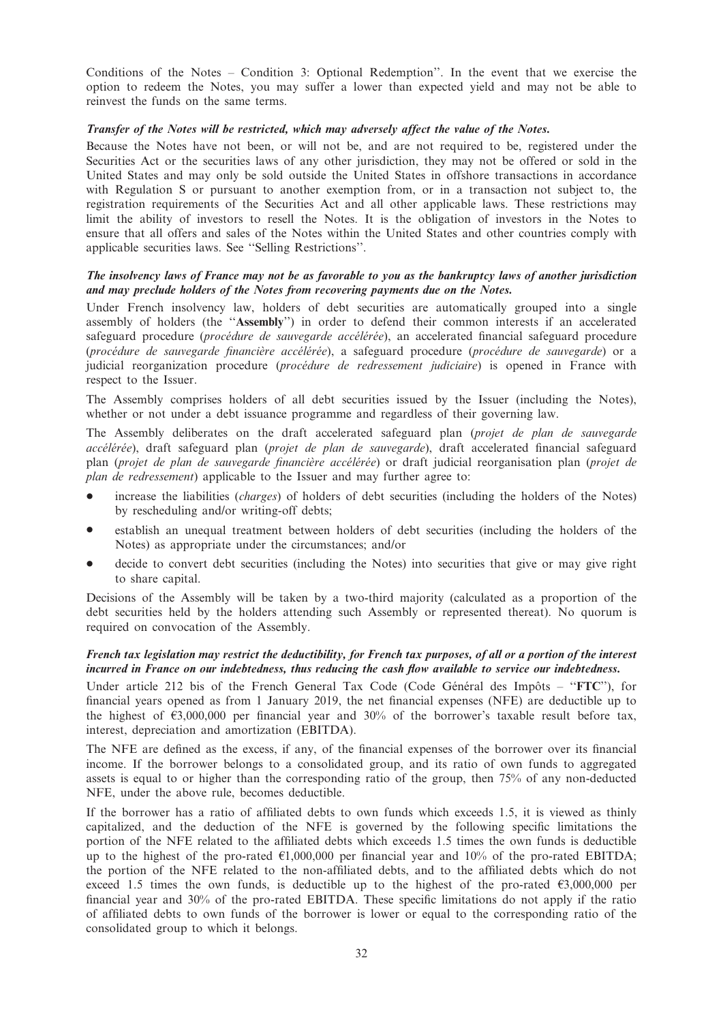Conditions of the Notes – Condition 3: Optional Redemption''. In the event that we exercise the option to redeem the Notes, you may suffer a lower than expected yield and may not be able to reinvest the funds on the same terms.

## Transfer of the Notes will be restricted, which may adversely affect the value of the Notes.

Because the Notes have not been, or will not be, and are not required to be, registered under the Securities Act or the securities laws of any other jurisdiction, they may not be offered or sold in the United States and may only be sold outside the United States in offshore transactions in accordance with Regulation S or pursuant to another exemption from, or in a transaction not subject to, the registration requirements of the Securities Act and all other applicable laws. These restrictions may limit the ability of investors to resell the Notes. It is the obligation of investors in the Notes to ensure that all offers and sales of the Notes within the United States and other countries comply with applicable securities laws. See ''Selling Restrictions''.

## The insolvency laws of France may not be as favorable to you as the bankruptcy laws of another jurisdiction and may preclude holders of the Notes from recovering payments due on the Notes.

Under French insolvency law, holders of debt securities are automatically grouped into a single assembly of holders (the ''Assembly'') in order to defend their common interests if an accelerated safeguard procedure (procédure de sauvegarde accélérée), an accelerated financial safeguard procedure (procédure de sauvegarde financière accélérée), a safeguard procedure (procédure de sauvegarde) or a judicial reorganization procedure (procédure de redressement judiciaire) is opened in France with respect to the Issuer.

The Assembly comprises holders of all debt securities issued by the Issuer (including the Notes), whether or not under a debt issuance programme and regardless of their governing law.

The Assembly deliberates on the draft accelerated safeguard plan (projet de plan de sauvegarde accélérée), draft safeguard plan (projet de plan de sauvegarde), draft accelerated financial safeguard plan (projet de plan de sauvegarde financière accélérée) or draft judicial reorganisation plan (projet de plan de redressement) applicable to the Issuer and may further agree to:

- increase the liabilities (*charges*) of holders of debt securities (including the holders of the Notes) by rescheduling and/or writing-off debts;
- \* establish an unequal treatment between holders of debt securities (including the holders of the Notes) as appropriate under the circumstances; and/or
- decide to convert debt securities (including the Notes) into securities that give or may give right to share capital.

Decisions of the Assembly will be taken by a two-third majority (calculated as a proportion of the debt securities held by the holders attending such Assembly or represented thereat). No quorum is required on convocation of the Assembly.

## French tax legislation may restrict the deductibility, for French tax purposes, of all or a portion of the interest incurred in France on our indebtedness, thus reducing the cash flow available to service our indebtedness.

Under article 212 bis of the French General Tax Code (Code Général des Impôts – " $FTC$ "), for financial years opened as from 1 January 2019, the net financial expenses (NFE) are deductible up to the highest of  $\epsilon$ 3,000,000 per financial year and 30% of the borrower's taxable result before tax, interest, depreciation and amortization (EBITDA).

The NFE are defined as the excess, if any, of the financial expenses of the borrower over its financial income. If the borrower belongs to a consolidated group, and its ratio of own funds to aggregated assets is equal to or higher than the corresponding ratio of the group, then 75% of any non-deducted NFE, under the above rule, becomes deductible.

If the borrower has a ratio of affiliated debts to own funds which exceeds 1.5, it is viewed as thinly capitalized, and the deduction of the NFE is governed by the following specific limitations the portion of the NFE related to the affiliated debts which exceeds 1.5 times the own funds is deductible up to the highest of the pro-rated  $\epsilon$ 1,000,000 per financial year and 10% of the pro-rated EBITDA; the portion of the NFE related to the non-affiliated debts, and to the affiliated debts which do not exceed 1.5 times the own funds, is deductible up to the highest of the pro-rated  $\epsilon$ 3,000,000 per financial year and 30% of the pro-rated EBITDA. These specific limitations do not apply if the ratio of affiliated debts to own funds of the borrower is lower or equal to the corresponding ratio of the consolidated group to which it belongs.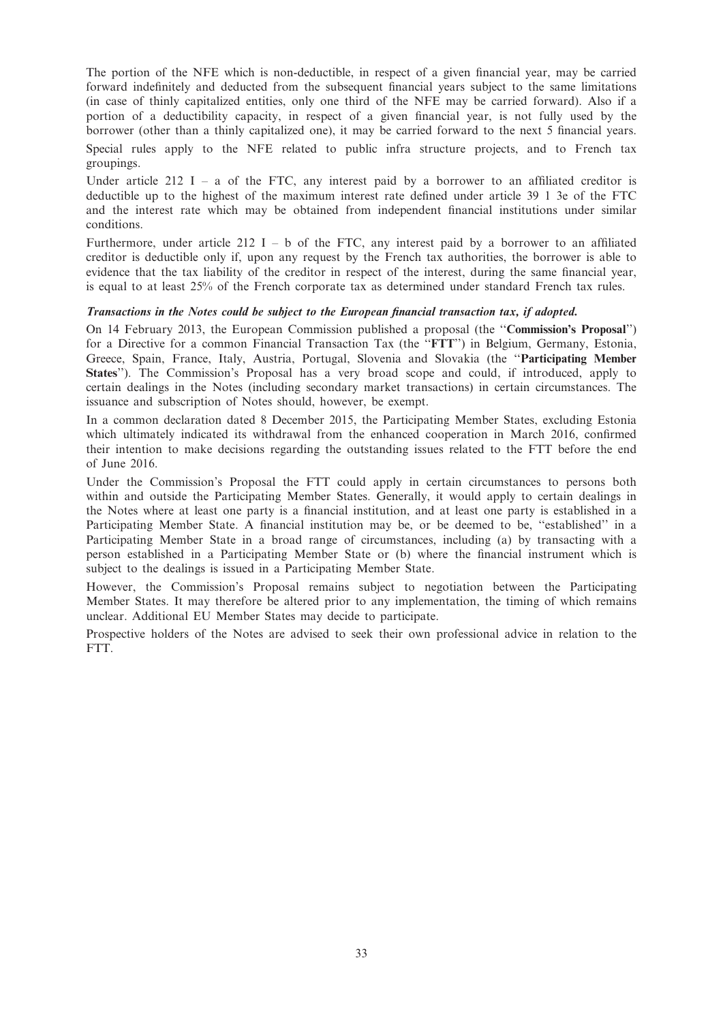The portion of the NFE which is non-deductible, in respect of a given financial year, may be carried forward indefinitely and deducted from the subsequent financial years subject to the same limitations (in case of thinly capitalized entities, only one third of the NFE may be carried forward). Also if a portion of a deductibility capacity, in respect of a given financial year, is not fully used by the borrower (other than a thinly capitalized one), it may be carried forward to the next 5 financial years.

Special rules apply to the NFE related to public infra structure projects, and to French tax groupings.

Under article  $212$  I – a of the FTC, any interest paid by a borrower to an affiliated creditor is deductible up to the highest of the maximum interest rate defined under article 39 1 3e of the FTC and the interest rate which may be obtained from independent financial institutions under similar conditions.

Furthermore, under article 212 I – b of the FTC, any interest paid by a borrower to an affiliated creditor is deductible only if, upon any request by the French tax authorities, the borrower is able to evidence that the tax liability of the creditor in respect of the interest, during the same financial year, is equal to at least 25% of the French corporate tax as determined under standard French tax rules.

### Transactions in the Notes could be subject to the European financial transaction tax, if adopted.

On 14 February 2013, the European Commission published a proposal (the ''Commission's Proposal'') for a Directive for a common Financial Transaction Tax (the ''FTT'') in Belgium, Germany, Estonia, Greece, Spain, France, Italy, Austria, Portugal, Slovenia and Slovakia (the ''Participating Member States''). The Commission's Proposal has a very broad scope and could, if introduced, apply to certain dealings in the Notes (including secondary market transactions) in certain circumstances. The issuance and subscription of Notes should, however, be exempt.

In a common declaration dated 8 December 2015, the Participating Member States, excluding Estonia which ultimately indicated its withdrawal from the enhanced cooperation in March 2016, confirmed their intention to make decisions regarding the outstanding issues related to the FTT before the end of June 2016.

Under the Commission's Proposal the FTT could apply in certain circumstances to persons both within and outside the Participating Member States. Generally, it would apply to certain dealings in the Notes where at least one party is a financial institution, and at least one party is established in a Participating Member State. A financial institution may be, or be deemed to be, ''established'' in a Participating Member State in a broad range of circumstances, including (a) by transacting with a person established in a Participating Member State or (b) where the financial instrument which is subject to the dealings is issued in a Participating Member State.

However, the Commission's Proposal remains subject to negotiation between the Participating Member States. It may therefore be altered prior to any implementation, the timing of which remains unclear. Additional EU Member States may decide to participate.

Prospective holders of the Notes are advised to seek their own professional advice in relation to the FTT.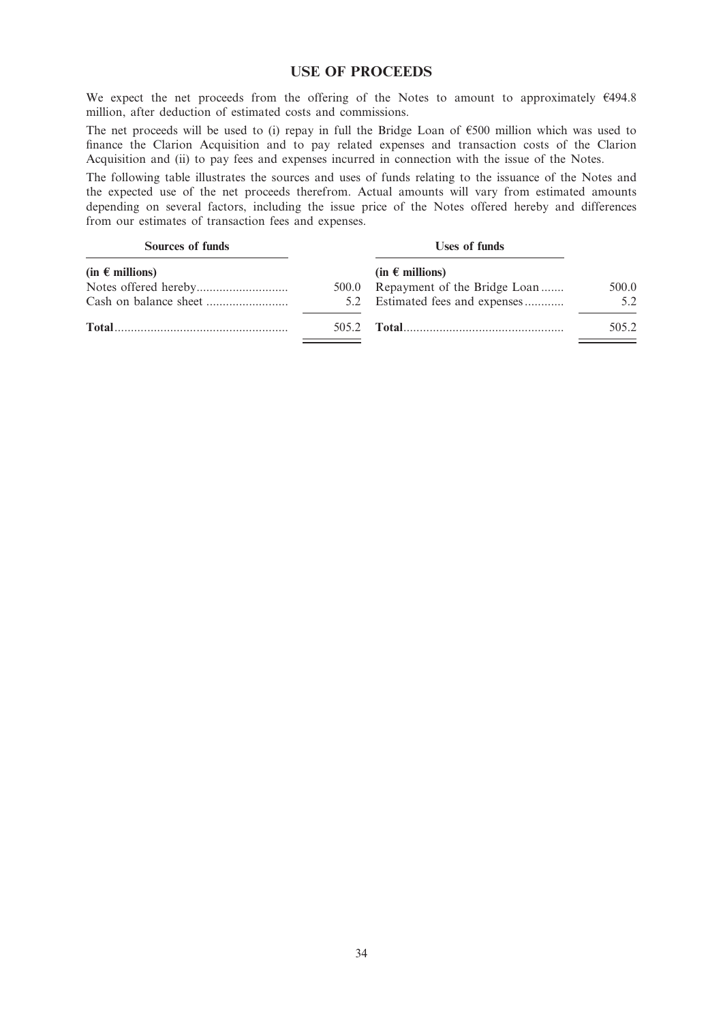## USE OF PROCEEDS

We expect the net proceeds from the offering of the Notes to amount to approximately  $€494.8$ million, after deduction of estimated costs and commissions.

The net proceeds will be used to (i) repay in full the Bridge Loan of  $$500$  million which was used to finance the Clarion Acquisition and to pay related expenses and transaction costs of the Clarion Acquisition and (ii) to pay fees and expenses incurred in connection with the issue of the Notes.

The following table illustrates the sources and uses of funds relating to the issuance of the Notes and the expected use of the net proceeds therefrom. Actual amounts will vary from estimated amounts depending on several factors, including the issue price of the Notes offered hereby and differences from our estimates of transaction fees and expenses.

| Sources of funds    | <b>Uses of funds</b>               |       |
|---------------------|------------------------------------|-------|
| $(in \in millions)$ | $(in \in millions)$                |       |
|                     | 500.0 Repayment of the Bridge Loan | 500.0 |
|                     | 5.2 Estimated fees and expenses    | 5.2   |
|                     |                                    | 505.2 |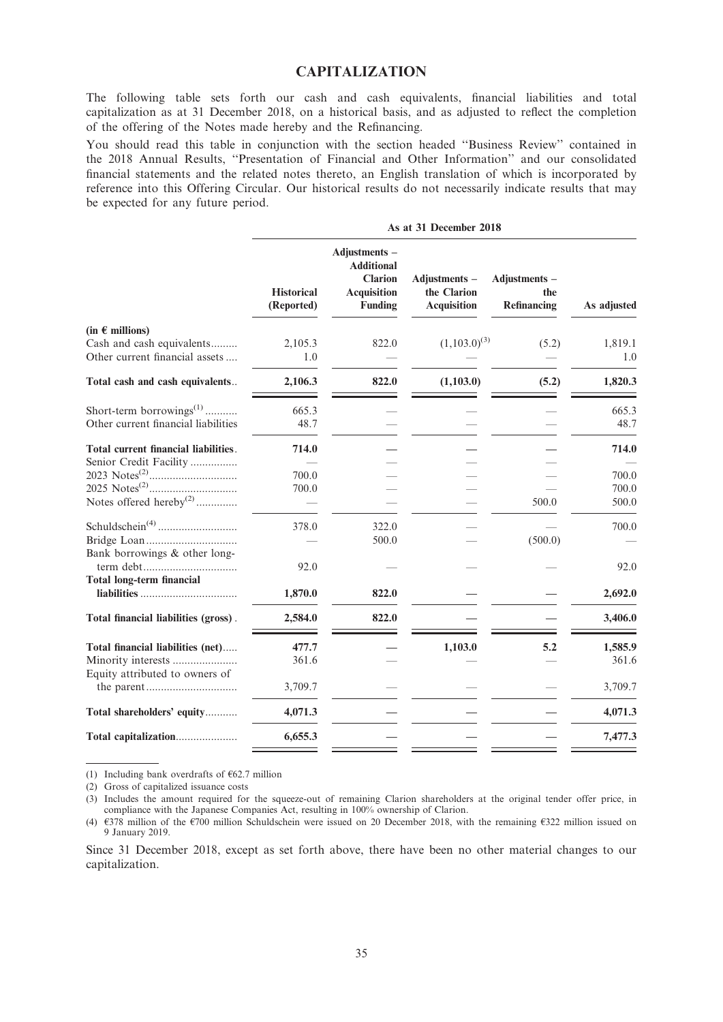## CAPITALIZATION

The following table sets forth our cash and cash equivalents, financial liabilities and total capitalization as at 31 December 2018, on a historical basis, and as adjusted to reflect the completion of the offering of the Notes made hereby and the Refinancing.

You should read this table in conjunction with the section headed ''Business Review'' contained in the 2018 Annual Results, ''Presentation of Financial and Other Information'' and our consolidated financial statements and the related notes thereto, an English translation of which is incorporated by reference into this Offering Circular. Our historical results do not necessarily indicate results that may be expected for any future period.

|                                      | <b>Historical</b><br>(Reported) | Adjustments -<br><b>Additional</b><br><b>Clarion</b><br><b>Acquisition</b><br><b>Funding</b> | Adjustments -<br>the Clarion<br><b>Acquisition</b> | Adjustments -<br>the<br>Refinancing | As adjusted |
|--------------------------------------|---------------------------------|----------------------------------------------------------------------------------------------|----------------------------------------------------|-------------------------------------|-------------|
| (in $\epsilon$ millions)             |                                 |                                                                                              |                                                    |                                     |             |
| Cash and cash equivalents            | 2,105.3                         | 822.0                                                                                        | $(1,103.0)^{(3)}$                                  | (5.2)                               | 1,819.1     |
| Other current financial assets       | 1.0                             |                                                                                              |                                                    |                                     | 1.0         |
| Total cash and cash equivalents      | 2,106.3                         | 822.0                                                                                        | (1,103.0)                                          | (5.2)                               | 1,820.3     |
| Short-term borrowings <sup>(1)</sup> | 665.3                           |                                                                                              |                                                    |                                     | 665.3       |
| Other current financial liabilities  | 48.7                            |                                                                                              |                                                    |                                     | 48.7        |
| Total current financial liabilities. | 714.0                           |                                                                                              |                                                    |                                     | 714.0       |
| Senior Credit Facility               |                                 |                                                                                              |                                                    |                                     |             |
|                                      | 700.0                           |                                                                                              |                                                    |                                     | 700.0       |
|                                      | 700.0                           |                                                                                              |                                                    |                                     | 700.0       |
| Notes offered hereby <sup>(2)</sup>  |                                 |                                                                                              |                                                    | 500.0                               | 500.0       |
|                                      | 378.0                           | 322.0                                                                                        |                                                    |                                     | 700.0       |
| Bank borrowings & other long-        |                                 | 500.0                                                                                        |                                                    | (500.0)                             |             |
|                                      | 92.0                            |                                                                                              |                                                    |                                     | 92.0        |
| <b>Total long-term financial</b>     |                                 |                                                                                              |                                                    |                                     |             |
|                                      | 1,870.0                         | 822.0                                                                                        |                                                    |                                     | 2,692.0     |
| Total financial liabilities (gross). | 2,584.0                         | 822.0                                                                                        |                                                    |                                     | 3,406.0     |
| Total financial liabilities (net)    | 477.7                           |                                                                                              | 1,103.0                                            | 5.2                                 | 1,585.9     |
| Minority interests                   | 361.6                           |                                                                                              |                                                    |                                     | 361.6       |
| Equity attributed to owners of       |                                 |                                                                                              |                                                    |                                     |             |
|                                      | 3,709.7                         |                                                                                              |                                                    |                                     | 3,709.7     |
| Total shareholders' equity           | 4,071.3                         |                                                                                              |                                                    |                                     | 4,071.3     |
| Total capitalization                 | 6,655.3                         |                                                                                              |                                                    |                                     | 7,477.3     |
|                                      |                                 |                                                                                              |                                                    |                                     |             |

As at 31 December 2018

(1) Including bank overdrafts of  $62.7$  million

(2) Gross of capitalized issuance costs

(3) Includes the amount required for the squeeze-out of remaining Clarion shareholders at the original tender offer price, in compliance with the Japanese Companies Act, resulting in 100% ownership of Clarion.

(4)  $6378$  million of the  $6700$  million Schuldschein were issued on 20 December 2018, with the remaining  $6322$  million issued on 9 January 2019.

Since 31 December 2018, except as set forth above, there have been no other material changes to our capitalization.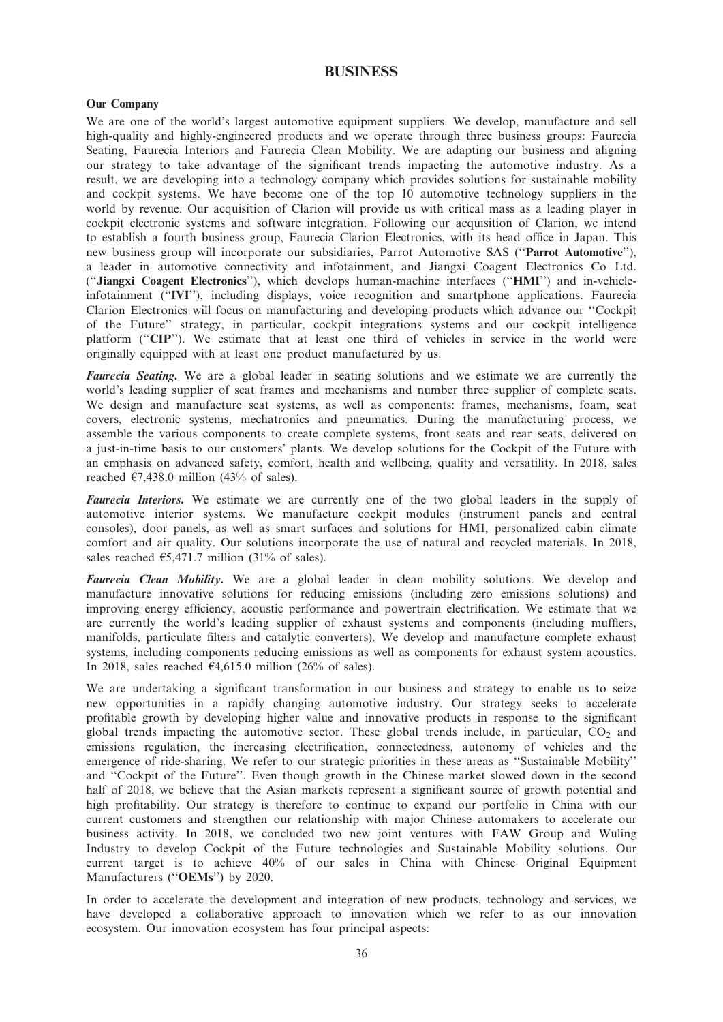## BUSINESS

### Our Company

We are one of the world's largest automotive equipment suppliers. We develop, manufacture and sell high-quality and highly-engineered products and we operate through three business groups: Faurecia Seating, Faurecia Interiors and Faurecia Clean Mobility. We are adapting our business and aligning our strategy to take advantage of the significant trends impacting the automotive industry. As a result, we are developing into a technology company which provides solutions for sustainable mobility and cockpit systems. We have become one of the top 10 automotive technology suppliers in the world by revenue. Our acquisition of Clarion will provide us with critical mass as a leading player in cockpit electronic systems and software integration. Following our acquisition of Clarion, we intend to establish a fourth business group, Faurecia Clarion Electronics, with its head office in Japan. This new business group will incorporate our subsidiaries, Parrot Automotive SAS (''Parrot Automotive''), a leader in automotive connectivity and infotainment, and Jiangxi Coagent Electronics Co Ltd. (''Jiangxi Coagent Electronics''), which develops human-machine interfaces (''HMI'') and in-vehicleinfotainment (''IVI''), including displays, voice recognition and smartphone applications. Faurecia Clarion Electronics will focus on manufacturing and developing products which advance our ''Cockpit of the Future'' strategy, in particular, cockpit integrations systems and our cockpit intelligence platform ("CIP"). We estimate that at least one third of vehicles in service in the world were originally equipped with at least one product manufactured by us.

**Faurecia Seating.** We are a global leader in seating solutions and we estimate we are currently the world's leading supplier of seat frames and mechanisms and number three supplier of complete seats. We design and manufacture seat systems, as well as components: frames, mechanisms, foam, seat covers, electronic systems, mechatronics and pneumatics. During the manufacturing process, we assemble the various components to create complete systems, front seats and rear seats, delivered on a just-in-time basis to our customers' plants. We develop solutions for the Cockpit of the Future with an emphasis on advanced safety, comfort, health and wellbeing, quality and versatility. In 2018, sales reached  $\epsilon$ 7,438.0 million (43% of sales).

Faurecia Interiors. We estimate we are currently one of the two global leaders in the supply of automotive interior systems. We manufacture cockpit modules (instrument panels and central consoles), door panels, as well as smart surfaces and solutions for HMI, personalized cabin climate comfort and air quality. Our solutions incorporate the use of natural and recycled materials. In 2018, sales reached  $\epsilon$ 5,471.7 million (31% of sales).

Faurecia Clean Mobility. We are a global leader in clean mobility solutions. We develop and manufacture innovative solutions for reducing emissions (including zero emissions solutions) and improving energy efficiency, acoustic performance and powertrain electrification. We estimate that we are currently the world's leading supplier of exhaust systems and components (including mufflers, manifolds, particulate filters and catalytic converters). We develop and manufacture complete exhaust systems, including components reducing emissions as well as components for exhaust system acoustics. In 2018, sales reached  $\epsilon$ 4,615.0 million (26% of sales).

We are undertaking a significant transformation in our business and strategy to enable us to seize new opportunities in a rapidly changing automotive industry. Our strategy seeks to accelerate profitable growth by developing higher value and innovative products in response to the significant global trends impacting the automotive sector. These global trends include, in particular,  $CO<sub>2</sub>$  and emissions regulation, the increasing electrification, connectedness, autonomy of vehicles and the emergence of ride-sharing. We refer to our strategic priorities in these areas as ''Sustainable Mobility'' and ''Cockpit of the Future''. Even though growth in the Chinese market slowed down in the second half of 2018, we believe that the Asian markets represent a significant source of growth potential and high profitability. Our strategy is therefore to continue to expand our portfolio in China with our current customers and strengthen our relationship with major Chinese automakers to accelerate our business activity. In 2018, we concluded two new joint ventures with FAW Group and Wuling Industry to develop Cockpit of the Future technologies and Sustainable Mobility solutions. Our current target is to achieve 40% of our sales in China with Chinese Original Equipment Manufacturers ("OEMs") by 2020.

In order to accelerate the development and integration of new products, technology and services, we have developed a collaborative approach to innovation which we refer to as our innovation ecosystem. Our innovation ecosystem has four principal aspects: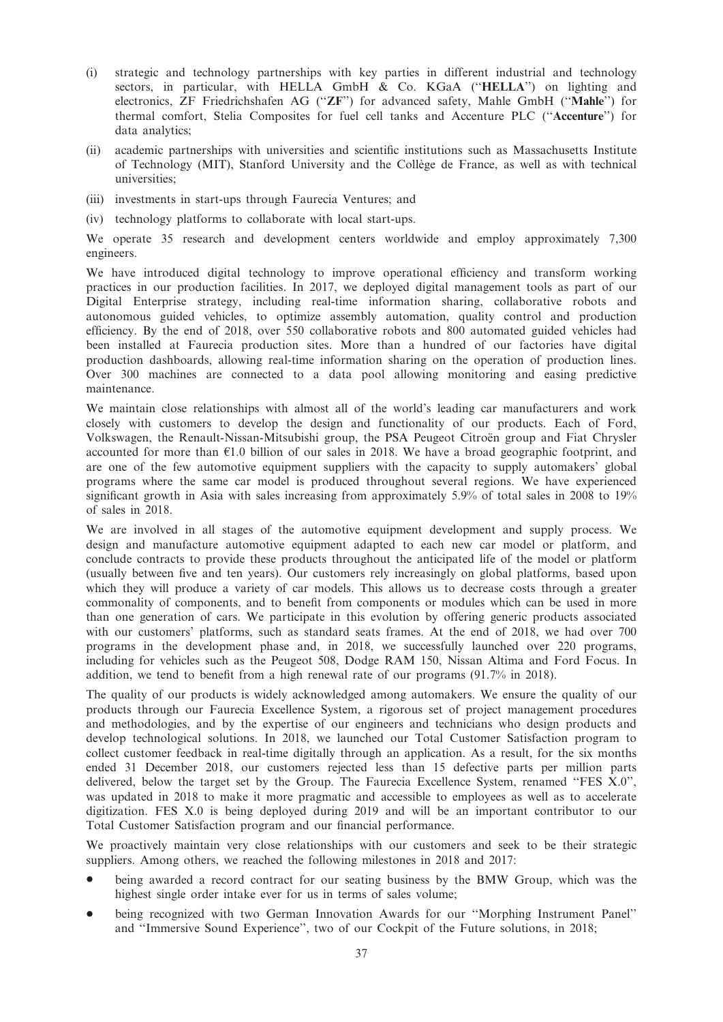- (i) strategic and technology partnerships with key parties in different industrial and technology sectors, in particular, with HELLA GmbH & Co. KGaA ("HELLA") on lighting and electronics, ZF Friedrichshafen AG (''ZF'') for advanced safety, Mahle GmbH (''Mahle'') for thermal comfort, Stelia Composites for fuel cell tanks and Accenture PLC (''Accenture'') for data analytics;
- (ii) academic partnerships with universities and scientific institutions such as Massachusetts Institute of Technology (MIT), Stanford University and the Collège de France, as well as with technical universities;
- (iii) investments in start-ups through Faurecia Ventures; and
- (iv) technology platforms to collaborate with local start-ups.

We operate 35 research and development centers worldwide and employ approximately 7,300 engineers.

We have introduced digital technology to improve operational efficiency and transform working practices in our production facilities. In 2017, we deployed digital management tools as part of our Digital Enterprise strategy, including real-time information sharing, collaborative robots and autonomous guided vehicles, to optimize assembly automation, quality control and production efficiency. By the end of 2018, over 550 collaborative robots and 800 automated guided vehicles had been installed at Faurecia production sites. More than a hundred of our factories have digital production dashboards, allowing real-time information sharing on the operation of production lines. Over 300 machines are connected to a data pool allowing monitoring and easing predictive maintenance.

We maintain close relationships with almost all of the world's leading car manufacturers and work closely with customers to develop the design and functionality of our products. Each of Ford, Volkswagen, the Renault-Nissan-Mitsubishi group, the PSA Peugeot Citroën group and Fiat Chrysler accounted for more than  $E1.0$  billion of our sales in 2018. We have a broad geographic footprint, and are one of the few automotive equipment suppliers with the capacity to supply automakers' global programs where the same car model is produced throughout several regions. We have experienced significant growth in Asia with sales increasing from approximately 5.9% of total sales in 2008 to 19% of sales in 2018.

We are involved in all stages of the automotive equipment development and supply process. We design and manufacture automotive equipment adapted to each new car model or platform, and conclude contracts to provide these products throughout the anticipated life of the model or platform (usually between five and ten years). Our customers rely increasingly on global platforms, based upon which they will produce a variety of car models. This allows us to decrease costs through a greater commonality of components, and to benefit from components or modules which can be used in more than one generation of cars. We participate in this evolution by offering generic products associated with our customers' platforms, such as standard seats frames. At the end of 2018, we had over 700 programs in the development phase and, in 2018, we successfully launched over 220 programs, including for vehicles such as the Peugeot 508, Dodge RAM 150, Nissan Altima and Ford Focus. In addition, we tend to benefit from a high renewal rate of our programs (91.7% in 2018).

The quality of our products is widely acknowledged among automakers. We ensure the quality of our products through our Faurecia Excellence System, a rigorous set of project management procedures and methodologies, and by the expertise of our engineers and technicians who design products and develop technological solutions. In 2018, we launched our Total Customer Satisfaction program to collect customer feedback in real-time digitally through an application. As a result, for the six months ended 31 December 2018, our customers rejected less than 15 defective parts per million parts delivered, below the target set by the Group. The Faurecia Excellence System, renamed ''FES X.0'', was updated in 2018 to make it more pragmatic and accessible to employees as well as to accelerate digitization. FES X.0 is being deployed during 2019 and will be an important contributor to our Total Customer Satisfaction program and our financial performance.

We proactively maintain very close relationships with our customers and seek to be their strategic suppliers. Among others, we reached the following milestones in 2018 and 2017:

- being awarded a record contract for our seating business by the BMW Group, which was the highest single order intake ever for us in terms of sales volume;
- \* being recognized with two German Innovation Awards for our ''Morphing Instrument Panel'' and ''Immersive Sound Experience'', two of our Cockpit of the Future solutions, in 2018;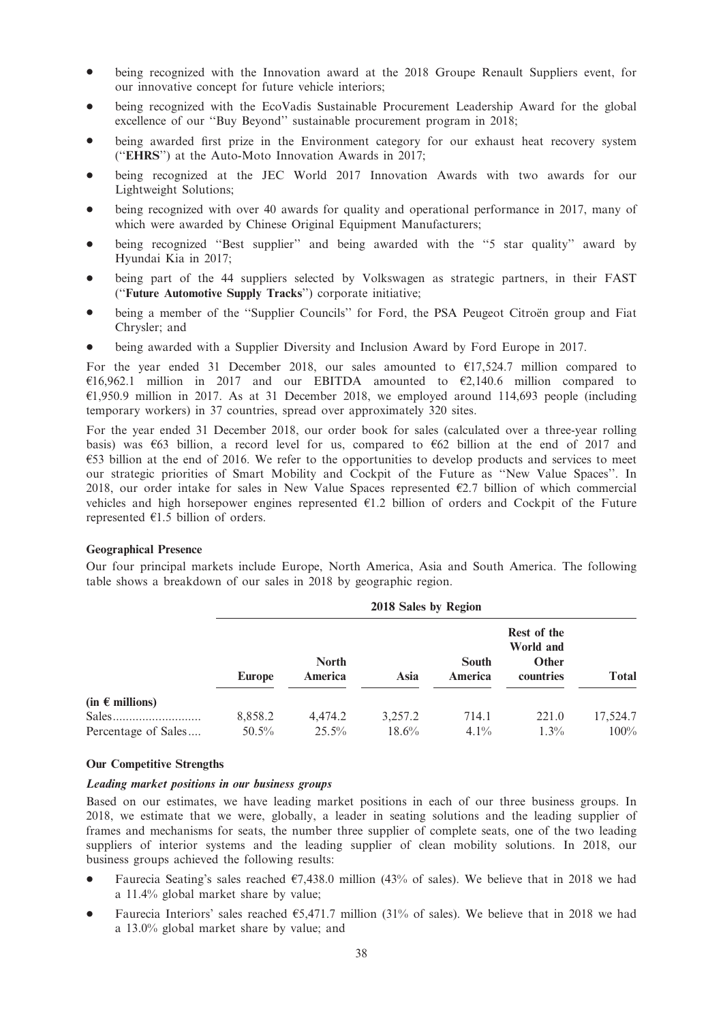- being recognized with the Innovation award at the 2018 Groupe Renault Suppliers event, for our innovative concept for future vehicle interiors;
- being recognized with the EcoVadis Sustainable Procurement Leadership Award for the global excellence of our ''Buy Beyond'' sustainable procurement program in 2018;
- being awarded first prize in the Environment category for our exhaust heat recovery system (''EHRS'') at the Auto-Moto Innovation Awards in 2017;
- being recognized at the JEC World 2017 Innovation Awards with two awards for our Lightweight Solutions;
- being recognized with over 40 awards for quality and operational performance in 2017, many of which were awarded by Chinese Original Equipment Manufacturers;
- being recognized "Best supplier" and being awarded with the "5 star quality" award by Hyundai Kia in 2017;
- being part of the 44 suppliers selected by Volkswagen as strategic partners, in their FAST (''Future Automotive Supply Tracks'') corporate initiative;
- being a member of the "Supplier Councils" for Ford, the PSA Peugeot Citroën group and Fiat Chrysler; and
- being awarded with a Supplier Diversity and Inclusion Award by Ford Europe in 2017.

For the year ended 31 December 2018, our sales amounted to  $\epsilon$ 17,524.7 million compared to  $£16,962.1$  million in 2017 and our EBITDA amounted to  $£2,140.6$  million compared to  $£1,950.9$  million in 2017. As at 31 December 2018, we employed around 114,693 people (including temporary workers) in 37 countries, spread over approximately 320 sites.

For the year ended 31 December 2018, our order book for sales (calculated over a three-year rolling basis) was  $\epsilon$ 63 billion, a record level for us, compared to  $\epsilon$ 62 billion at the end of 2017 and  $\epsilon$ 53 billion at the end of 2016. We refer to the opportunities to develop products and services to meet our strategic priorities of Smart Mobility and Cockpit of the Future as ''New Value Spaces''. In 2018, our order intake for sales in New Value Spaces represented  $\epsilon$ 2.7 billion of which commercial vehicles and high horsepower engines represented  $E1.2$  billion of orders and Cockpit of the Future represented  $E1.5$  billion of orders.

### Geographical Presence

Our four principal markets include Europe, North America, Asia and South America. The following table shows a breakdown of our sales in 2018 by geographic region.

|                          |               | $\sim$ 0.10 $\sim$ 0.100 $\mu$ 110.1011 |          |                         |                                                       |              |  |  |
|--------------------------|---------------|-----------------------------------------|----------|-------------------------|-------------------------------------------------------|--------------|--|--|
|                          | <b>Europe</b> | <b>North</b><br>America                 | Asia     | <b>South</b><br>America | Rest of the<br>World and<br><b>Other</b><br>countries | <b>Total</b> |  |  |
| (in $\epsilon$ millions) |               |                                         |          |                         |                                                       |              |  |  |
| Sales                    | 8,858.2       | 4,474.2                                 | 3,257.2  | 714.1                   | 221.0                                                 | 17,524.7     |  |  |
| Percentage of Sales      | $50.5\%$      | $25.5\%$                                | $18.6\%$ | $4.1\%$                 | $1.3\%$                                               | $100\%$      |  |  |
|                          |               |                                         |          |                         |                                                       |              |  |  |

## 2018 Sales by Region

#### Our Competitive Strengths

## Leading market positions in our business groups

Based on our estimates, we have leading market positions in each of our three business groups. In 2018, we estimate that we were, globally, a leader in seating solutions and the leading supplier of frames and mechanisms for seats, the number three supplier of complete seats, one of the two leading suppliers of interior systems and the leading supplier of clean mobility solutions. In 2018, our business groups achieved the following results:

- Faurecia Seating's sales reached  $\epsilon$ 7,438.0 million (43% of sales). We believe that in 2018 we had a 11.4% global market share by value;
- Faurecia Interiors' sales reached  $65,471.7$  million (31% of sales). We believe that in 2018 we had a 13.0% global market share by value; and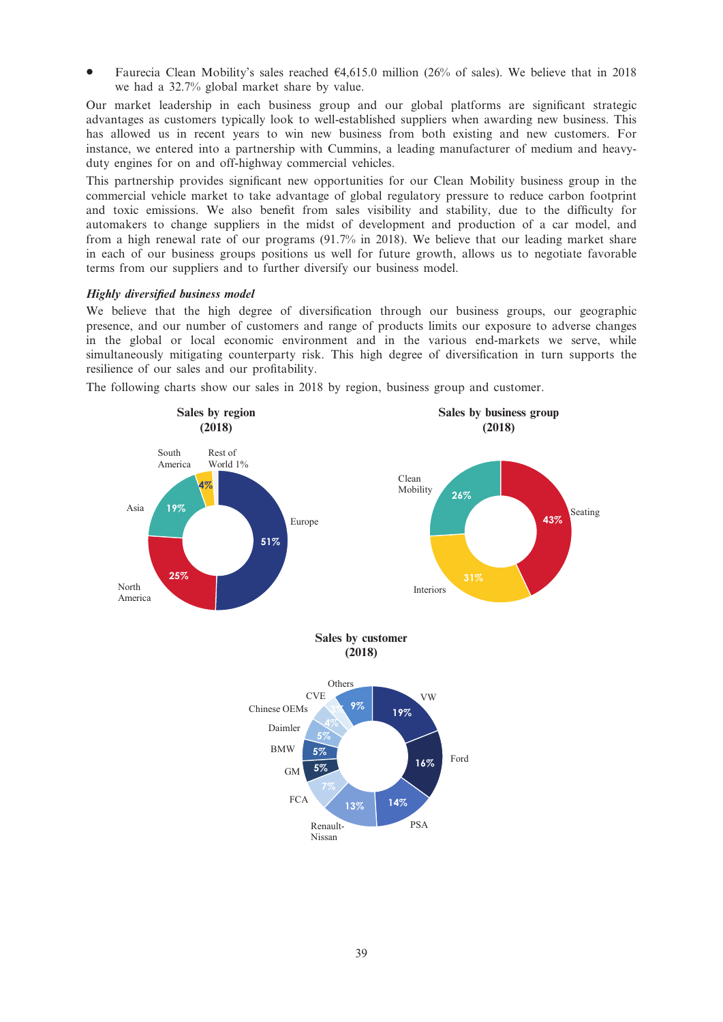Faurecia Clean Mobility's sales reached  $\epsilon$ 4,615.0 million (26% of sales). We believe that in 2018 we had a 32.7% global market share by value.

Our market leadership in each business group and our global platforms are significant strategic advantages as customers typically look to well-established suppliers when awarding new business. This has allowed us in recent years to win new business from both existing and new customers. For instance, we entered into a partnership with Cummins, a leading manufacturer of medium and heavyduty engines for on and off-highway commercial vehicles.

This partnership provides significant new opportunities for our Clean Mobility business group in the commercial vehicle market to take advantage of global regulatory pressure to reduce carbon footprint and toxic emissions. We also benefit from sales visibility and stability, due to the difficulty for automakers to change suppliers in the midst of development and production of a car model, and from a high renewal rate of our programs (91.7% in 2018). We believe that our leading market share in each of our business groups positions us well for future growth, allows us to negotiate favorable terms from our suppliers and to further diversify our business model.

## Highly diversified business model

We believe that the high degree of diversification through our business groups, our geographic presence, and our number of customers and range of products limits our exposure to adverse changes in the global or local economic environment and in the various end-markets we serve, while simultaneously mitigating counterparty risk. This high degree of diversification in turn supports the resilience of our sales and our profitability.

The following charts show our sales in 2018 by region, business group and customer.

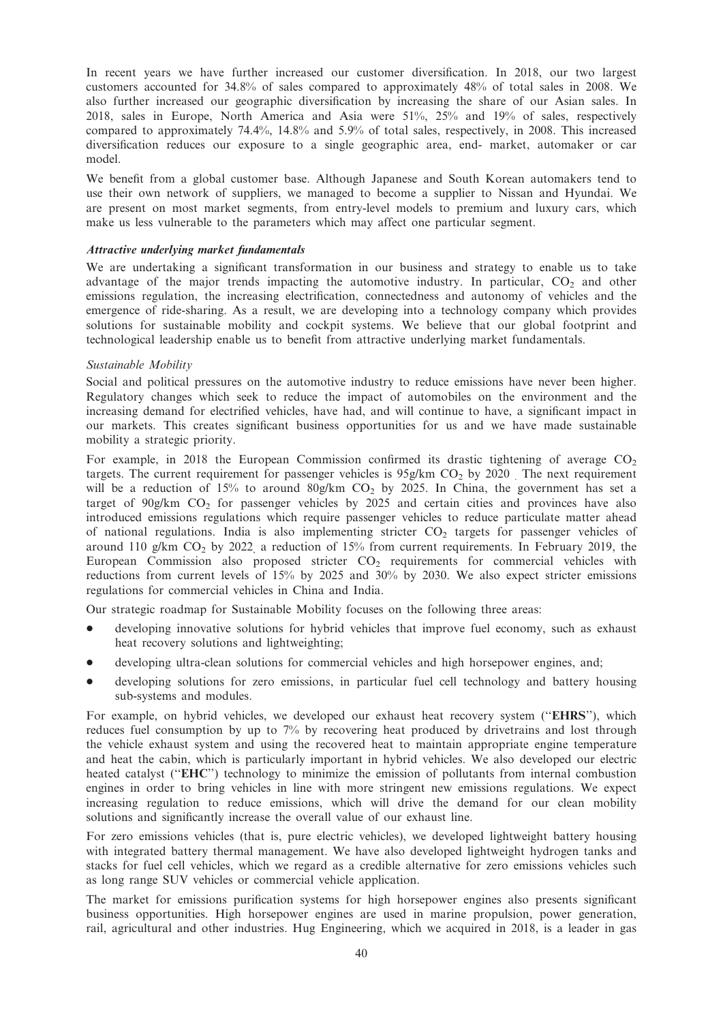In recent years we have further increased our customer diversification. In 2018, our two largest customers accounted for 34.8% of sales compared to approximately 48% of total sales in 2008. We also further increased our geographic diversification by increasing the share of our Asian sales. In 2018, sales in Europe, North America and Asia were 51%, 25% and 19% of sales, respectively compared to approximately 74.4%, 14.8% and 5.9% of total sales, respectively, in 2008. This increased diversification reduces our exposure to a single geographic area, end- market, automaker or car model.

We benefit from a global customer base. Although Japanese and South Korean automakers tend to use their own network of suppliers, we managed to become a supplier to Nissan and Hyundai. We are present on most market segments, from entry-level models to premium and luxury cars, which make us less vulnerable to the parameters which may affect one particular segment.

### Attractive underlying market fundamentals

We are undertaking a significant transformation in our business and strategy to enable us to take advantage of the major trends impacting the automotive industry. In particular,  $CO<sub>2</sub>$  and other emissions regulation, the increasing electrification, connectedness and autonomy of vehicles and the emergence of ride-sharing. As a result, we are developing into a technology company which provides solutions for sustainable mobility and cockpit systems. We believe that our global footprint and technological leadership enable us to benefit from attractive underlying market fundamentals.

## Sustainable Mobility

Social and political pressures on the automotive industry to reduce emissions have never been higher. Regulatory changes which seek to reduce the impact of automobiles on the environment and the increasing demand for electrified vehicles, have had, and will continue to have, a significant impact in our markets. This creates significant business opportunities for us and we have made sustainable mobility a strategic priority.

For example, in 2018 the European Commission confirmed its drastic tightening of average  $CO<sub>2</sub>$ targets. The current requirement for passenger vehicles is  $95g/km$  CO<sub>2</sub> by 2020 . The next requirement will be a reduction of 15% to around  $80g/km$  CO<sub>2</sub> by 2025. In China, the government has set a target of  $90g/km$  CO<sub>2</sub> for passenger vehicles by 2025 and certain cities and provinces have also introduced emissions regulations which require passenger vehicles to reduce particulate matter ahead of national regulations. India is also implementing stricter  $CO<sub>2</sub>$  targets for passenger vehicles of around 110 g/km  $CO<sub>2</sub>$  by 2022, a reduction of 15% from current requirements. In February 2019, the European Commission also proposed stricter  $CO<sub>2</sub>$  requirements for commercial vehicles with reductions from current levels of 15% by 2025 and 30% by 2030. We also expect stricter emissions regulations for commercial vehicles in China and India.

Our strategic roadmap for Sustainable Mobility focuses on the following three areas:

- developing innovative solutions for hybrid vehicles that improve fuel economy, such as exhaust heat recovery solutions and lightweighting;
- developing ultra-clean solutions for commercial vehicles and high horsepower engines, and;
- developing solutions for zero emissions, in particular fuel cell technology and battery housing sub-systems and modules.

For example, on hybrid vehicles, we developed our exhaust heat recovery system ("EHRS"), which reduces fuel consumption by up to 7% by recovering heat produced by drivetrains and lost through the vehicle exhaust system and using the recovered heat to maintain appropriate engine temperature and heat the cabin, which is particularly important in hybrid vehicles. We also developed our electric heated catalyst (''EHC'') technology to minimize the emission of pollutants from internal combustion engines in order to bring vehicles in line with more stringent new emissions regulations. We expect increasing regulation to reduce emissions, which will drive the demand for our clean mobility solutions and significantly increase the overall value of our exhaust line.

For zero emissions vehicles (that is, pure electric vehicles), we developed lightweight battery housing with integrated battery thermal management. We have also developed lightweight hydrogen tanks and stacks for fuel cell vehicles, which we regard as a credible alternative for zero emissions vehicles such as long range SUV vehicles or commercial vehicle application.

The market for emissions purification systems for high horsepower engines also presents significant business opportunities. High horsepower engines are used in marine propulsion, power generation, rail, agricultural and other industries. Hug Engineering, which we acquired in 2018, is a leader in gas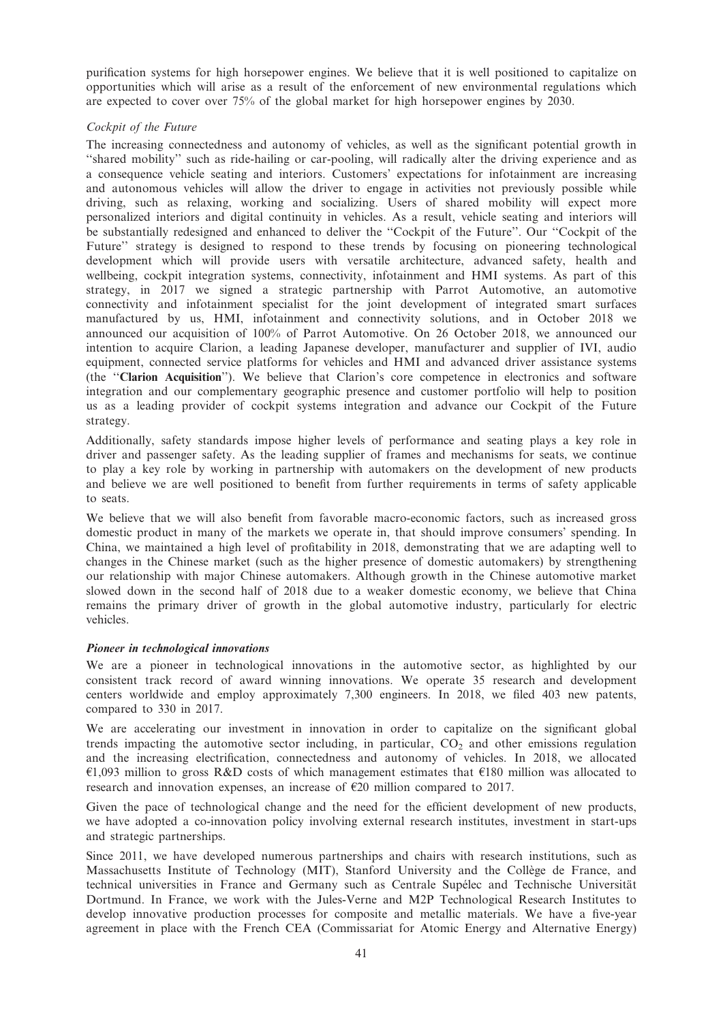purification systems for high horsepower engines. We believe that it is well positioned to capitalize on opportunities which will arise as a result of the enforcement of new environmental regulations which are expected to cover over 75% of the global market for high horsepower engines by 2030.

## Cockpit of the Future

The increasing connectedness and autonomy of vehicles, as well as the significant potential growth in ''shared mobility'' such as ride-hailing or car-pooling, will radically alter the driving experience and as a consequence vehicle seating and interiors. Customers' expectations for infotainment are increasing and autonomous vehicles will allow the driver to engage in activities not previously possible while driving, such as relaxing, working and socializing. Users of shared mobility will expect more personalized interiors and digital continuity in vehicles. As a result, vehicle seating and interiors will be substantially redesigned and enhanced to deliver the "Cockpit of the Future". Our "Cockpit of the Future'' strategy is designed to respond to these trends by focusing on pioneering technological development which will provide users with versatile architecture, advanced safety, health and wellbeing, cockpit integration systems, connectivity, infotainment and HMI systems. As part of this strategy, in 2017 we signed a strategic partnership with Parrot Automotive, an automotive connectivity and infotainment specialist for the joint development of integrated smart surfaces manufactured by us, HMI, infotainment and connectivity solutions, and in October 2018 we announced our acquisition of 100% of Parrot Automotive. On 26 October 2018, we announced our intention to acquire Clarion, a leading Japanese developer, manufacturer and supplier of IVI, audio equipment, connected service platforms for vehicles and HMI and advanced driver assistance systems (the ''Clarion Acquisition''). We believe that Clarion's core competence in electronics and software integration and our complementary geographic presence and customer portfolio will help to position us as a leading provider of cockpit systems integration and advance our Cockpit of the Future strategy.

Additionally, safety standards impose higher levels of performance and seating plays a key role in driver and passenger safety. As the leading supplier of frames and mechanisms for seats, we continue to play a key role by working in partnership with automakers on the development of new products and believe we are well positioned to benefit from further requirements in terms of safety applicable to seats.

We believe that we will also benefit from favorable macro-economic factors, such as increased gross domestic product in many of the markets we operate in, that should improve consumers' spending. In China, we maintained a high level of profitability in 2018, demonstrating that we are adapting well to changes in the Chinese market (such as the higher presence of domestic automakers) by strengthening our relationship with major Chinese automakers. Although growth in the Chinese automotive market slowed down in the second half of 2018 due to a weaker domestic economy, we believe that China remains the primary driver of growth in the global automotive industry, particularly for electric vehicles.

## Pioneer in technological innovations

We are a pioneer in technological innovations in the automotive sector, as highlighted by our consistent track record of award winning innovations. We operate 35 research and development centers worldwide and employ approximately 7,300 engineers. In 2018, we filed 403 new patents, compared to 330 in 2017.

We are accelerating our investment in innovation in order to capitalize on the significant global trends impacting the automotive sector including, in particular,  $CO<sub>2</sub>$  and other emissions regulation and the increasing electrification, connectedness and autonomy of vehicles. In 2018, we allocated  $\epsilon$ 1,093 million to gross R&D costs of which management estimates that  $\epsilon$ 180 million was allocated to research and innovation expenses, an increase of  $E20$  million compared to 2017.

Given the pace of technological change and the need for the efficient development of new products, we have adopted a co-innovation policy involving external research institutes, investment in start-ups and strategic partnerships.

Since 2011, we have developed numerous partnerships and chairs with research institutions, such as Massachusetts Institute of Technology (MIT), Stanford University and the Collège de France, and technical universities in France and Germany such as Centrale Supélec and Technische Universität Dortmund. In France, we work with the Jules-Verne and M2P Technological Research Institutes to develop innovative production processes for composite and metallic materials. We have a five-year agreement in place with the French CEA (Commissariat for Atomic Energy and Alternative Energy)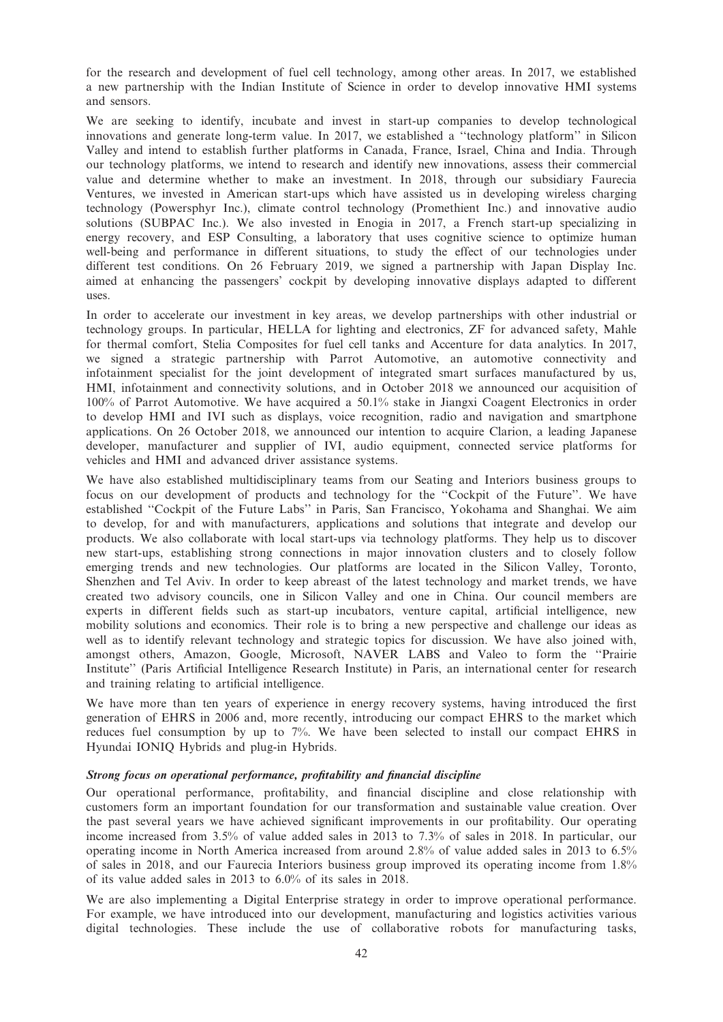for the research and development of fuel cell technology, among other areas. In 2017, we established a new partnership with the Indian Institute of Science in order to develop innovative HMI systems and sensors.

We are seeking to identify, incubate and invest in start-up companies to develop technological innovations and generate long-term value. In 2017, we established a ''technology platform'' in Silicon Valley and intend to establish further platforms in Canada, France, Israel, China and India. Through our technology platforms, we intend to research and identify new innovations, assess their commercial value and determine whether to make an investment. In 2018, through our subsidiary Faurecia Ventures, we invested in American start-ups which have assisted us in developing wireless charging technology (Powersphyr Inc.), climate control technology (Promethient Inc.) and innovative audio solutions (SUBPAC Inc.). We also invested in Enogia in 2017, a French start-up specializing in energy recovery, and ESP Consulting, a laboratory that uses cognitive science to optimize human well-being and performance in different situations, to study the effect of our technologies under different test conditions. On 26 February 2019, we signed a partnership with Japan Display Inc. aimed at enhancing the passengers' cockpit by developing innovative displays adapted to different uses.

In order to accelerate our investment in key areas, we develop partnerships with other industrial or technology groups. In particular, HELLA for lighting and electronics, ZF for advanced safety, Mahle for thermal comfort, Stelia Composites for fuel cell tanks and Accenture for data analytics. In 2017, we signed a strategic partnership with Parrot Automotive, an automotive connectivity and infotainment specialist for the joint development of integrated smart surfaces manufactured by us, HMI, infotainment and connectivity solutions, and in October 2018 we announced our acquisition of 100% of Parrot Automotive. We have acquired a 50.1% stake in Jiangxi Coagent Electronics in order to develop HMI and IVI such as displays, voice recognition, radio and navigation and smartphone applications. On 26 October 2018, we announced our intention to acquire Clarion, a leading Japanese developer, manufacturer and supplier of IVI, audio equipment, connected service platforms for vehicles and HMI and advanced driver assistance systems.

We have also established multidisciplinary teams from our Seating and Interiors business groups to focus on our development of products and technology for the ''Cockpit of the Future''. We have established ''Cockpit of the Future Labs'' in Paris, San Francisco, Yokohama and Shanghai. We aim to develop, for and with manufacturers, applications and solutions that integrate and develop our products. We also collaborate with local start-ups via technology platforms. They help us to discover new start-ups, establishing strong connections in major innovation clusters and to closely follow emerging trends and new technologies. Our platforms are located in the Silicon Valley, Toronto, Shenzhen and Tel Aviv. In order to keep abreast of the latest technology and market trends, we have created two advisory councils, one in Silicon Valley and one in China. Our council members are experts in different fields such as start-up incubators, venture capital, artificial intelligence, new mobility solutions and economics. Their role is to bring a new perspective and challenge our ideas as well as to identify relevant technology and strategic topics for discussion. We have also joined with, amongst others, Amazon, Google, Microsoft, NAVER LABS and Valeo to form the ''Prairie Institute'' (Paris Artificial Intelligence Research Institute) in Paris, an international center for research and training relating to artificial intelligence.

We have more than ten years of experience in energy recovery systems, having introduced the first generation of EHRS in 2006 and, more recently, introducing our compact EHRS to the market which reduces fuel consumption by up to 7%. We have been selected to install our compact EHRS in Hyundai IONIQ Hybrids and plug-in Hybrids.

### Strong focus on operational performance, profitability and financial discipline

Our operational performance, profitability, and financial discipline and close relationship with customers form an important foundation for our transformation and sustainable value creation. Over the past several years we have achieved significant improvements in our profitability. Our operating income increased from 3.5% of value added sales in 2013 to 7.3% of sales in 2018. In particular, our operating income in North America increased from around 2.8% of value added sales in 2013 to 6.5% of sales in 2018, and our Faurecia Interiors business group improved its operating income from 1.8% of its value added sales in 2013 to 6.0% of its sales in 2018.

We are also implementing a Digital Enterprise strategy in order to improve operational performance. For example, we have introduced into our development, manufacturing and logistics activities various digital technologies. These include the use of collaborative robots for manufacturing tasks,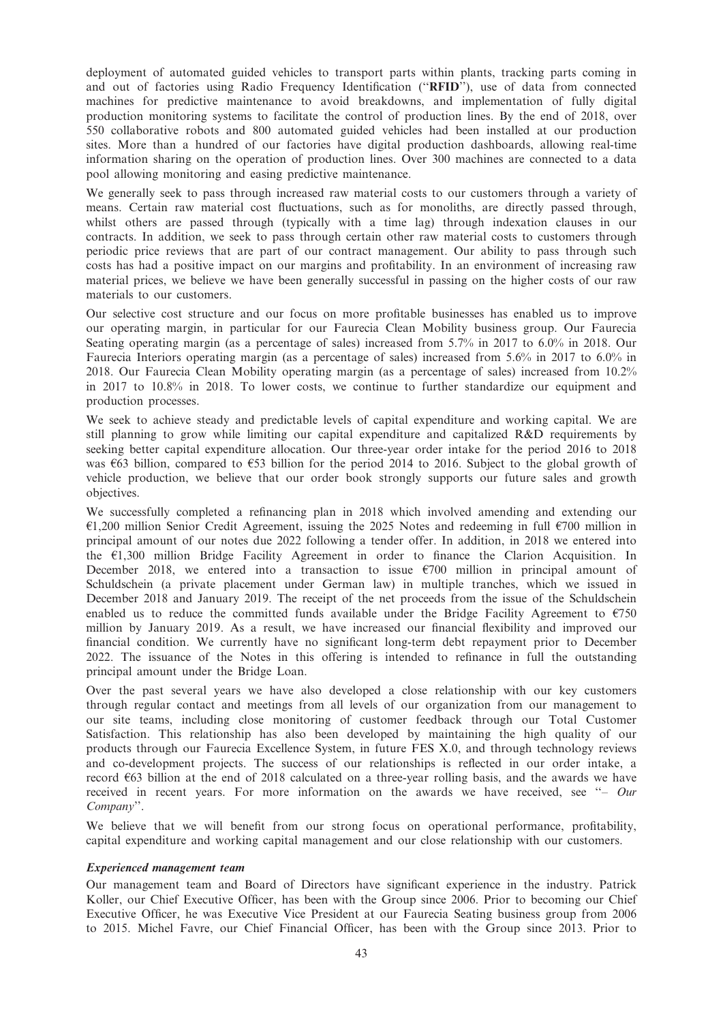deployment of automated guided vehicles to transport parts within plants, tracking parts coming in and out of factories using Radio Frequency Identification (''RFID''), use of data from connected machines for predictive maintenance to avoid breakdowns, and implementation of fully digital production monitoring systems to facilitate the control of production lines. By the end of 2018, over 550 collaborative robots and 800 automated guided vehicles had been installed at our production sites. More than a hundred of our factories have digital production dashboards, allowing real-time information sharing on the operation of production lines. Over 300 machines are connected to a data pool allowing monitoring and easing predictive maintenance.

We generally seek to pass through increased raw material costs to our customers through a variety of means. Certain raw material cost fluctuations, such as for monoliths, are directly passed through, whilst others are passed through (typically with a time lag) through indexation clauses in our contracts. In addition, we seek to pass through certain other raw material costs to customers through periodic price reviews that are part of our contract management. Our ability to pass through such costs has had a positive impact on our margins and profitability. In an environment of increasing raw material prices, we believe we have been generally successful in passing on the higher costs of our raw materials to our customers.

Our selective cost structure and our focus on more profitable businesses has enabled us to improve our operating margin, in particular for our Faurecia Clean Mobility business group. Our Faurecia Seating operating margin (as a percentage of sales) increased from 5.7% in 2017 to 6.0% in 2018. Our Faurecia Interiors operating margin (as a percentage of sales) increased from 5.6% in 2017 to 6.0% in 2018. Our Faurecia Clean Mobility operating margin (as a percentage of sales) increased from 10.2% in 2017 to 10.8% in 2018. To lower costs, we continue to further standardize our equipment and production processes.

We seek to achieve steady and predictable levels of capital expenditure and working capital. We are still planning to grow while limiting our capital expenditure and capitalized R&D requirements by seeking better capital expenditure allocation. Our three-year order intake for the period 2016 to 2018 was  $63$  billion, compared to  $653$  billion for the period 2014 to 2016. Subject to the global growth of vehicle production, we believe that our order book strongly supports our future sales and growth objectives.

We successfully completed a refinancing plan in 2018 which involved amending and extending our  $\epsilon$ 1,200 million Senior Credit Agreement, issuing the 2025 Notes and redeeming in full  $\epsilon$ 700 million in principal amount of our notes due 2022 following a tender offer. In addition, in 2018 we entered into the  $E1,300$  million Bridge Facility Agreement in order to finance the Clarion Acquisition. In December 2018, we entered into a transaction to issue  $\epsilon$ 700 million in principal amount of Schuldschein (a private placement under German law) in multiple tranches, which we issued in December 2018 and January 2019. The receipt of the net proceeds from the issue of the Schuldschein enabled us to reduce the committed funds available under the Bridge Facility Agreement to  $\epsilon$ 750 million by January 2019. As a result, we have increased our financial flexibility and improved our financial condition. We currently have no significant long-term debt repayment prior to December 2022. The issuance of the Notes in this offering is intended to refinance in full the outstanding principal amount under the Bridge Loan.

Over the past several years we have also developed a close relationship with our key customers through regular contact and meetings from all levels of our organization from our management to our site teams, including close monitoring of customer feedback through our Total Customer Satisfaction. This relationship has also been developed by maintaining the high quality of our products through our Faurecia Excellence System, in future FES X.0, and through technology reviews and co-development projects. The success of our relationships is reflected in our order intake, a record  $663$  billion at the end of 2018 calculated on a three-year rolling basis, and the awards we have received in recent years. For more information on the awards we have received, see "- Our Company''.

We believe that we will benefit from our strong focus on operational performance, profitability, capital expenditure and working capital management and our close relationship with our customers.

## Experienced management team

Our management team and Board of Directors have significant experience in the industry. Patrick Koller, our Chief Executive Officer, has been with the Group since 2006. Prior to becoming our Chief Executive Officer, he was Executive Vice President at our Faurecia Seating business group from 2006 to 2015. Michel Favre, our Chief Financial Officer, has been with the Group since 2013. Prior to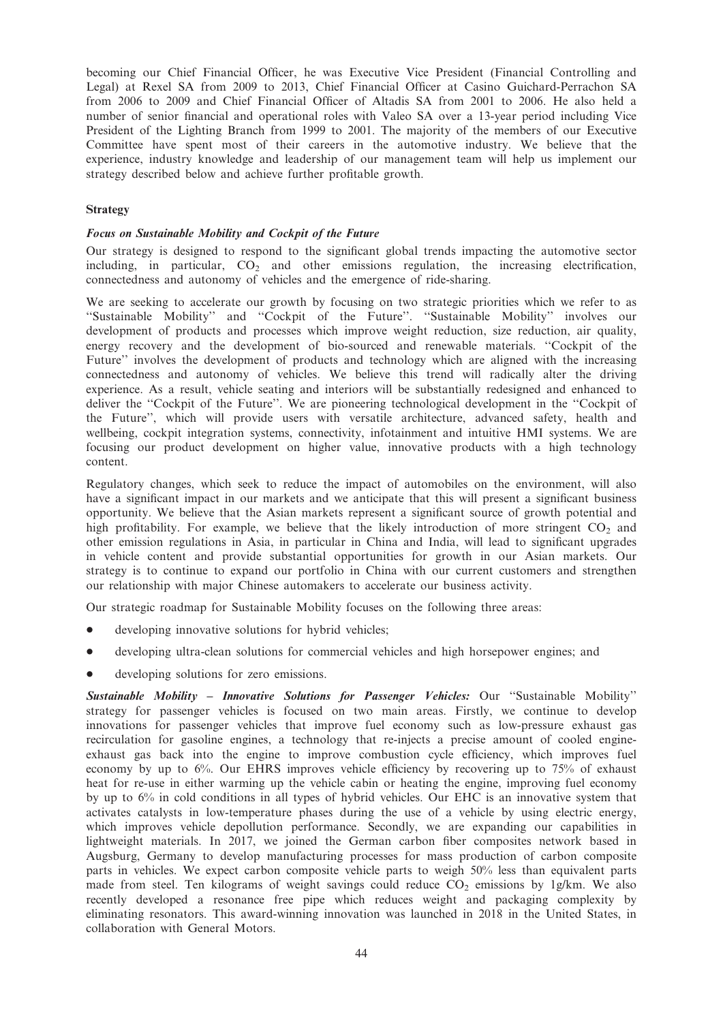becoming our Chief Financial Officer, he was Executive Vice President (Financial Controlling and Legal) at Rexel SA from 2009 to 2013, Chief Financial Officer at Casino Guichard-Perrachon SA from 2006 to 2009 and Chief Financial Officer of Altadis SA from 2001 to 2006. He also held a number of senior financial and operational roles with Valeo SA over a 13-year period including Vice President of the Lighting Branch from 1999 to 2001. The majority of the members of our Executive Committee have spent most of their careers in the automotive industry. We believe that the experience, industry knowledge and leadership of our management team will help us implement our strategy described below and achieve further profitable growth.

### Strategy

### Focus on Sustainable Mobility and Cockpit of the Future

Our strategy is designed to respond to the significant global trends impacting the automotive sector including, in particular,  $CO<sub>2</sub>$  and other emissions regulation, the increasing electrification, connectedness and autonomy of vehicles and the emergence of ride-sharing.

We are seeking to accelerate our growth by focusing on two strategic priorities which we refer to as ''Sustainable Mobility'' and ''Cockpit of the Future''. ''Sustainable Mobility'' involves our development of products and processes which improve weight reduction, size reduction, air quality, energy recovery and the development of bio-sourced and renewable materials. ''Cockpit of the Future'' involves the development of products and technology which are aligned with the increasing connectedness and autonomy of vehicles. We believe this trend will radically alter the driving experience. As a result, vehicle seating and interiors will be substantially redesigned and enhanced to deliver the "Cockpit of the Future". We are pioneering technological development in the "Cockpit of the Future'', which will provide users with versatile architecture, advanced safety, health and wellbeing, cockpit integration systems, connectivity, infotainment and intuitive HMI systems. We are focusing our product development on higher value, innovative products with a high technology content.

Regulatory changes, which seek to reduce the impact of automobiles on the environment, will also have a significant impact in our markets and we anticipate that this will present a significant business opportunity. We believe that the Asian markets represent a significant source of growth potential and high profitability. For example, we believe that the likely introduction of more stringent  $CO<sub>2</sub>$  and other emission regulations in Asia, in particular in China and India, will lead to significant upgrades in vehicle content and provide substantial opportunities for growth in our Asian markets. Our strategy is to continue to expand our portfolio in China with our current customers and strengthen our relationship with major Chinese automakers to accelerate our business activity.

Our strategic roadmap for Sustainable Mobility focuses on the following three areas:

- developing innovative solutions for hybrid vehicles;
- developing ultra-clean solutions for commercial vehicles and high horsepower engines; and
- developing solutions for zero emissions.

Sustainable Mobility – Innovative Solutions for Passenger Vehicles: Our ''Sustainable Mobility'' strategy for passenger vehicles is focused on two main areas. Firstly, we continue to develop innovations for passenger vehicles that improve fuel economy such as low-pressure exhaust gas recirculation for gasoline engines, a technology that re-injects a precise amount of cooled engineexhaust gas back into the engine to improve combustion cycle efficiency, which improves fuel economy by up to 6%. Our EHRS improves vehicle efficiency by recovering up to 75% of exhaust heat for re-use in either warming up the vehicle cabin or heating the engine, improving fuel economy by up to 6% in cold conditions in all types of hybrid vehicles. Our EHC is an innovative system that activates catalysts in low-temperature phases during the use of a vehicle by using electric energy, which improves vehicle depollution performance. Secondly, we are expanding our capabilities in lightweight materials. In 2017, we joined the German carbon fiber composites network based in Augsburg, Germany to develop manufacturing processes for mass production of carbon composite parts in vehicles. We expect carbon composite vehicle parts to weigh 50% less than equivalent parts made from steel. Ten kilograms of weight savings could reduce  $CO<sub>2</sub>$  emissions by 1g/km. We also recently developed a resonance free pipe which reduces weight and packaging complexity by eliminating resonators. This award-winning innovation was launched in 2018 in the United States, in collaboration with General Motors.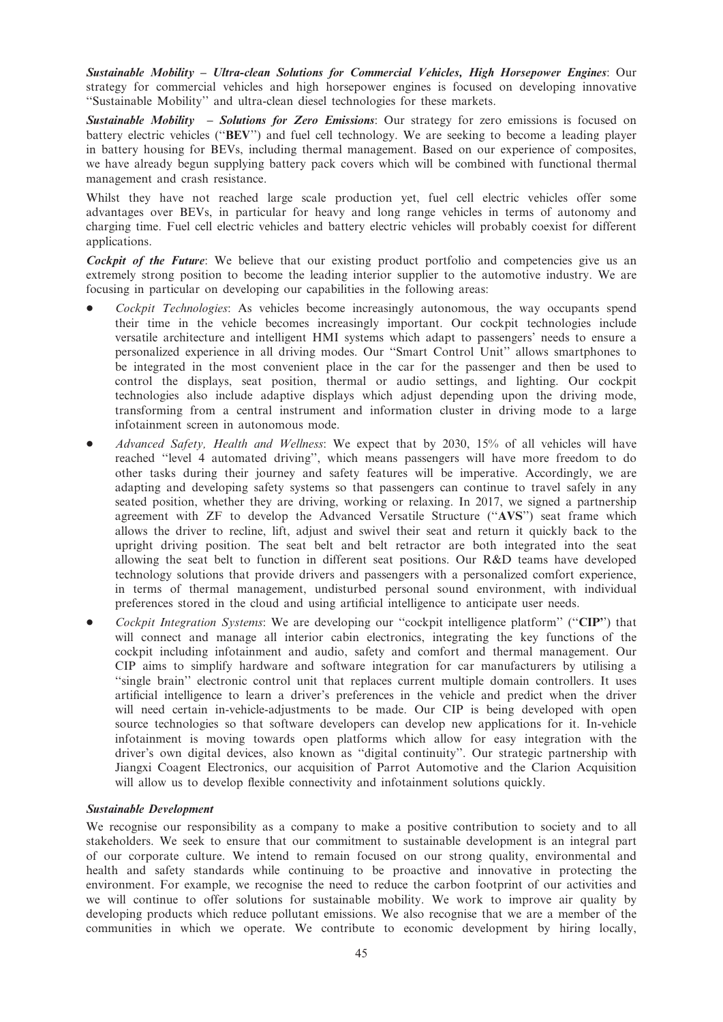Sustainable Mobility – Ultra-clean Solutions for Commercial Vehicles, High Horsepower Engines: Our strategy for commercial vehicles and high horsepower engines is focused on developing innovative ''Sustainable Mobility'' and ultra-clean diesel technologies for these markets.

Sustainable Mobility – Solutions for Zero Emissions: Our strategy for zero emissions is focused on battery electric vehicles (''BEV'') and fuel cell technology. We are seeking to become a leading player in battery housing for BEVs, including thermal management. Based on our experience of composites, we have already begun supplying battery pack covers which will be combined with functional thermal management and crash resistance.

Whilst they have not reached large scale production yet, fuel cell electric vehicles offer some advantages over BEVs, in particular for heavy and long range vehicles in terms of autonomy and charging time. Fuel cell electric vehicles and battery electric vehicles will probably coexist for different applications.

Cockpit of the Future: We believe that our existing product portfolio and competencies give us an extremely strong position to become the leading interior supplier to the automotive industry. We are focusing in particular on developing our capabilities in the following areas:

- Cockpit Technologies: As vehicles become increasingly autonomous, the way occupants spend their time in the vehicle becomes increasingly important. Our cockpit technologies include versatile architecture and intelligent HMI systems which adapt to passengers' needs to ensure a personalized experience in all driving modes. Our ''Smart Control Unit'' allows smartphones to be integrated in the most convenient place in the car for the passenger and then be used to control the displays, seat position, thermal or audio settings, and lighting. Our cockpit technologies also include adaptive displays which adjust depending upon the driving mode, transforming from a central instrument and information cluster in driving mode to a large infotainment screen in autonomous mode.
- Advanced Safety, Health and Wellness: We expect that by 2030, 15% of all vehicles will have reached ''level 4 automated driving'', which means passengers will have more freedom to do other tasks during their journey and safety features will be imperative. Accordingly, we are adapting and developing safety systems so that passengers can continue to travel safely in any seated position, whether they are driving, working or relaxing. In 2017, we signed a partnership agreement with ZF to develop the Advanced Versatile Structure (''AVS'') seat frame which allows the driver to recline, lift, adjust and swivel their seat and return it quickly back to the upright driving position. The seat belt and belt retractor are both integrated into the seat allowing the seat belt to function in different seat positions. Our R&D teams have developed technology solutions that provide drivers and passengers with a personalized comfort experience, in terms of thermal management, undisturbed personal sound environment, with individual preferences stored in the cloud and using artificial intelligence to anticipate user needs.
- Cockpit Integration Systems: We are developing our "cockpit intelligence platform" ("CIP") that will connect and manage all interior cabin electronics, integrating the key functions of the cockpit including infotainment and audio, safety and comfort and thermal management. Our CIP aims to simplify hardware and software integration for car manufacturers by utilising a "single brain" electronic control unit that replaces current multiple domain controllers. It uses artificial intelligence to learn a driver's preferences in the vehicle and predict when the driver will need certain in-vehicle-adjustments to be made. Our CIP is being developed with open source technologies so that software developers can develop new applications for it. In-vehicle infotainment is moving towards open platforms which allow for easy integration with the driver's own digital devices, also known as ''digital continuity''. Our strategic partnership with Jiangxi Coagent Electronics, our acquisition of Parrot Automotive and the Clarion Acquisition will allow us to develop flexible connectivity and infotainment solutions quickly.

## Sustainable Development

We recognise our responsibility as a company to make a positive contribution to society and to all stakeholders. We seek to ensure that our commitment to sustainable development is an integral part of our corporate culture. We intend to remain focused on our strong quality, environmental and health and safety standards while continuing to be proactive and innovative in protecting the environment. For example, we recognise the need to reduce the carbon footprint of our activities and we will continue to offer solutions for sustainable mobility. We work to improve air quality by developing products which reduce pollutant emissions. We also recognise that we are a member of the communities in which we operate. We contribute to economic development by hiring locally,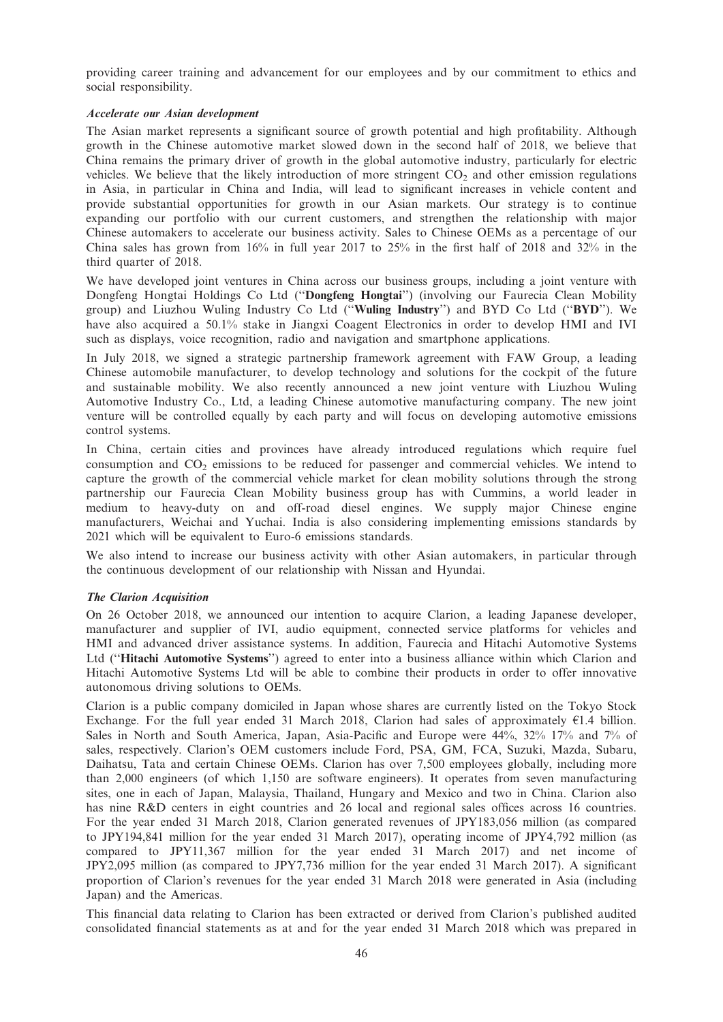providing career training and advancement for our employees and by our commitment to ethics and social responsibility.

### Accelerate our Asian development

The Asian market represents a significant source of growth potential and high profitability. Although growth in the Chinese automotive market slowed down in the second half of 2018, we believe that China remains the primary driver of growth in the global automotive industry, particularly for electric vehicles. We believe that the likely introduction of more stringent  $CO<sub>2</sub>$  and other emission regulations in Asia, in particular in China and India, will lead to significant increases in vehicle content and provide substantial opportunities for growth in our Asian markets. Our strategy is to continue expanding our portfolio with our current customers, and strengthen the relationship with major Chinese automakers to accelerate our business activity. Sales to Chinese OEMs as a percentage of our China sales has grown from  $16\%$  in full year 2017 to 25% in the first half of 2018 and 32% in the third quarter of 2018.

We have developed joint ventures in China across our business groups, including a joint venture with Dongfeng Hongtai Holdings Co Ltd (''Dongfeng Hongtai'') (involving our Faurecia Clean Mobility group) and Liuzhou Wuling Industry Co Ltd (''Wuling Industry'') and BYD Co Ltd (''BYD''). We have also acquired a 50.1% stake in Jiangxi Coagent Electronics in order to develop HMI and IVI such as displays, voice recognition, radio and navigation and smartphone applications.

In July 2018, we signed a strategic partnership framework agreement with FAW Group, a leading Chinese automobile manufacturer, to develop technology and solutions for the cockpit of the future and sustainable mobility. We also recently announced a new joint venture with Liuzhou Wuling Automotive Industry Co., Ltd, a leading Chinese automotive manufacturing company. The new joint venture will be controlled equally by each party and will focus on developing automotive emissions control systems.

In China, certain cities and provinces have already introduced regulations which require fuel consumption and CO<sub>2</sub> emissions to be reduced for passenger and commercial vehicles. We intend to capture the growth of the commercial vehicle market for clean mobility solutions through the strong partnership our Faurecia Clean Mobility business group has with Cummins, a world leader in medium to heavy-duty on and off-road diesel engines. We supply major Chinese engine manufacturers, Weichai and Yuchai. India is also considering implementing emissions standards by 2021 which will be equivalent to Euro-6 emissions standards.

We also intend to increase our business activity with other Asian automakers, in particular through the continuous development of our relationship with Nissan and Hyundai.

## The Clarion Acquisition

On 26 October 2018, we announced our intention to acquire Clarion, a leading Japanese developer, manufacturer and supplier of IVI, audio equipment, connected service platforms for vehicles and HMI and advanced driver assistance systems. In addition, Faurecia and Hitachi Automotive Systems Ltd (''Hitachi Automotive Systems'') agreed to enter into a business alliance within which Clarion and Hitachi Automotive Systems Ltd will be able to combine their products in order to offer innovative autonomous driving solutions to OEMs.

Clarion is a public company domiciled in Japan whose shares are currently listed on the Tokyo Stock Exchange. For the full year ended 31 March 2018, Clarion had sales of approximately  $\epsilon$ 1.4 billion. Sales in North and South America, Japan, Asia-Pacific and Europe were 44%, 32% 17% and 7% of sales, respectively. Clarion's OEM customers include Ford, PSA, GM, FCA, Suzuki, Mazda, Subaru, Daihatsu, Tata and certain Chinese OEMs. Clarion has over 7,500 employees globally, including more than 2,000 engineers (of which 1,150 are software engineers). It operates from seven manufacturing sites, one in each of Japan, Malaysia, Thailand, Hungary and Mexico and two in China. Clarion also has nine R&D centers in eight countries and 26 local and regional sales offices across 16 countries. For the year ended 31 March 2018, Clarion generated revenues of JPY183,056 million (as compared to JPY194,841 million for the year ended 31 March 2017), operating income of JPY4,792 million (as compared to JPY11,367 million for the year ended 31 March 2017) and net income of JPY2,095 million (as compared to JPY7,736 million for the year ended 31 March 2017). A significant proportion of Clarion's revenues for the year ended 31 March 2018 were generated in Asia (including Japan) and the Americas.

This financial data relating to Clarion has been extracted or derived from Clarion's published audited consolidated financial statements as at and for the year ended 31 March 2018 which was prepared in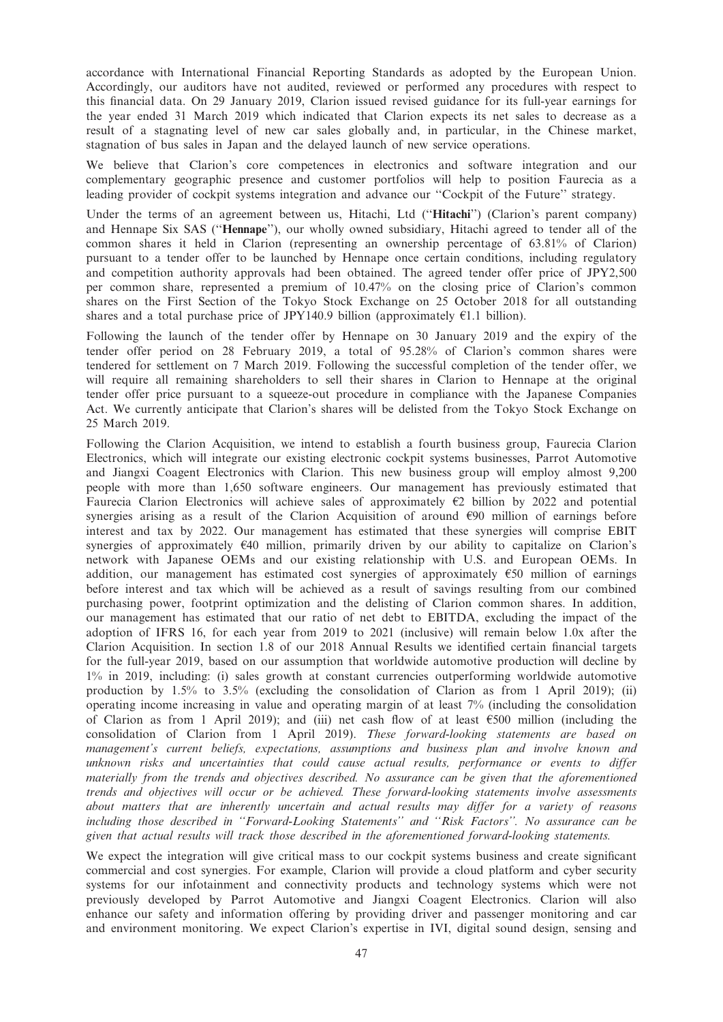accordance with International Financial Reporting Standards as adopted by the European Union. Accordingly, our auditors have not audited, reviewed or performed any procedures with respect to this financial data. On 29 January 2019, Clarion issued revised guidance for its full-year earnings for the year ended 31 March 2019 which indicated that Clarion expects its net sales to decrease as a result of a stagnating level of new car sales globally and, in particular, in the Chinese market, stagnation of bus sales in Japan and the delayed launch of new service operations.

We believe that Clarion's core competences in electronics and software integration and our complementary geographic presence and customer portfolios will help to position Faurecia as a leading provider of cockpit systems integration and advance our ''Cockpit of the Future'' strategy.

Under the terms of an agreement between us, Hitachi, Ltd (''Hitachi'') (Clarion's parent company) and Hennape Six SAS (''Hennape''), our wholly owned subsidiary, Hitachi agreed to tender all of the common shares it held in Clarion (representing an ownership percentage of 63.81% of Clarion) pursuant to a tender offer to be launched by Hennape once certain conditions, including regulatory and competition authority approvals had been obtained. The agreed tender offer price of JPY2,500 per common share, represented a premium of 10.47% on the closing price of Clarion's common shares on the First Section of the Tokyo Stock Exchange on 25 October 2018 for all outstanding shares and a total purchase price of JPY140.9 billion (approximately  $E1.1$  billion).

Following the launch of the tender offer by Hennape on 30 January 2019 and the expiry of the tender offer period on 28 February 2019, a total of 95.28% of Clarion's common shares were tendered for settlement on 7 March 2019. Following the successful completion of the tender offer, we will require all remaining shareholders to sell their shares in Clarion to Hennape at the original tender offer price pursuant to a squeeze-out procedure in compliance with the Japanese Companies Act. We currently anticipate that Clarion's shares will be delisted from the Tokyo Stock Exchange on 25 March 2019.

Following the Clarion Acquisition, we intend to establish a fourth business group, Faurecia Clarion Electronics, which will integrate our existing electronic cockpit systems businesses, Parrot Automotive and Jiangxi Coagent Electronics with Clarion. This new business group will employ almost 9,200 people with more than 1,650 software engineers. Our management has previously estimated that Faurecia Clarion Electronics will achieve sales of approximately  $\epsilon$ 2 billion by 2022 and potential synergies arising as a result of the Clarion Acquisition of around  $\epsilon$ 90 million of earnings before interest and tax by 2022. Our management has estimated that these synergies will comprise EBIT synergies of approximately  $640$  million, primarily driven by our ability to capitalize on Clarion's network with Japanese OEMs and our existing relationship with U.S. and European OEMs. In addition, our management has estimated cost synergies of approximately  $\epsilon$ 50 million of earnings before interest and tax which will be achieved as a result of savings resulting from our combined purchasing power, footprint optimization and the delisting of Clarion common shares. In addition, our management has estimated that our ratio of net debt to EBITDA, excluding the impact of the adoption of IFRS 16, for each year from 2019 to 2021 (inclusive) will remain below 1.0x after the Clarion Acquisition. In section 1.8 of our 2018 Annual Results we identified certain financial targets for the full-year 2019, based on our assumption that worldwide automotive production will decline by 1% in 2019, including: (i) sales growth at constant currencies outperforming worldwide automotive production by 1.5% to 3.5% (excluding the consolidation of Clarion as from 1 April 2019); (ii) operating income increasing in value and operating margin of at least 7% (including the consolidation of Clarion as from 1 April 2019); and (iii) net cash flow of at least  $\epsilon$ 500 million (including the consolidation of Clarion from 1 April 2019). These forward-looking statements are based on management's current beliefs, expectations, assumptions and business plan and involve known and unknown risks and uncertainties that could cause actual results, performance or events to differ materially from the trends and objectives described. No assurance can be given that the aforementioned trends and objectives will occur or be achieved. These forward-looking statements involve assessments about matters that are inherently uncertain and actual results may differ for a variety of reasons including those described in ''Forward-Looking Statements'' and ''Risk Factors''. No assurance can be given that actual results will track those described in the aforementioned forward-looking statements.

We expect the integration will give critical mass to our cockpit systems business and create significant commercial and cost synergies. For example, Clarion will provide a cloud platform and cyber security systems for our infotainment and connectivity products and technology systems which were not previously developed by Parrot Automotive and Jiangxi Coagent Electronics. Clarion will also enhance our safety and information offering by providing driver and passenger monitoring and car and environment monitoring. We expect Clarion's expertise in IVI, digital sound design, sensing and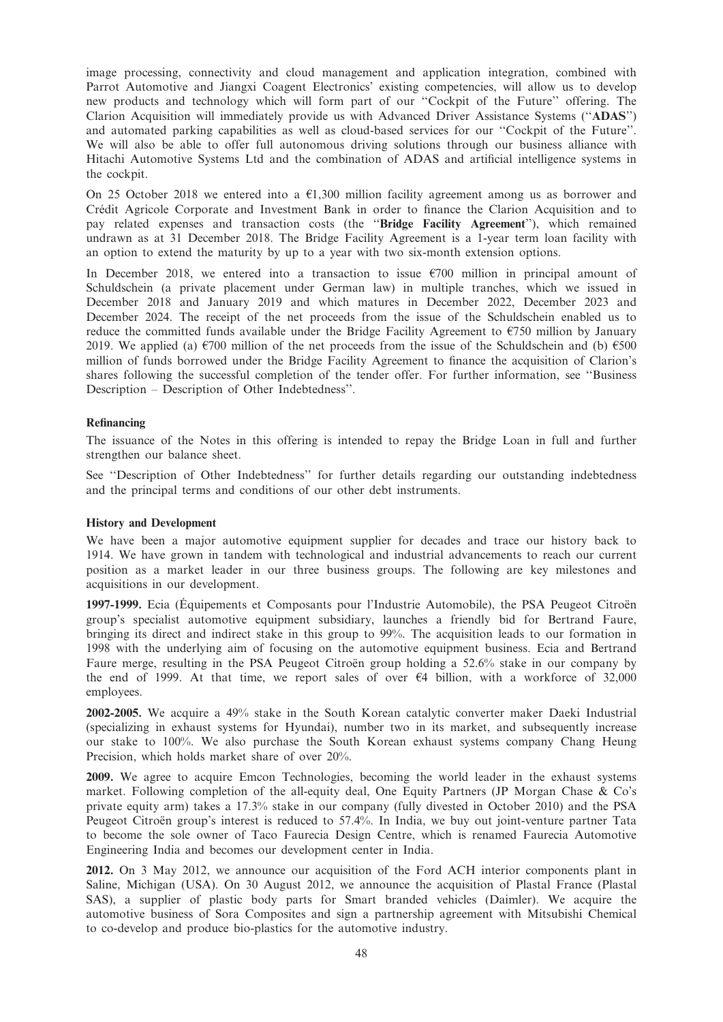image processing, connectivity and cloud management and application integration, combined with Parrot Automotive and Jiangxi Coagent Electronics' existing competencies, will allow us to develop new products and technology which will form part of our ''Cockpit of the Future'' offering. The Clarion Acquisition will immediately provide us with Advanced Driver Assistance Systems (''ADAS'') and automated parking capabilities as well as cloud-based services for our ''Cockpit of the Future''. We will also be able to offer full autonomous driving solutions through our business alliance with Hitachi Automotive Systems Ltd and the combination of ADAS and artificial intelligence systems in the cockpit.

On 25 October 2018 we entered into a  $E1,300$  million facility agreement among us as borrower and Cre´dit Agricole Corporate and Investment Bank in order to finance the Clarion Acquisition and to pay related expenses and transaction costs (the ''Bridge Facility Agreement''), which remained undrawn as at 31 December 2018. The Bridge Facility Agreement is a 1-year term loan facility with an option to extend the maturity by up to a year with two six-month extension options.

In December 2018, we entered into a transaction to issue  $\epsilon$ 700 million in principal amount of Schuldschein (a private placement under German law) in multiple tranches, which we issued in December 2018 and January 2019 and which matures in December 2022, December 2023 and December 2024. The receipt of the net proceeds from the issue of the Schuldschein enabled us to reduce the committed funds available under the Bridge Facility Agreement to  $\epsilon$ 750 million by January 2019. We applied (a)  $\epsilon$ 700 million of the net proceeds from the issue of the Schuldschein and (b)  $\epsilon$ 500 million of funds borrowed under the Bridge Facility Agreement to finance the acquisition of Clarion's shares following the successful completion of the tender offer. For further information, see ''Business Description – Description of Other Indebtedness''.

## Refinancing

The issuance of the Notes in this offering is intended to repay the Bridge Loan in full and further strengthen our balance sheet.

See ''Description of Other Indebtedness'' for further details regarding our outstanding indebtedness and the principal terms and conditions of our other debt instruments.

#### History and Development

We have been a major automotive equipment supplier for decades and trace our history back to 1914. We have grown in tandem with technological and industrial advancements to reach our current position as a market leader in our three business groups. The following are key milestones and acquisitions in our development.

1997-1999. Ecia (Équipements et Composants pour l'Industrie Automobile), the PSA Peugeot Citroën group's specialist automotive equipment subsidiary, launches a friendly bid for Bertrand Faure, bringing its direct and indirect stake in this group to 99%. The acquisition leads to our formation in 1998 with the underlying aim of focusing on the automotive equipment business. Ecia and Bertrand Faure merge, resulting in the PSA Peugeot Citroën group holding a 52.6% stake in our company by the end of 1999. At that time, we report sales of over  $\epsilon$ 4 billion, with a workforce of 32,000 employees.

2002-2005. We acquire a 49% stake in the South Korean catalytic converter maker Daeki Industrial (specializing in exhaust systems for Hyundai), number two in its market, and subsequently increase our stake to 100%. We also purchase the South Korean exhaust systems company Chang Heung Precision, which holds market share of over 20%.

2009. We agree to acquire Emcon Technologies, becoming the world leader in the exhaust systems market. Following completion of the all-equity deal, One Equity Partners (JP Morgan Chase  $\&$  Co's private equity arm) takes a 17.3% stake in our company (fully divested in October 2010) and the PSA Peugeot Citroën group's interest is reduced to 57.4%. In India, we buy out joint-venture partner Tata to become the sole owner of Taco Faurecia Design Centre, which is renamed Faurecia Automotive Engineering India and becomes our development center in India.

2012. On 3 May 2012, we announce our acquisition of the Ford ACH interior components plant in Saline, Michigan (USA). On 30 August 2012, we announce the acquisition of Plastal France (Plastal SAS), a supplier of plastic body parts for Smart branded vehicles (Daimler). We acquire the automotive business of Sora Composites and sign a partnership agreement with Mitsubishi Chemical to co-develop and produce bio-plastics for the automotive industry.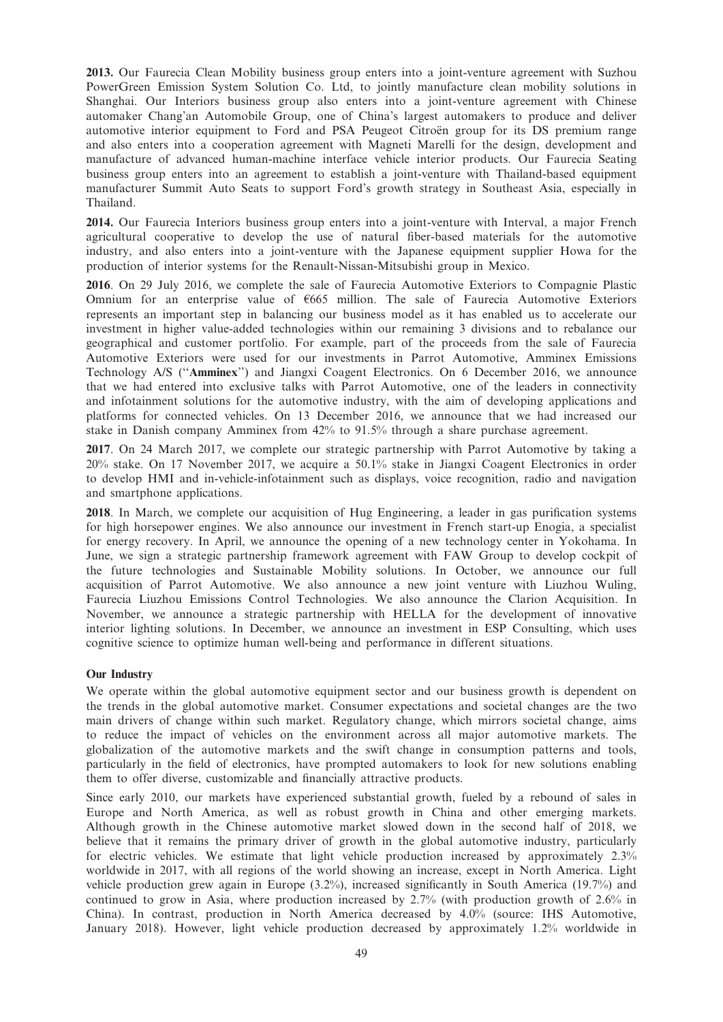2013. Our Faurecia Clean Mobility business group enters into a joint-venture agreement with Suzhou PowerGreen Emission System Solution Co. Ltd, to jointly manufacture clean mobility solutions in Shanghai. Our Interiors business group also enters into a joint-venture agreement with Chinese automaker Chang'an Automobile Group, one of China's largest automakers to produce and deliver automotive interior equipment to Ford and PSA Peugeot Citroen group for its DS premium range and also enters into a cooperation agreement with Magneti Marelli for the design, development and manufacture of advanced human-machine interface vehicle interior products. Our Faurecia Seating business group enters into an agreement to establish a joint-venture with Thailand-based equipment manufacturer Summit Auto Seats to support Ford's growth strategy in Southeast Asia, especially in Thailand.

2014. Our Faurecia Interiors business group enters into a joint-venture with Interval, a major French agricultural cooperative to develop the use of natural fiber-based materials for the automotive industry, and also enters into a joint-venture with the Japanese equipment supplier Howa for the production of interior systems for the Renault-Nissan-Mitsubishi group in Mexico.

2016. On 29 July 2016, we complete the sale of Faurecia Automotive Exteriors to Compagnie Plastic Omnium for an enterprise value of  $6665$  million. The sale of Faurecia Automotive Exteriors represents an important step in balancing our business model as it has enabled us to accelerate our investment in higher value-added technologies within our remaining 3 divisions and to rebalance our geographical and customer portfolio. For example, part of the proceeds from the sale of Faurecia Automotive Exteriors were used for our investments in Parrot Automotive, Amminex Emissions Technology A/S (''Amminex'') and Jiangxi Coagent Electronics. On 6 December 2016, we announce that we had entered into exclusive talks with Parrot Automotive, one of the leaders in connectivity and infotainment solutions for the automotive industry, with the aim of developing applications and platforms for connected vehicles. On 13 December 2016, we announce that we had increased our stake in Danish company Amminex from 42% to 91.5% through a share purchase agreement.

2017. On 24 March 2017, we complete our strategic partnership with Parrot Automotive by taking a 20% stake. On 17 November 2017, we acquire a 50.1% stake in Jiangxi Coagent Electronics in order to develop HMI and in-vehicle-infotainment such as displays, voice recognition, radio and navigation and smartphone applications.

2018. In March, we complete our acquisition of Hug Engineering, a leader in gas purification systems for high horsepower engines. We also announce our investment in French start-up Enogia, a specialist for energy recovery. In April, we announce the opening of a new technology center in Yokohama. In June, we sign a strategic partnership framework agreement with FAW Group to develop cockpit of the future technologies and Sustainable Mobility solutions. In October, we announce our full acquisition of Parrot Automotive. We also announce a new joint venture with Liuzhou Wuling, Faurecia Liuzhou Emissions Control Technologies. We also announce the Clarion Acquisition. In November, we announce a strategic partnership with HELLA for the development of innovative interior lighting solutions. In December, we announce an investment in ESP Consulting, which uses cognitive science to optimize human well-being and performance in different situations.

## Our Industry

We operate within the global automotive equipment sector and our business growth is dependent on the trends in the global automotive market. Consumer expectations and societal changes are the two main drivers of change within such market. Regulatory change, which mirrors societal change, aims to reduce the impact of vehicles on the environment across all major automotive markets. The globalization of the automotive markets and the swift change in consumption patterns and tools, particularly in the field of electronics, have prompted automakers to look for new solutions enabling them to offer diverse, customizable and financially attractive products.

Since early 2010, our markets have experienced substantial growth, fueled by a rebound of sales in Europe and North America, as well as robust growth in China and other emerging markets. Although growth in the Chinese automotive market slowed down in the second half of 2018, we believe that it remains the primary driver of growth in the global automotive industry, particularly for electric vehicles. We estimate that light vehicle production increased by approximately 2.3% worldwide in 2017, with all regions of the world showing an increase, except in North America. Light vehicle production grew again in Europe (3.2%), increased significantly in South America (19.7%) and continued to grow in Asia, where production increased by 2.7% (with production growth of 2.6% in China). In contrast, production in North America decreased by 4.0% (source: IHS Automotive, January 2018). However, light vehicle production decreased by approximately 1.2% worldwide in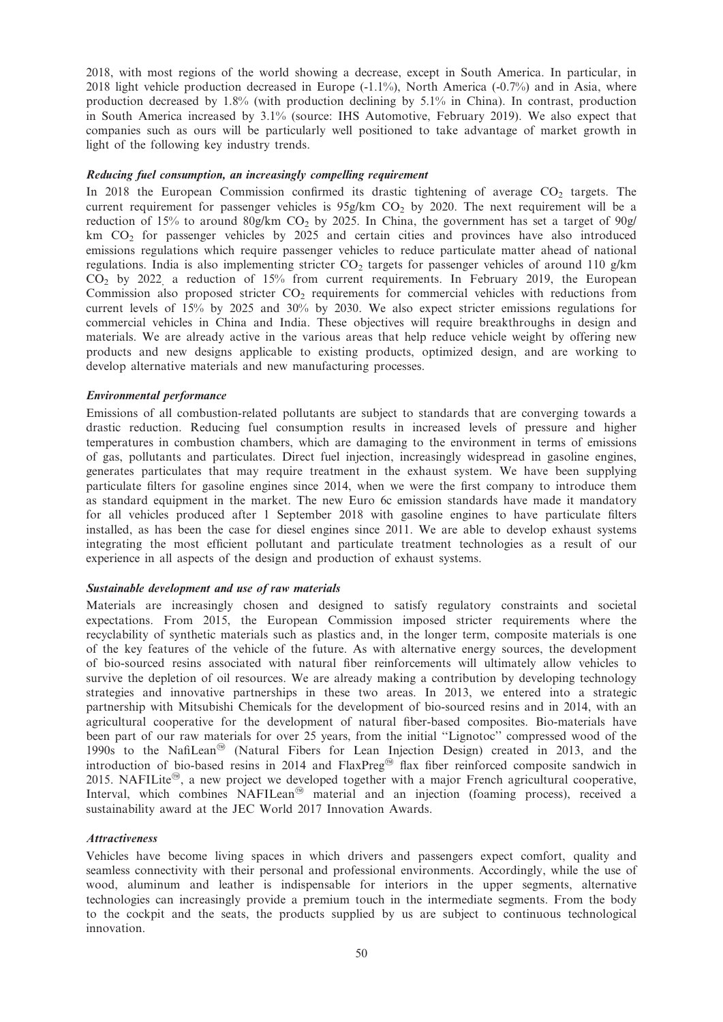2018, with most regions of the world showing a decrease, except in South America. In particular, in 2018 light vehicle production decreased in Europe (-1.1%), North America (-0.7%) and in Asia, where production decreased by 1.8% (with production declining by 5.1% in China). In contrast, production in South America increased by 3.1% (source: IHS Automotive, February 2019). We also expect that companies such as ours will be particularly well positioned to take advantage of market growth in light of the following key industry trends.

### Reducing fuel consumption, an increasingly compelling requirement

In 2018 the European Commission confirmed its drastic tightening of average  $CO<sub>2</sub>$  targets. The current requirement for passenger vehicles is  $95g/km$  CO<sub>2</sub> by 2020. The next requirement will be a reduction of 15% to around 80g/km CO<sub>2</sub> by 2025. In China, the government has set a target of 90g/  $km$  CO<sub>2</sub> for passenger vehicles by 2025 and certain cities and provinces have also introduced emissions regulations which require passenger vehicles to reduce particulate matter ahead of national regulations. India is also implementing stricter  $CO<sub>2</sub>$  targets for passenger vehicles of around 110 g/km CO<sub>2</sub> by 2022, a reduction of 15% from current requirements. In February 2019, the European Commission also proposed stricter  $CO<sub>2</sub>$  requirements for commercial vehicles with reductions from current levels of 15% by 2025 and 30% by 2030. We also expect stricter emissions regulations for commercial vehicles in China and India. These objectives will require breakthroughs in design and materials. We are already active in the various areas that help reduce vehicle weight by offering new products and new designs applicable to existing products, optimized design, and are working to develop alternative materials and new manufacturing processes.

### Environmental performance

Emissions of all combustion-related pollutants are subject to standards that are converging towards a drastic reduction. Reducing fuel consumption results in increased levels of pressure and higher temperatures in combustion chambers, which are damaging to the environment in terms of emissions of gas, pollutants and particulates. Direct fuel injection, increasingly widespread in gasoline engines, generates particulates that may require treatment in the exhaust system. We have been supplying particulate filters for gasoline engines since 2014, when we were the first company to introduce them as standard equipment in the market. The new Euro 6c emission standards have made it mandatory for all vehicles produced after 1 September 2018 with gasoline engines to have particulate filters installed, as has been the case for diesel engines since 2011. We are able to develop exhaust systems integrating the most efficient pollutant and particulate treatment technologies as a result of our experience in all aspects of the design and production of exhaust systems.

#### Sustainable development and use of raw materials

Materials are increasingly chosen and designed to satisfy regulatory constraints and societal expectations. From 2015, the European Commission imposed stricter requirements where the recyclability of synthetic materials such as plastics and, in the longer term, composite materials is one of the key features of the vehicle of the future. As with alternative energy sources, the development of bio-sourced resins associated with natural fiber reinforcements will ultimately allow vehicles to survive the depletion of oil resources. We are already making a contribution by developing technology strategies and innovative partnerships in these two areas. In 2013, we entered into a strategic partnership with Mitsubishi Chemicals for the development of bio-sourced resins and in 2014, with an agricultural cooperative for the development of natural fiber-based composites. Bio-materials have been part of our raw materials for over 25 years, from the initial ''Lignotoc'' compressed wood of the 1990s to the NafiLean<sup><sup>®</sup> (Natural Fibers for Lean Injection Design) created in 2013, and the</sup> introduction of bio-based resins in 2014 and  $FlaxPreg<sup>@</sup>$  flax fiber reinforced composite sandwich in 2015. NAFILite<sup>®</sup>, a new project we developed together with a major French agricultural cooperative, Interval, which combines  $NAFILean^{\circledcirc}$  material and an injection (foaming process), received a sustainability award at the JEC World 2017 Innovation Awards.

#### Attractiveness

Vehicles have become living spaces in which drivers and passengers expect comfort, quality and seamless connectivity with their personal and professional environments. Accordingly, while the use of wood, aluminum and leather is indispensable for interiors in the upper segments, alternative technologies can increasingly provide a premium touch in the intermediate segments. From the body to the cockpit and the seats, the products supplied by us are subject to continuous technological innovation.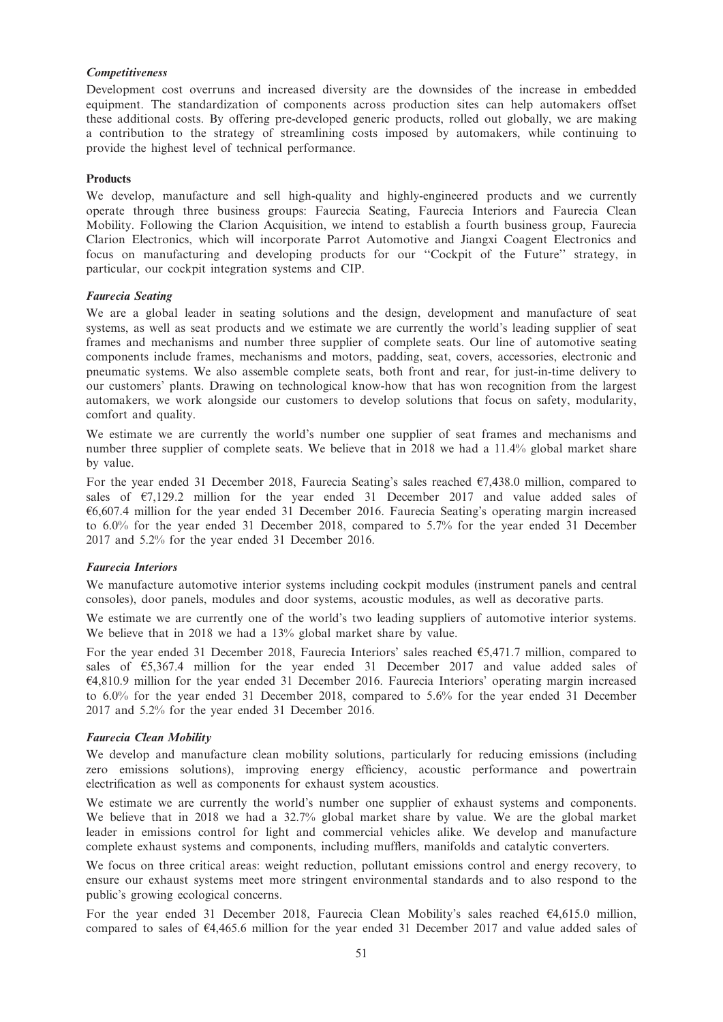### Competitiveness

Development cost overruns and increased diversity are the downsides of the increase in embedded equipment. The standardization of components across production sites can help automakers offset these additional costs. By offering pre-developed generic products, rolled out globally, we are making a contribution to the strategy of streamlining costs imposed by automakers, while continuing to provide the highest level of technical performance.

## Products

We develop, manufacture and sell high-quality and highly-engineered products and we currently operate through three business groups: Faurecia Seating, Faurecia Interiors and Faurecia Clean Mobility. Following the Clarion Acquisition, we intend to establish a fourth business group, Faurecia Clarion Electronics, which will incorporate Parrot Automotive and Jiangxi Coagent Electronics and focus on manufacturing and developing products for our ''Cockpit of the Future'' strategy, in particular, our cockpit integration systems and CIP.

#### Faurecia Seating

We are a global leader in seating solutions and the design, development and manufacture of seat systems, as well as seat products and we estimate we are currently the world's leading supplier of seat frames and mechanisms and number three supplier of complete seats. Our line of automotive seating components include frames, mechanisms and motors, padding, seat, covers, accessories, electronic and pneumatic systems. We also assemble complete seats, both front and rear, for just-in-time delivery to our customers' plants. Drawing on technological know-how that has won recognition from the largest automakers, we work alongside our customers to develop solutions that focus on safety, modularity, comfort and quality.

We estimate we are currently the world's number one supplier of seat frames and mechanisms and number three supplier of complete seats. We believe that in 2018 we had a 11.4% global market share by value.

For the year ended 31 December 2018, Faurecia Seating's sales reached  $\epsilon$ 7,438.0 million, compared to sales of  $\epsilon$ 7,129.2 million for the year ended 31 December 2017 and value added sales of  $66,607.4$  million for the year ended 31 December 2016. Faurecia Seating's operating margin increased to 6.0% for the year ended 31 December 2018, compared to 5.7% for the year ended 31 December 2017 and 5.2% for the year ended 31 December 2016.

## Faurecia Interiors

We manufacture automotive interior systems including cockpit modules (instrument panels and central consoles), door panels, modules and door systems, acoustic modules, as well as decorative parts.

We estimate we are currently one of the world's two leading suppliers of automotive interior systems. We believe that in 2018 we had a 13% global market share by value.

For the year ended 31 December 2018, Faurecia Interiors' sales reached  $65,471.7$  million, compared to sales of  $\epsilon$ 5,367.4 million for the year ended 31 December 2017 and value added sales of  $64,810.9$  million for the year ended 31 December 2016. Faurecia Interiors' operating margin increased to 6.0% for the year ended 31 December 2018, compared to 5.6% for the year ended 31 December 2017 and 5.2% for the year ended 31 December 2016.

## Faurecia Clean Mobility

We develop and manufacture clean mobility solutions, particularly for reducing emissions (including zero emissions solutions), improving energy efficiency, acoustic performance and powertrain electrification as well as components for exhaust system acoustics.

We estimate we are currently the world's number one supplier of exhaust systems and components. We believe that in 2018 we had a 32.7% global market share by value. We are the global market leader in emissions control for light and commercial vehicles alike. We develop and manufacture complete exhaust systems and components, including mufflers, manifolds and catalytic converters.

We focus on three critical areas: weight reduction, pollutant emissions control and energy recovery, to ensure our exhaust systems meet more stringent environmental standards and to also respond to the public's growing ecological concerns.

For the year ended 31 December 2018, Faurecia Clean Mobility's sales reached  $\epsilon$ 4,615.0 million, compared to sales of  $64,465.6$  million for the year ended 31 December 2017 and value added sales of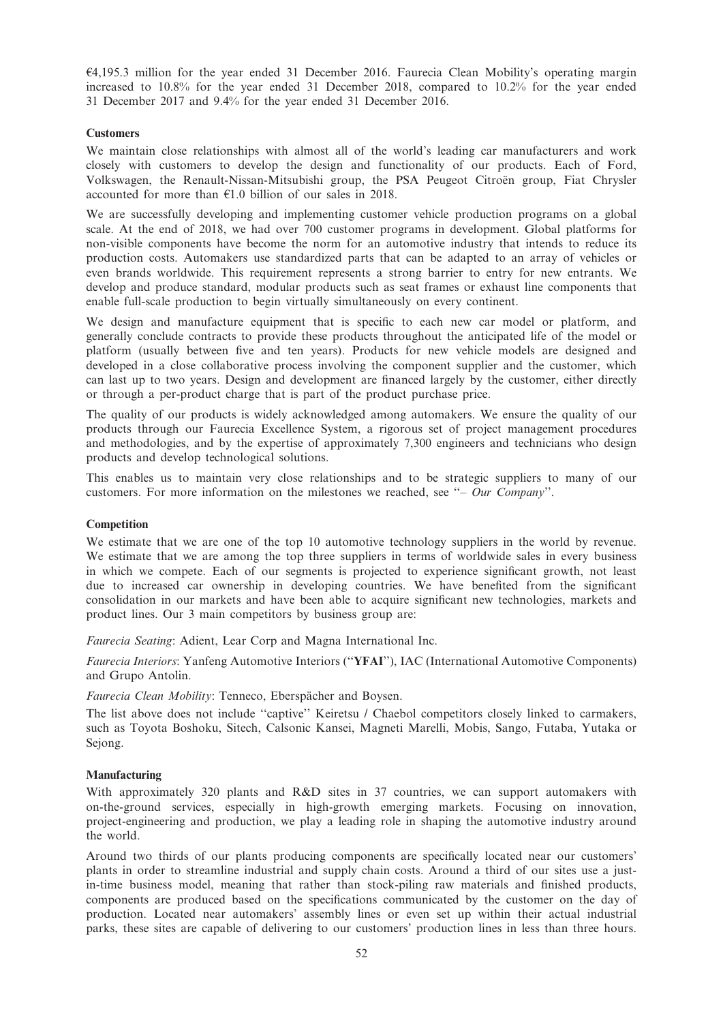$64,195.3$  million for the year ended 31 December 2016. Faurecia Clean Mobility's operating margin increased to 10.8% for the year ended 31 December 2018, compared to 10.2% for the year ended 31 December 2017 and 9.4% for the year ended 31 December 2016.

### **Customers**

We maintain close relationships with almost all of the world's leading car manufacturers and work closely with customers to develop the design and functionality of our products. Each of Ford, Volkswagen, the Renault-Nissan-Mitsubishi group, the PSA Peugeot Citroen group, Fiat Chrysler accounted for more than  $E1.0$  billion of our sales in 2018.

We are successfully developing and implementing customer vehicle production programs on a global scale. At the end of 2018, we had over 700 customer programs in development. Global platforms for non-visible components have become the norm for an automotive industry that intends to reduce its production costs. Automakers use standardized parts that can be adapted to an array of vehicles or even brands worldwide. This requirement represents a strong barrier to entry for new entrants. We develop and produce standard, modular products such as seat frames or exhaust line components that enable full-scale production to begin virtually simultaneously on every continent.

We design and manufacture equipment that is specific to each new car model or platform, and generally conclude contracts to provide these products throughout the anticipated life of the model or platform (usually between five and ten years). Products for new vehicle models are designed and developed in a close collaborative process involving the component supplier and the customer, which can last up to two years. Design and development are financed largely by the customer, either directly or through a per-product charge that is part of the product purchase price.

The quality of our products is widely acknowledged among automakers. We ensure the quality of our products through our Faurecia Excellence System, a rigorous set of project management procedures and methodologies, and by the expertise of approximately 7,300 engineers and technicians who design products and develop technological solutions.

This enables us to maintain very close relationships and to be strategic suppliers to many of our customers. For more information on the milestones we reached, see ''– Our Company''.

#### **Competition**

We estimate that we are one of the top 10 automotive technology suppliers in the world by revenue. We estimate that we are among the top three suppliers in terms of worldwide sales in every business in which we compete. Each of our segments is projected to experience significant growth, not least due to increased car ownership in developing countries. We have benefited from the significant consolidation in our markets and have been able to acquire significant new technologies, markets and product lines. Our 3 main competitors by business group are:

Faurecia Seating: Adient, Lear Corp and Magna International Inc.

Faurecia Interiors: Yanfeng Automotive Interiors (''YFAI''), IAC (International Automotive Components) and Grupo Antolin.

Faurecia Clean Mobility: Tenneco, Eberspächer and Boysen.

The list above does not include ''captive'' Keiretsu / Chaebol competitors closely linked to carmakers, such as Toyota Boshoku, Sitech, Calsonic Kansei, Magneti Marelli, Mobis, Sango, Futaba, Yutaka or Sejong.

### Manufacturing

With approximately 320 plants and R&D sites in 37 countries, we can support automakers with on-the-ground services, especially in high-growth emerging markets. Focusing on innovation, project-engineering and production, we play a leading role in shaping the automotive industry around the world.

Around two thirds of our plants producing components are specifically located near our customers' plants in order to streamline industrial and supply chain costs. Around a third of our sites use a justin-time business model, meaning that rather than stock-piling raw materials and finished products, components are produced based on the specifications communicated by the customer on the day of production. Located near automakers' assembly lines or even set up within their actual industrial parks, these sites are capable of delivering to our customers' production lines in less than three hours.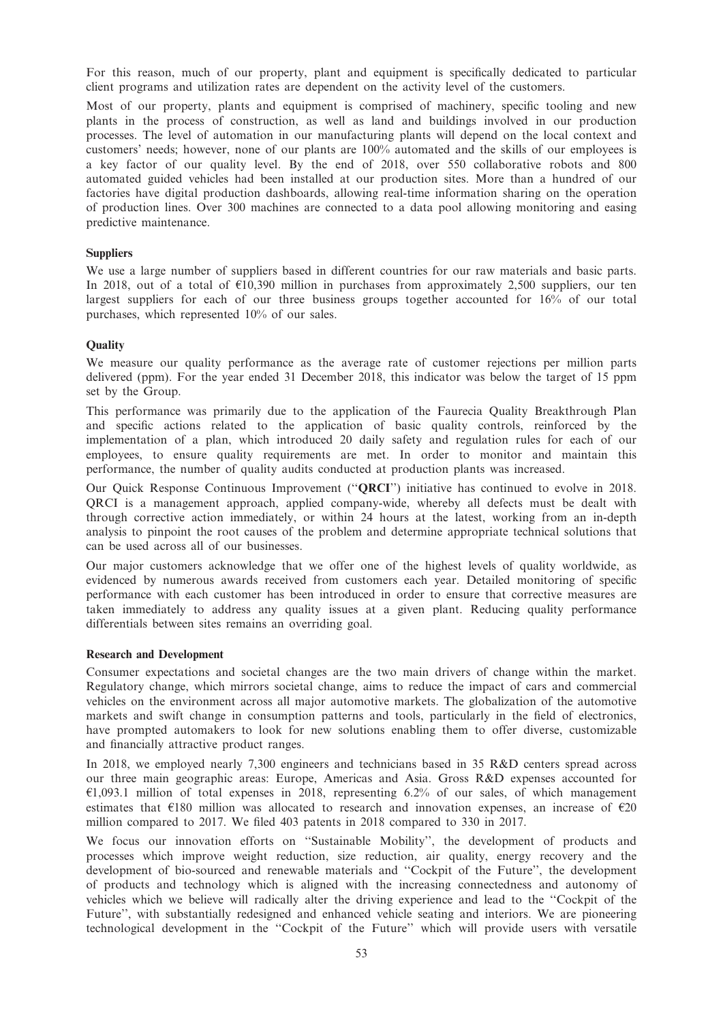For this reason, much of our property, plant and equipment is specifically dedicated to particular client programs and utilization rates are dependent on the activity level of the customers.

Most of our property, plants and equipment is comprised of machinery, specific tooling and new plants in the process of construction, as well as land and buildings involved in our production processes. The level of automation in our manufacturing plants will depend on the local context and customers' needs; however, none of our plants are 100% automated and the skills of our employees is a key factor of our quality level. By the end of 2018, over 550 collaborative robots and 800 automated guided vehicles had been installed at our production sites. More than a hundred of our factories have digital production dashboards, allowing real-time information sharing on the operation of production lines. Over 300 machines are connected to a data pool allowing monitoring and easing predictive maintenance.

## **Suppliers**

We use a large number of suppliers based in different countries for our raw materials and basic parts. In 2018, out of a total of  $\epsilon$ 10,390 million in purchases from approximately 2,500 suppliers, our ten largest suppliers for each of our three business groups together accounted for 16% of our total purchases, which represented 10% of our sales.

## **Quality**

We measure our quality performance as the average rate of customer rejections per million parts delivered (ppm). For the year ended 31 December 2018, this indicator was below the target of 15 ppm set by the Group.

This performance was primarily due to the application of the Faurecia Quality Breakthrough Plan and specific actions related to the application of basic quality controls, reinforced by the implementation of a plan, which introduced 20 daily safety and regulation rules for each of our employees, to ensure quality requirements are met. In order to monitor and maintain this performance, the number of quality audits conducted at production plants was increased.

Our Quick Response Continuous Improvement (''QRCI'') initiative has continued to evolve in 2018. QRCI is a management approach, applied company-wide, whereby all defects must be dealt with through corrective action immediately, or within 24 hours at the latest, working from an in-depth analysis to pinpoint the root causes of the problem and determine appropriate technical solutions that can be used across all of our businesses.

Our major customers acknowledge that we offer one of the highest levels of quality worldwide, as evidenced by numerous awards received from customers each year. Detailed monitoring of specific performance with each customer has been introduced in order to ensure that corrective measures are taken immediately to address any quality issues at a given plant. Reducing quality performance differentials between sites remains an overriding goal.

#### Research and Development

Consumer expectations and societal changes are the two main drivers of change within the market. Regulatory change, which mirrors societal change, aims to reduce the impact of cars and commercial vehicles on the environment across all major automotive markets. The globalization of the automotive markets and swift change in consumption patterns and tools, particularly in the field of electronics, have prompted automakers to look for new solutions enabling them to offer diverse, customizable and financially attractive product ranges.

In 2018, we employed nearly 7,300 engineers and technicians based in 35 R&D centers spread across our three main geographic areas: Europe, Americas and Asia. Gross R&D expenses accounted for  $\epsilon$ 1,093.1 million of total expenses in 2018, representing 6.2% of our sales, of which management estimates that  $\epsilon$ 180 million was allocated to research and innovation expenses, an increase of  $\epsilon$ 20 million compared to 2017. We filed 403 patents in 2018 compared to 330 in 2017.

We focus our innovation efforts on ''Sustainable Mobility'', the development of products and processes which improve weight reduction, size reduction, air quality, energy recovery and the development of bio-sourced and renewable materials and ''Cockpit of the Future'', the development of products and technology which is aligned with the increasing connectedness and autonomy of vehicles which we believe will radically alter the driving experience and lead to the ''Cockpit of the Future'', with substantially redesigned and enhanced vehicle seating and interiors. We are pioneering technological development in the ''Cockpit of the Future'' which will provide users with versatile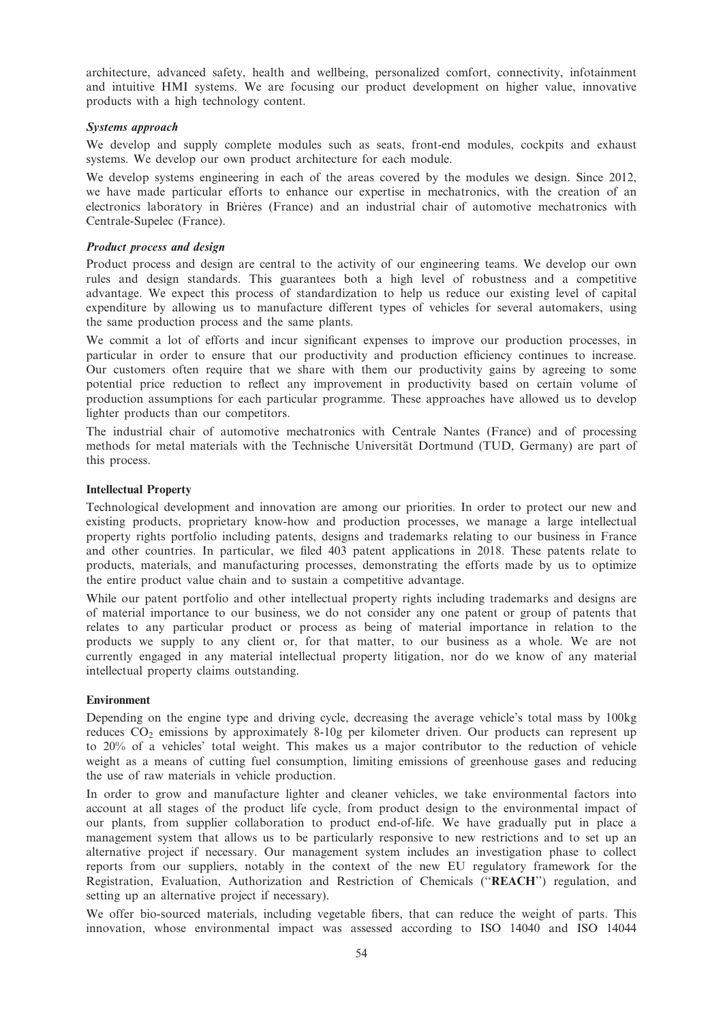architecture, advanced safety, health and wellbeing, personalized comfort, connectivity, infotainment and intuitive HMI systems. We are focusing our product development on higher value, innovative products with a high technology content.

## Systems approach

We develop and supply complete modules such as seats, front-end modules, cockpits and exhaust systems. We develop our own product architecture for each module.

We develop systems engineering in each of the areas covered by the modules we design. Since 2012, we have made particular efforts to enhance our expertise in mechatronics, with the creation of an electronics laboratory in Brières (France) and an industrial chair of automotive mechatronics with Centrale-Supelec (France).

## Product process and design

Product process and design are central to the activity of our engineering teams. We develop our own rules and design standards. This guarantees both a high level of robustness and a competitive advantage. We expect this process of standardization to help us reduce our existing level of capital expenditure by allowing us to manufacture different types of vehicles for several automakers, using the same production process and the same plants.

We commit a lot of efforts and incur significant expenses to improve our production processes, in particular in order to ensure that our productivity and production efficiency continues to increase. Our customers often require that we share with them our productivity gains by agreeing to some potential price reduction to reflect any improvement in productivity based on certain volume of production assumptions for each particular programme. These approaches have allowed us to develop lighter products than our competitors.

The industrial chair of automotive mechatronics with Centrale Nantes (France) and of processing methods for metal materials with the Technische Universität Dortmund (TUD, Germany) are part of this process.

## Intellectual Property

Technological development and innovation are among our priorities. In order to protect our new and existing products, proprietary know-how and production processes, we manage a large intellectual property rights portfolio including patents, designs and trademarks relating to our business in France and other countries. In particular, we filed 403 patent applications in 2018. These patents relate to products, materials, and manufacturing processes, demonstrating the efforts made by us to optimize the entire product value chain and to sustain a competitive advantage.

While our patent portfolio and other intellectual property rights including trademarks and designs are of material importance to our business, we do not consider any one patent or group of patents that relates to any particular product or process as being of material importance in relation to the products we supply to any client or, for that matter, to our business as a whole. We are not currently engaged in any material intellectual property litigation, nor do we know of any material intellectual property claims outstanding.

## Environment

Depending on the engine type and driving cycle, decreasing the average vehicle's total mass by 100kg reduces  $CO<sub>2</sub>$  emissions by approximately 8-10g per kilometer driven. Our products can represent up to 20% of a vehicles' total weight. This makes us a major contributor to the reduction of vehicle weight as a means of cutting fuel consumption, limiting emissions of greenhouse gases and reducing the use of raw materials in vehicle production.

In order to grow and manufacture lighter and cleaner vehicles, we take environmental factors into account at all stages of the product life cycle, from product design to the environmental impact of our plants, from supplier collaboration to product end-of-life. We have gradually put in place a management system that allows us to be particularly responsive to new restrictions and to set up an alternative project if necessary. Our management system includes an investigation phase to collect reports from our suppliers, notably in the context of the new EU regulatory framework for the Registration, Evaluation, Authorization and Restriction of Chemicals (''REACH'') regulation, and setting up an alternative project if necessary).

We offer bio-sourced materials, including vegetable fibers, that can reduce the weight of parts. This innovation, whose environmental impact was assessed according to ISO 14040 and ISO 14044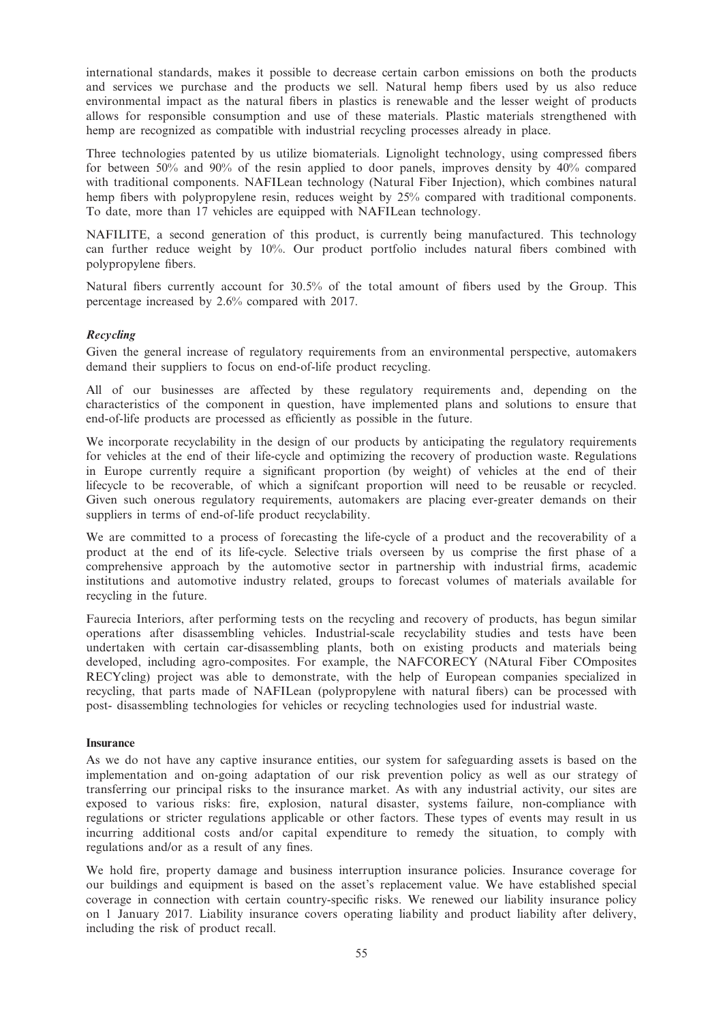international standards, makes it possible to decrease certain carbon emissions on both the products and services we purchase and the products we sell. Natural hemp fibers used by us also reduce environmental impact as the natural fibers in plastics is renewable and the lesser weight of products allows for responsible consumption and use of these materials. Plastic materials strengthened with hemp are recognized as compatible with industrial recycling processes already in place.

Three technologies patented by us utilize biomaterials. Lignolight technology, using compressed fibers for between 50% and 90% of the resin applied to door panels, improves density by 40% compared with traditional components. NAFILean technology (Natural Fiber Injection), which combines natural hemp fibers with polypropylene resin, reduces weight by 25% compared with traditional components. To date, more than 17 vehicles are equipped with NAFILean technology.

NAFILITE, a second generation of this product, is currently being manufactured. This technology can further reduce weight by 10%. Our product portfolio includes natural fibers combined with polypropylene fibers.

Natural fibers currently account for 30.5% of the total amount of fibers used by the Group. This percentage increased by 2.6% compared with 2017.

## Recycling

Given the general increase of regulatory requirements from an environmental perspective, automakers demand their suppliers to focus on end-of-life product recycling.

All of our businesses are affected by these regulatory requirements and, depending on the characteristics of the component in question, have implemented plans and solutions to ensure that end-of-life products are processed as efficiently as possible in the future.

We incorporate recyclability in the design of our products by anticipating the regulatory requirements for vehicles at the end of their life-cycle and optimizing the recovery of production waste. Regulations in Europe currently require a significant proportion (by weight) of vehicles at the end of their lifecycle to be recoverable, of which a signifcant proportion will need to be reusable or recycled. Given such onerous regulatory requirements, automakers are placing ever-greater demands on their suppliers in terms of end-of-life product recyclability.

We are committed to a process of forecasting the life-cycle of a product and the recoverability of a product at the end of its life-cycle. Selective trials overseen by us comprise the first phase of a comprehensive approach by the automotive sector in partnership with industrial firms, academic institutions and automotive industry related, groups to forecast volumes of materials available for recycling in the future.

Faurecia Interiors, after performing tests on the recycling and recovery of products, has begun similar operations after disassembling vehicles. Industrial-scale recyclability studies and tests have been undertaken with certain car-disassembling plants, both on existing products and materials being developed, including agro-composites. For example, the NAFCORECY (NAtural Fiber COmposites RECYcling) project was able to demonstrate, with the help of European companies specialized in recycling, that parts made of NAFILean (polypropylene with natural fibers) can be processed with post- disassembling technologies for vehicles or recycling technologies used for industrial waste.

## Insurance

As we do not have any captive insurance entities, our system for safeguarding assets is based on the implementation and on-going adaptation of our risk prevention policy as well as our strategy of transferring our principal risks to the insurance market. As with any industrial activity, our sites are exposed to various risks: fire, explosion, natural disaster, systems failure, non-compliance with regulations or stricter regulations applicable or other factors. These types of events may result in us incurring additional costs and/or capital expenditure to remedy the situation, to comply with regulations and/or as a result of any fines.

We hold fire, property damage and business interruption insurance policies. Insurance coverage for our buildings and equipment is based on the asset's replacement value. We have established special coverage in connection with certain country-specific risks. We renewed our liability insurance policy on 1 January 2017. Liability insurance covers operating liability and product liability after delivery, including the risk of product recall.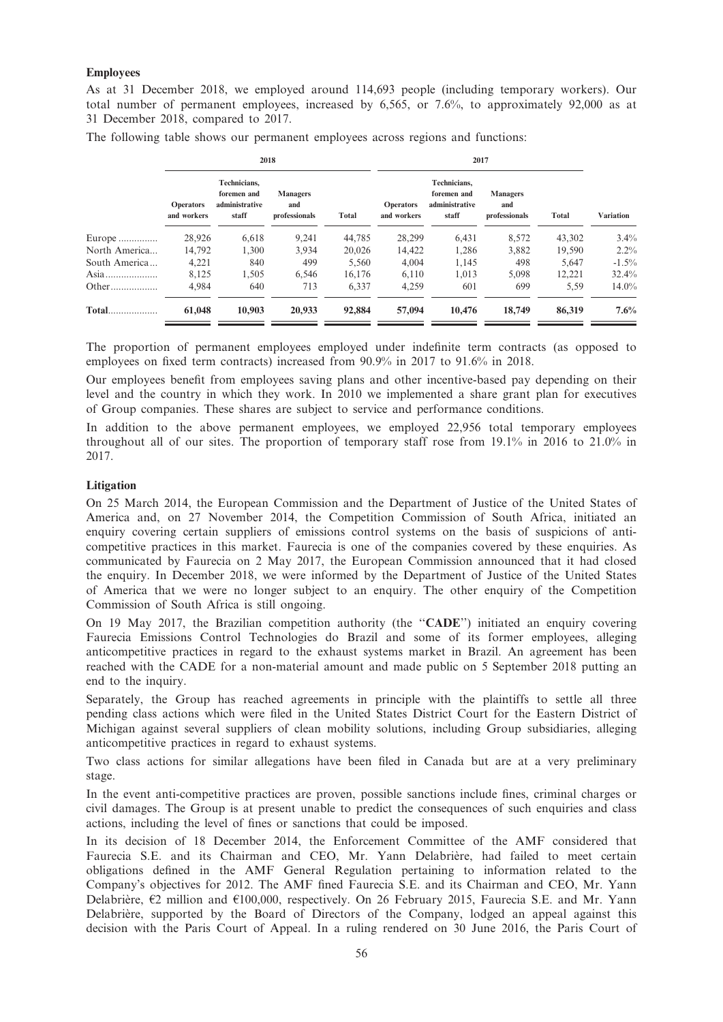## Employees

As at 31 December 2018, we employed around 114,693 people (including temporary workers). Our total number of permanent employees, increased by 6,565, or 7.6%, to approximately 92,000 as at 31 December 2018, compared to 2017.

The following table shows our permanent employees across regions and functions:

|               |                                 | 2018                                                   |                                         |        | 2017                            |                                                        |                                         |        |                  |  |  |
|---------------|---------------------------------|--------------------------------------------------------|-----------------------------------------|--------|---------------------------------|--------------------------------------------------------|-----------------------------------------|--------|------------------|--|--|
|               | <b>Operators</b><br>and workers | Technicians,<br>foremen and<br>administrative<br>staff | <b>Managers</b><br>and<br>professionals | Total  | <b>Operators</b><br>and workers | Technicians,<br>foremen and<br>administrative<br>staff | <b>Managers</b><br>and<br>professionals | Total  | <b>Variation</b> |  |  |
| Europe        | 28,926                          | 6,618                                                  | 9.241                                   | 44,785 | 28,299                          | 6,431                                                  | 8,572                                   | 43,302 | $3.4\%$          |  |  |
| North America | 14,792                          | 1,300                                                  | 3,934                                   | 20.026 | 14,422                          | 1,286                                                  | 3,882                                   | 19,590 | $2.2\%$          |  |  |
| South America | 4,221                           | 840                                                    | 499                                     | 5,560  | 4,004                           | 1,145                                                  | 498                                     | 5.647  | $-1.5\%$         |  |  |
|               | 8,125                           | 1,505                                                  | 6.546                                   | 16.176 | 6,110                           | 1,013                                                  | 5.098                                   | 12,221 | 32.4%            |  |  |
|               | 4.984                           | 640                                                    | 713                                     | 6.337  | 4.259                           | 601                                                    | 699                                     | 5,59   | $14.0\%$         |  |  |
| <b>Total</b>  | 61,048                          | 10,903                                                 | 20,933                                  | 92,884 | 57,094                          | 10.476                                                 | 18,749                                  | 86,319 | 7.6%             |  |  |

The proportion of permanent employees employed under indefinite term contracts (as opposed to employees on fixed term contracts) increased from 90.9% in 2017 to 91.6% in 2018.

Our employees benefit from employees saving plans and other incentive-based pay depending on their level and the country in which they work. In 2010 we implemented a share grant plan for executives of Group companies. These shares are subject to service and performance conditions.

In addition to the above permanent employees, we employed 22,956 total temporary employees throughout all of our sites. The proportion of temporary staff rose from 19.1% in 2016 to 21.0% in 2017.

### Litigation

On 25 March 2014, the European Commission and the Department of Justice of the United States of America and, on 27 November 2014, the Competition Commission of South Africa, initiated an enquiry covering certain suppliers of emissions control systems on the basis of suspicions of anticompetitive practices in this market. Faurecia is one of the companies covered by these enquiries. As communicated by Faurecia on 2 May 2017, the European Commission announced that it had closed the enquiry. In December 2018, we were informed by the Department of Justice of the United States of America that we were no longer subject to an enquiry. The other enquiry of the Competition Commission of South Africa is still ongoing.

On 19 May 2017, the Brazilian competition authority (the "CADE") initiated an enquiry covering Faurecia Emissions Control Technologies do Brazil and some of its former employees, alleging anticompetitive practices in regard to the exhaust systems market in Brazil. An agreement has been reached with the CADE for a non-material amount and made public on 5 September 2018 putting an end to the inquiry.

Separately, the Group has reached agreements in principle with the plaintiffs to settle all three pending class actions which were filed in the United States District Court for the Eastern District of Michigan against several suppliers of clean mobility solutions, including Group subsidiaries, alleging anticompetitive practices in regard to exhaust systems.

Two class actions for similar allegations have been filed in Canada but are at a very preliminary stage.

In the event anti-competitive practices are proven, possible sanctions include fines, criminal charges or civil damages. The Group is at present unable to predict the consequences of such enquiries and class actions, including the level of fines or sanctions that could be imposed.

In its decision of 18 December 2014, the Enforcement Committee of the AMF considered that Faurecia S.E. and its Chairman and CEO, Mr. Yann Delabrière, had failed to meet certain obligations defined in the AMF General Regulation pertaining to information related to the Company's objectives for 2012. The AMF fined Faurecia S.E. and its Chairman and CEO, Mr. Yann Delabrière,  $E2$  million and  $E100,000$ , respectively. On 26 February 2015, Faurecia S.E. and Mr. Yann Delabrière, supported by the Board of Directors of the Company, lodged an appeal against this decision with the Paris Court of Appeal. In a ruling rendered on 30 June 2016, the Paris Court of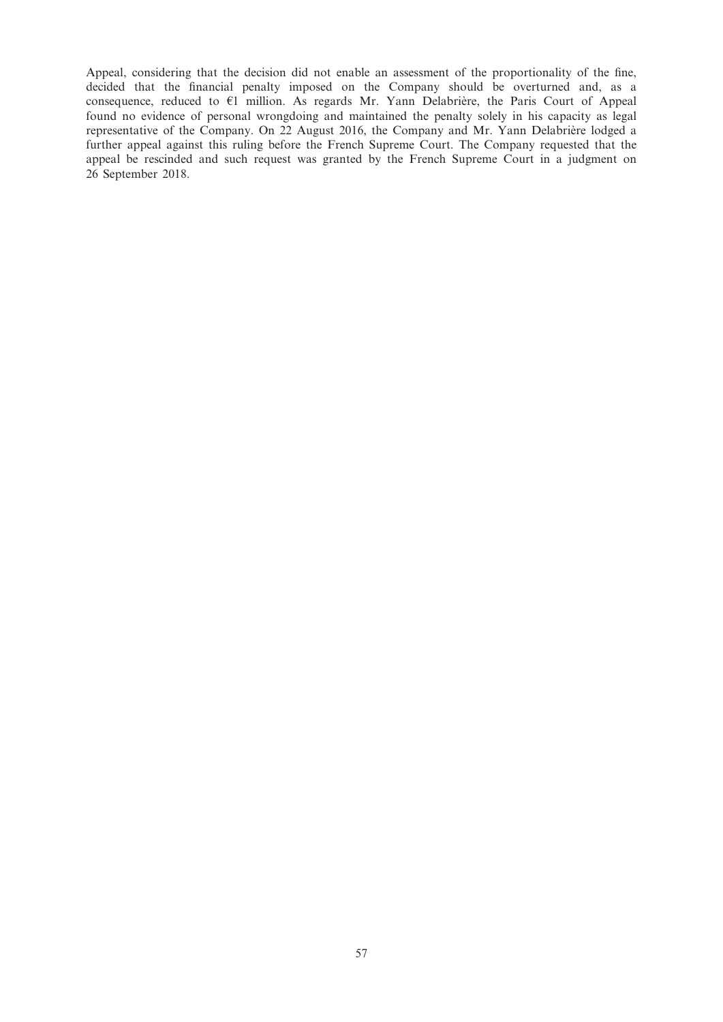Appeal, considering that the decision did not enable an assessment of the proportionality of the fine, decided that the financial penalty imposed on the Company should be overturned and, as a consequence, reduced to  $\epsilon_1$  million. As regards Mr. Yann Delabriere, the Paris Court of Appeal found no evidence of personal wrongdoing and maintained the penalty solely in his capacity as legal representative of the Company. On 22 August 2016, the Company and Mr. Yann Delabrière lodged a further appeal against this ruling before the French Supreme Court. The Company requested that the appeal be rescinded and such request was granted by the French Supreme Court in a judgment on 26 September 2018.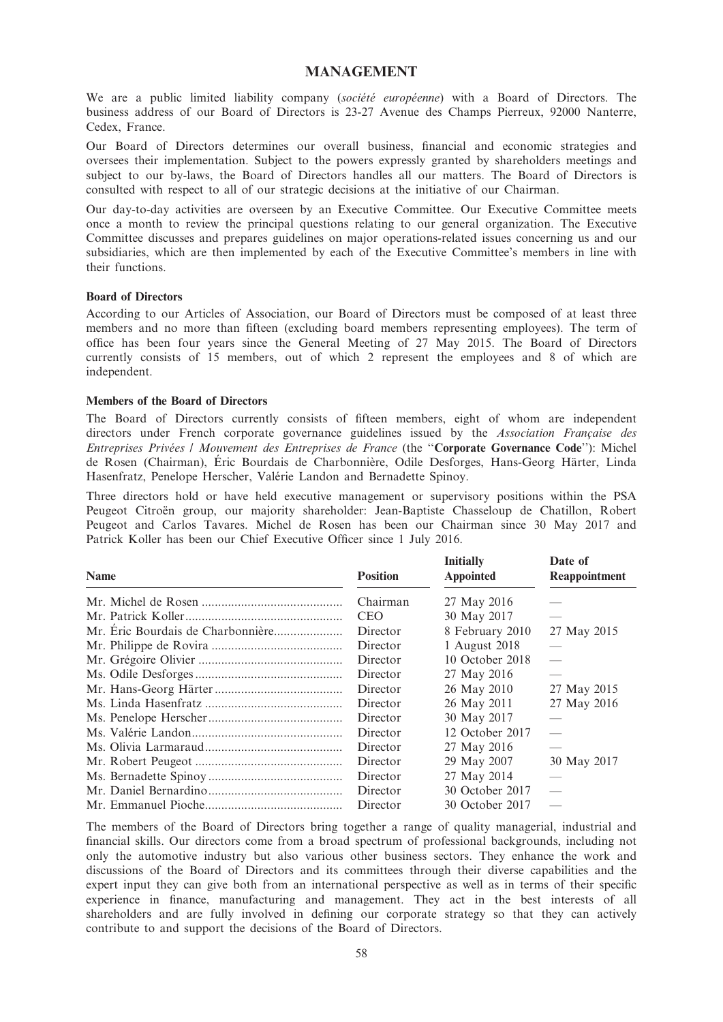## MANAGEMENT

We are a public limited liability company (société européenne) with a Board of Directors. The business address of our Board of Directors is 23-27 Avenue des Champs Pierreux, 92000 Nanterre, Cedex, France.

Our Board of Directors determines our overall business, financial and economic strategies and oversees their implementation. Subject to the powers expressly granted by shareholders meetings and subject to our by-laws, the Board of Directors handles all our matters. The Board of Directors is consulted with respect to all of our strategic decisions at the initiative of our Chairman.

Our day-to-day activities are overseen by an Executive Committee. Our Executive Committee meets once a month to review the principal questions relating to our general organization. The Executive Committee discusses and prepares guidelines on major operations-related issues concerning us and our subsidiaries, which are then implemented by each of the Executive Committee's members in line with their functions.

### Board of Directors

According to our Articles of Association, our Board of Directors must be composed of at least three members and no more than fifteen (excluding board members representing employees). The term of office has been four years since the General Meeting of 27 May 2015. The Board of Directors currently consists of 15 members, out of which 2 represent the employees and 8 of which are independent.

### Members of the Board of Directors

The Board of Directors currently consists of fifteen members, eight of whom are independent directors under French corporate governance guidelines issued by the Association Francaise des Entreprises Privées / Mouvement des Entreprises de France (the "Corporate Governance Code"): Michel de Rosen (Chairman), Éric Bourdais de Charbonnière, Odile Desforges, Hans-Georg Härter, Linda Hasenfratz, Penelope Herscher, Valérie Landon and Bernadette Spinoy.

Three directors hold or have held executive management or supervisory positions within the PSA Peugeot Citroën group, our majority shareholder: Jean-Baptiste Chasseloup de Chatillon, Robert Peugeot and Carlos Tavares. Michel de Rosen has been our Chairman since 30 May 2017 and Patrick Koller has been our Chief Executive Officer since 1 July 2016.

| <b>Name</b> | <b>Position</b> | <b>Initially</b><br><b>Appointed</b> | Date of<br>Reappointment |
|-------------|-----------------|--------------------------------------|--------------------------|
|             | Chairman        | 27 May 2016                          |                          |
|             | <b>CEO</b>      | 30 May 2017                          |                          |
|             | Director        | 8 February 2010                      | 27 May 2015              |
|             | Director        | 1 August 2018                        |                          |
|             | Director        | 10 October 2018                      | $\frac{1}{2}$            |
|             | Director        | 27 May 2016                          |                          |
|             | Director        | 26 May 2010                          | 27 May 2015              |
|             | Director        | 26 May 2011                          | 27 May 2016              |
|             | Director        | 30 May 2017                          |                          |
|             | Director        | 12 October 2017                      | $\overline{\phantom{m}}$ |
|             | Director        | 27 May 2016                          | $\overline{\phantom{a}}$ |
|             | Director        | 29 May 2007                          | 30 May 2017              |
|             | Director        | 27 May 2014                          |                          |
|             | Director        | 30 October 2017                      |                          |
|             | Director        | 30 October 2017                      | $\overline{\phantom{0}}$ |

The members of the Board of Directors bring together a range of quality managerial, industrial and financial skills. Our directors come from a broad spectrum of professional backgrounds, including not only the automotive industry but also various other business sectors. They enhance the work and discussions of the Board of Directors and its committees through their diverse capabilities and the expert input they can give both from an international perspective as well as in terms of their specific experience in finance, manufacturing and management. They act in the best interests of all shareholders and are fully involved in defining our corporate strategy so that they can actively contribute to and support the decisions of the Board of Directors.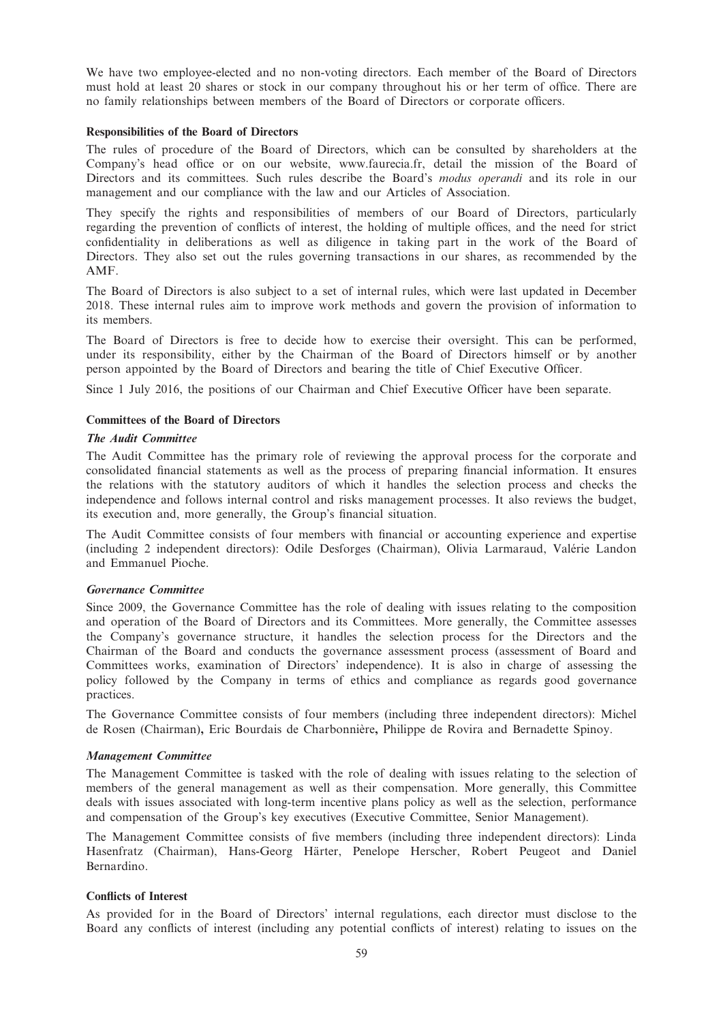We have two employee-elected and no non-voting directors. Each member of the Board of Directors must hold at least 20 shares or stock in our company throughout his or her term of office. There are no family relationships between members of the Board of Directors or corporate officers.

### Responsibilities of the Board of Directors

The rules of procedure of the Board of Directors, which can be consulted by shareholders at the Company's head office or on our website, www.faurecia.fr, detail the mission of the Board of Directors and its committees. Such rules describe the Board's *modus operandi* and its role in our management and our compliance with the law and our Articles of Association.

They specify the rights and responsibilities of members of our Board of Directors, particularly regarding the prevention of conflicts of interest, the holding of multiple offices, and the need for strict confidentiality in deliberations as well as diligence in taking part in the work of the Board of Directors. They also set out the rules governing transactions in our shares, as recommended by the AMF.

The Board of Directors is also subject to a set of internal rules, which were last updated in December 2018. These internal rules aim to improve work methods and govern the provision of information to its members.

The Board of Directors is free to decide how to exercise their oversight. This can be performed, under its responsibility, either by the Chairman of the Board of Directors himself or by another person appointed by the Board of Directors and bearing the title of Chief Executive Officer.

Since 1 July 2016, the positions of our Chairman and Chief Executive Officer have been separate.

### Committees of the Board of Directors

### The Audit Committee

The Audit Committee has the primary role of reviewing the approval process for the corporate and consolidated financial statements as well as the process of preparing financial information. It ensures the relations with the statutory auditors of which it handles the selection process and checks the independence and follows internal control and risks management processes. It also reviews the budget, its execution and, more generally, the Group's financial situation.

The Audit Committee consists of four members with financial or accounting experience and expertise (including 2 independent directors): Odile Desforges (Chairman), Olivia Larmaraud, Valérie Landon and Emmanuel Pioche.

### Governance Committee

Since 2009, the Governance Committee has the role of dealing with issues relating to the composition and operation of the Board of Directors and its Committees. More generally, the Committee assesses the Company's governance structure, it handles the selection process for the Directors and the Chairman of the Board and conducts the governance assessment process (assessment of Board and Committees works, examination of Directors' independence). It is also in charge of assessing the policy followed by the Company in terms of ethics and compliance as regards good governance practices.

The Governance Committee consists of four members (including three independent directors): Michel de Rosen (Chairman), Eric Bourdais de Charbonnière, Philippe de Rovira and Bernadette Spinoy.

#### Management Committee

The Management Committee is tasked with the role of dealing with issues relating to the selection of members of the general management as well as their compensation. More generally, this Committee deals with issues associated with long-term incentive plans policy as well as the selection, performance and compensation of the Group's key executives (Executive Committee, Senior Management).

The Management Committee consists of five members (including three independent directors): Linda Hasenfratz (Chairman), Hans-Georg Härter, Penelope Herscher, Robert Peugeot and Daniel Bernardino.

#### Conflicts of Interest

As provided for in the Board of Directors' internal regulations, each director must disclose to the Board any conflicts of interest (including any potential conflicts of interest) relating to issues on the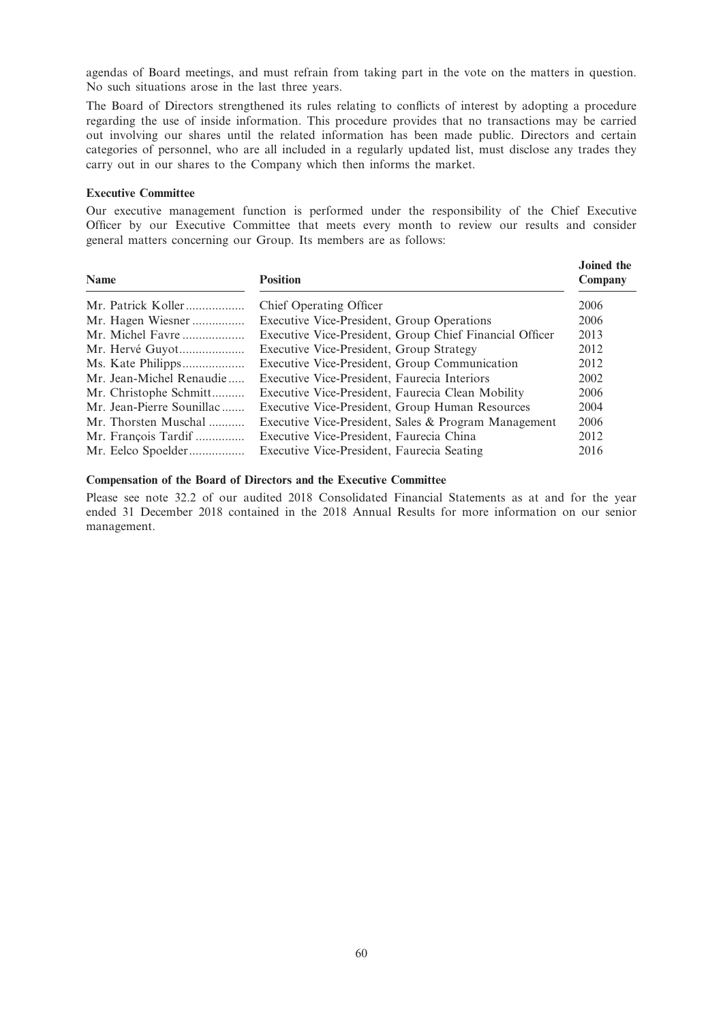agendas of Board meetings, and must refrain from taking part in the vote on the matters in question. No such situations arose in the last three years.

The Board of Directors strengthened its rules relating to conflicts of interest by adopting a procedure regarding the use of inside information. This procedure provides that no transactions may be carried out involving our shares until the related information has been made public. Directors and certain categories of personnel, who are all included in a regularly updated list, must disclose any trades they carry out in our shares to the Company which then informs the market.

### Executive Committee

Our executive management function is performed under the responsibility of the Chief Executive Officer by our Executive Committee that meets every month to review our results and consider general matters concerning our Group. Its members are as follows:

| <b>Name</b>               | <b>Position</b>                                         | Joined the<br>Company |
|---------------------------|---------------------------------------------------------|-----------------------|
| Mr. Patrick Koller        | Chief Operating Officer                                 | 2006                  |
| Mr. Hagen Wiesner         | Executive Vice-President, Group Operations              | 2006                  |
| Mr. Michel Favre          | Executive Vice-President, Group Chief Financial Officer | 2013                  |
| Mr. Hervé Guyot           | Executive Vice-President, Group Strategy                | 2012                  |
|                           | Executive Vice-President, Group Communication           | 2012                  |
| Mr. Jean-Michel Renaudie  | Executive Vice-President, Faurecia Interiors            | 2002                  |
| Mr. Christophe Schmitt    | Executive Vice-President, Faurecia Clean Mobility       | 2006                  |
| Mr. Jean-Pierre Sounillac | Executive Vice-President, Group Human Resources         | 2004                  |
| Mr. Thorsten Muschal      | Executive Vice-President, Sales & Program Management    | 2006                  |
| Mr. François Tardif       | Executive Vice-President, Faurecia China                | 2012                  |
| Mr. Eelco Spoelder        | Executive Vice-President, Faurecia Seating              | 2016                  |

#### Compensation of the Board of Directors and the Executive Committee

Please see note 32.2 of our audited 2018 Consolidated Financial Statements as at and for the year ended 31 December 2018 contained in the 2018 Annual Results for more information on our senior management.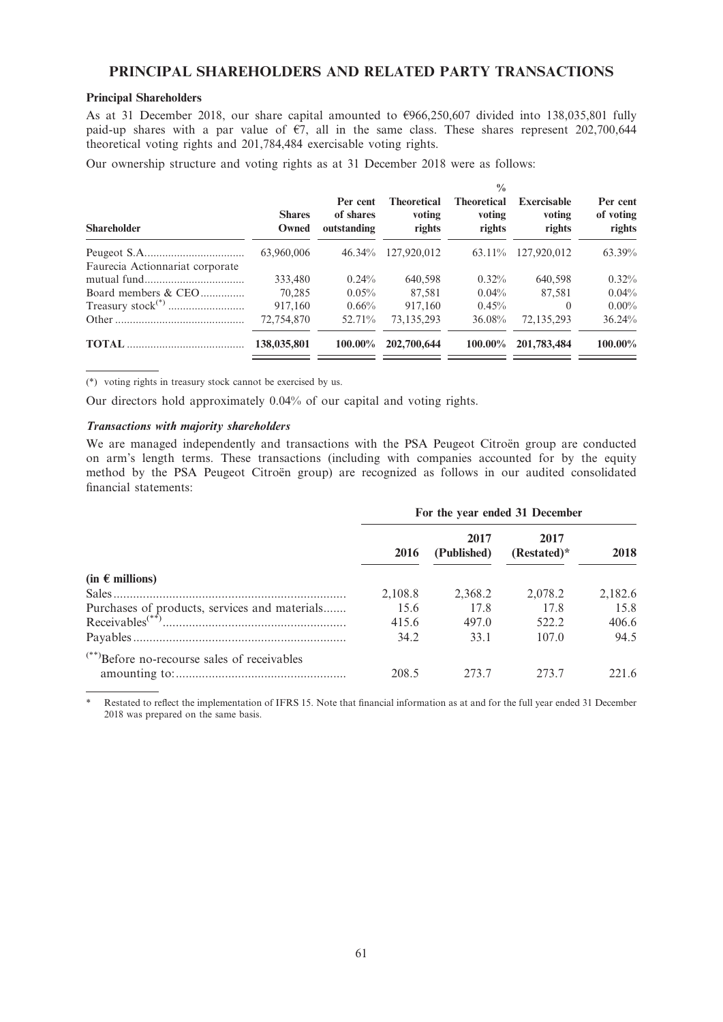## PRINCIPAL SHAREHOLDERS AND RELATED PARTY TRANSACTIONS

## Principal Shareholders

As at 31 December 2018, our share capital amounted to  $\epsilon$ 966,250,607 divided into 138,035,801 fully paid-up shares with a par value of  $\epsilon$ 7, all in the same class. These shares represent 202,700,644 theoretical voting rights and 201,784,484 exercisable voting rights.

Our ownership structure and voting rights as at 31 December 2018 were as follows:

| <b>Shareholder</b>              | <b>Shares</b><br>Owned | Per cent<br>of shares<br>outstanding | <b>Theoretical</b><br>voting<br>rights | $\frac{0}{0}$<br><b>Theoretical</b><br>voting<br>rights | <b>Exercisable</b><br>voting<br>rights | Per cent<br>of voting<br>rights |
|---------------------------------|------------------------|--------------------------------------|----------------------------------------|---------------------------------------------------------|----------------------------------------|---------------------------------|
|                                 | 63,960,006             | $46.34\%$                            | 127,920,012                            | 63.11%                                                  | 127,920,012                            | 63.39%                          |
| Faurecia Actionnariat corporate |                        |                                      |                                        |                                                         |                                        |                                 |
|                                 | 333,480                | $0.24\%$                             | 640.598                                | $0.32\%$                                                | 640.598                                | $0.32\%$                        |
| Board members & CEO             | 70.285                 | $0.05\%$                             | 87.581                                 | $0.04\%$                                                | 87.581                                 | $0.04\%$                        |
|                                 | 917.160                | $0.66\%$                             | 917,160                                | 0.45%                                                   | $\Omega$                               | $0.00\%$                        |
|                                 | 72,754,870             | 52.71%                               | 73,135,293                             | 36.08%                                                  | 72,135,293                             | 36.24%                          |
|                                 | 138,035,801            | $100.00\%$                           | 202,700,644                            | 100.00%                                                 | 201,783,484                            | $100.00\%$                      |

(\*) voting rights in treasury stock cannot be exercised by us.

Our directors hold approximately 0.04% of our capital and voting rights.

### Transactions with majority shareholders

We are managed independently and transactions with the PSA Peugeot Citroën group are conducted on arm's length terms. These transactions (including with companies accounted for by the equity method by the PSA Peugeot Citroën group) are recognized as follows in our audited consolidated financial statements:

|                                                         | For the year ended 31 December |                     |                       |         |
|---------------------------------------------------------|--------------------------------|---------------------|-----------------------|---------|
|                                                         | 2016                           | 2017<br>(Published) | 2017<br>$(Restated)*$ | 2018    |
| $(in \in$ millions)                                     |                                |                     |                       |         |
| Sales                                                   | 2,108.8                        | 2,368.2             | 2.078.2               | 2,182.6 |
| Purchases of products, services and materials           | 15.6                           | 17.8                | 17.8                  | 15.8    |
|                                                         | 415.6                          | 497.0               | 522.2                 | 406.6   |
|                                                         | 34.2                           | 33.1                | 107.0                 | 94.5    |
| <sup>(**)</sup> Before no-recourse sales of receivables |                                |                     |                       |         |
|                                                         | 208.5                          | 273.7               | 273.7                 | 221.6   |

Restated to reflect the implementation of IFRS 15. Note that financial information as at and for the full year ended 31 December 2018 was prepared on the same basis.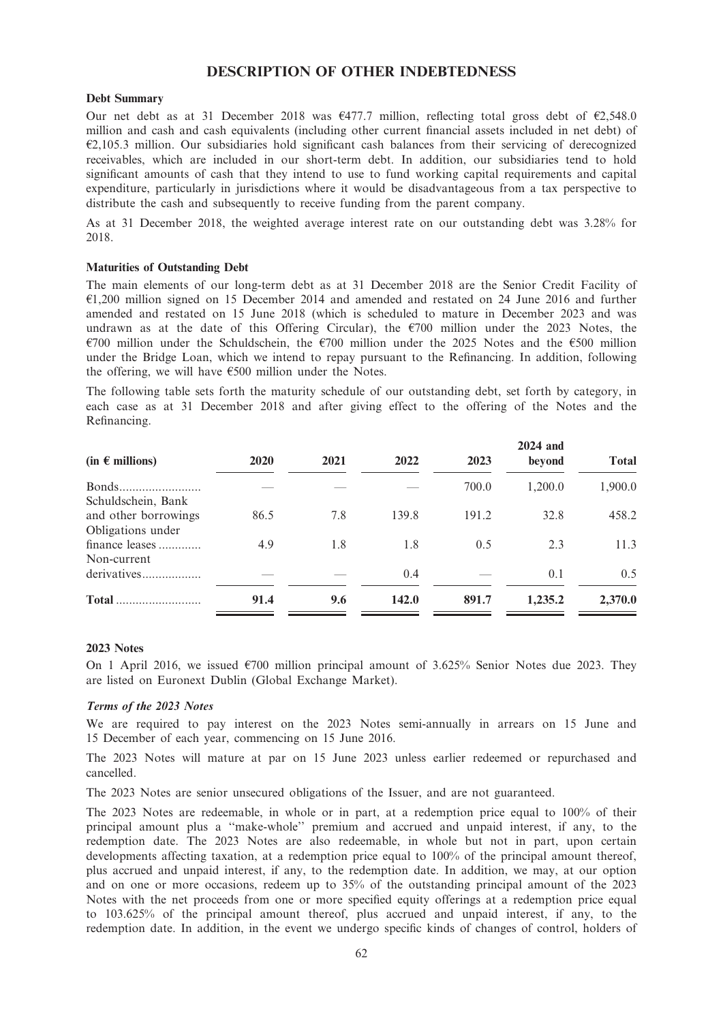## DESCRIPTION OF OTHER INDEBTEDNESS

### Debt Summary

Our net debt as at 31 December 2018 was  $\epsilon$ 477.7 million, reflecting total gross debt of  $\epsilon$ 2,548.0 million and cash and cash equivalents (including other current financial assets included in net debt) of  $E$ 2,105.3 million. Our subsidiaries hold significant cash balances from their servicing of derecognized receivables, which are included in our short-term debt. In addition, our subsidiaries tend to hold significant amounts of cash that they intend to use to fund working capital requirements and capital expenditure, particularly in jurisdictions where it would be disadvantageous from a tax perspective to distribute the cash and subsequently to receive funding from the parent company.

As at 31 December 2018, the weighted average interest rate on our outstanding debt was 3.28% for 2018.

## Maturities of Outstanding Debt

The main elements of our long-term debt as at 31 December 2018 are the Senior Credit Facility of  $E1,200$  million signed on 15 December 2014 and amended and restated on 24 June 2016 and further amended and restated on 15 June 2018 (which is scheduled to mature in December 2023 and was undrawn as at the date of this Offering Circular), the  $\varepsilon$ 700 million under the 2023 Notes, the  $\epsilon$ 700 million under the Schuldschein, the  $\epsilon$ 700 million under the 2025 Notes and the  $\epsilon$ 500 million under the Bridge Loan, which we intend to repay pursuant to the Refinancing. In addition, following the offering, we will have  $\epsilon$ 500 million under the Notes.

The following table sets forth the maturity schedule of our outstanding debt, set forth by category, in each case as at 31 December 2018 and after giving effect to the offering of the Notes and the Refinancing.

| $(in \in$ millions)                       | 2020 | 2021 | 2022  | 2023  | 2024 and<br>beyond | <b>Total</b> |
|-------------------------------------------|------|------|-------|-------|--------------------|--------------|
| Schuldschein, Bank                        |      |      |       | 700.0 | 1,200.0            | 1,900.0      |
| and other borrowings<br>Obligations under | 86.5 | 7.8  | 139.8 | 191.2 | 32.8               | 458.2        |
| finance leases<br>Non-current             | 4.9  | 1.8  | 1.8   | 0.5   | 2.3                | 11.3         |
| derivatives                               |      |      | 0.4   |       | 0.1                | 0.5          |
| <b>Total</b>                              | 91.4 | 9.6  | 142.0 | 891.7 | 1,235.2            | 2,370.0      |

### 2023 Notes

On 1 April 2016, we issued  $\epsilon$ 700 million principal amount of 3.625% Senior Notes due 2023. They are listed on Euronext Dublin (Global Exchange Market).

#### Terms of the 2023 Notes

We are required to pay interest on the 2023 Notes semi-annually in arrears on 15 June and 15 December of each year, commencing on 15 June 2016.

The 2023 Notes will mature at par on 15 June 2023 unless earlier redeemed or repurchased and cancelled.

The 2023 Notes are senior unsecured obligations of the Issuer, and are not guaranteed.

The 2023 Notes are redeemable, in whole or in part, at a redemption price equal to 100% of their principal amount plus a ''make-whole'' premium and accrued and unpaid interest, if any, to the redemption date. The 2023 Notes are also redeemable, in whole but not in part, upon certain developments affecting taxation, at a redemption price equal to 100% of the principal amount thereof, plus accrued and unpaid interest, if any, to the redemption date. In addition, we may, at our option and on one or more occasions, redeem up to 35% of the outstanding principal amount of the 2023 Notes with the net proceeds from one or more specified equity offerings at a redemption price equal to 103.625% of the principal amount thereof, plus accrued and unpaid interest, if any, to the redemption date. In addition, in the event we undergo specific kinds of changes of control, holders of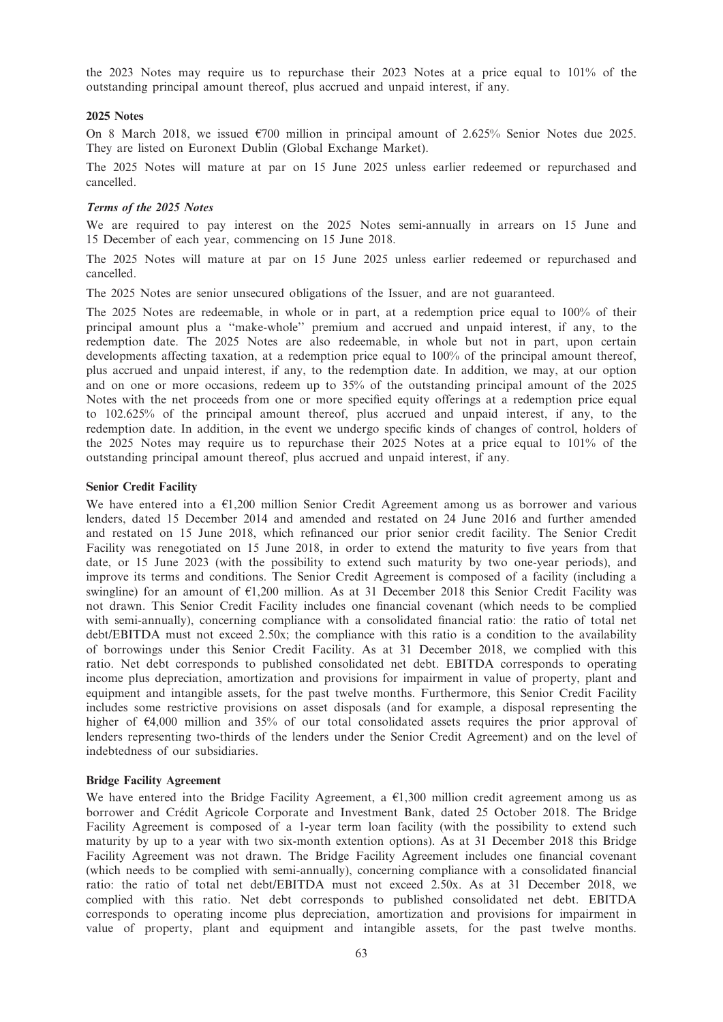the 2023 Notes may require us to repurchase their 2023 Notes at a price equal to 101% of the outstanding principal amount thereof, plus accrued and unpaid interest, if any.

### 2025 Notes

On 8 March 2018, we issued  $\epsilon$ 700 million in principal amount of 2.625% Senior Notes due 2025. They are listed on Euronext Dublin (Global Exchange Market).

The 2025 Notes will mature at par on 15 June 2025 unless earlier redeemed or repurchased and cancelled.

### Terms of the 2025 Notes

We are required to pay interest on the 2025 Notes semi-annually in arrears on 15 June and 15 December of each year, commencing on 15 June 2018.

The 2025 Notes will mature at par on 15 June 2025 unless earlier redeemed or repurchased and cancelled.

The 2025 Notes are senior unsecured obligations of the Issuer, and are not guaranteed.

The 2025 Notes are redeemable, in whole or in part, at a redemption price equal to 100% of their principal amount plus a ''make-whole'' premium and accrued and unpaid interest, if any, to the redemption date. The 2025 Notes are also redeemable, in whole but not in part, upon certain developments affecting taxation, at a redemption price equal to 100% of the principal amount thereof, plus accrued and unpaid interest, if any, to the redemption date. In addition, we may, at our option and on one or more occasions, redeem up to 35% of the outstanding principal amount of the 2025 Notes with the net proceeds from one or more specified equity offerings at a redemption price equal to 102.625% of the principal amount thereof, plus accrued and unpaid interest, if any, to the redemption date. In addition, in the event we undergo specific kinds of changes of control, holders of the 2025 Notes may require us to repurchase their 2025 Notes at a price equal to 101% of the outstanding principal amount thereof, plus accrued and unpaid interest, if any.

### Senior Credit Facility

We have entered into a  $\epsilon$ 1,200 million Senior Credit Agreement among us as borrower and various lenders, dated 15 December 2014 and amended and restated on 24 June 2016 and further amended and restated on 15 June 2018, which refinanced our prior senior credit facility. The Senior Credit Facility was renegotiated on 15 June 2018, in order to extend the maturity to five years from that date, or 15 June 2023 (with the possibility to extend such maturity by two one-year periods), and improve its terms and conditions. The Senior Credit Agreement is composed of a facility (including a swingline) for an amount of  $E1,200$  million. As at 31 December 2018 this Senior Credit Facility was not drawn. This Senior Credit Facility includes one financial covenant (which needs to be complied with semi-annually), concerning compliance with a consolidated financial ratio: the ratio of total net debt/EBITDA must not exceed 2.50x; the compliance with this ratio is a condition to the availability of borrowings under this Senior Credit Facility. As at 31 December 2018, we complied with this ratio. Net debt corresponds to published consolidated net debt. EBITDA corresponds to operating income plus depreciation, amortization and provisions for impairment in value of property, plant and equipment and intangible assets, for the past twelve months. Furthermore, this Senior Credit Facility includes some restrictive provisions on asset disposals (and for example, a disposal representing the higher of  $\epsilon$ 4,000 million and 35% of our total consolidated assets requires the prior approval of lenders representing two-thirds of the lenders under the Senior Credit Agreement) and on the level of indebtedness of our subsidiaries.

### Bridge Facility Agreement

We have entered into the Bridge Facility Agreement, a  $E1,300$  million credit agreement among us as borrower and Crédit Agricole Corporate and Investment Bank, dated 25 October 2018. The Bridge Facility Agreement is composed of a 1-year term loan facility (with the possibility to extend such maturity by up to a year with two six-month extention options). As at 31 December 2018 this Bridge Facility Agreement was not drawn. The Bridge Facility Agreement includes one financial covenant (which needs to be complied with semi-annually), concerning compliance with a consolidated financial ratio: the ratio of total net debt/EBITDA must not exceed 2.50x. As at 31 December 2018, we complied with this ratio. Net debt corresponds to published consolidated net debt. EBITDA corresponds to operating income plus depreciation, amortization and provisions for impairment in value of property, plant and equipment and intangible assets, for the past twelve months.